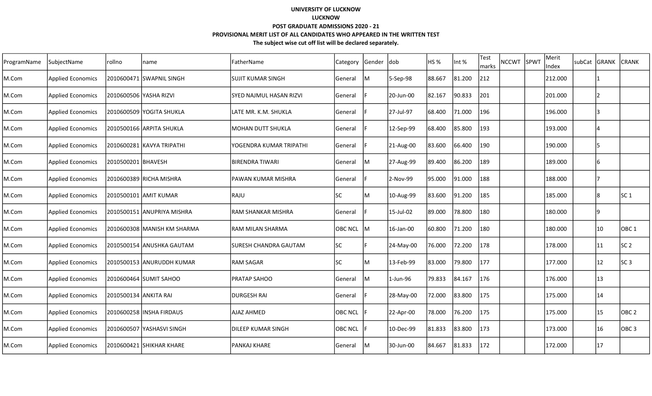| ProgramName | SubjectName              | rollno                 | name                        | FatherName                | Category       | Gender | dob       | HS %   | Int %  | Test<br>marks | NCCWT SPWT | Merit<br>Index | subCat GRANK |     | <b>CRANK</b>     |
|-------------|--------------------------|------------------------|-----------------------------|---------------------------|----------------|--------|-----------|--------|--------|---------------|------------|----------------|--------------|-----|------------------|
| M.Com       | <b>Applied Economics</b> |                        | 2010600471 SWAPNIL SINGH    | <b>SUJIT KUMAR SINGH</b>  | General        | IМ     | 5-Sep-98  | 88.667 | 81.200 | 212           |            | 212.000        |              |     |                  |
| M.Com       | <b>Applied Economics</b> | 2010600506 YASHA RIZVI |                             | SYED NAJMUL HASAN RIZVI   | General        |        | 20-Jun-00 | 82.167 | 90.833 | 201           |            | 201.000        |              |     |                  |
| M.Com       | <b>Applied Economics</b> |                        | 2010600509 YOGITA SHUKLA    | LATE MR. K.M. SHUKLA      | General        |        | 27-Jul-97 | 68.400 | 71.000 | 196           |            | 196.000        |              | l3  |                  |
| M.Com       | <b>Applied Economics</b> |                        | 2010500166 ARPITA SHUKLA    | <b>MOHAN DUTT SHUKLA</b>  | General        |        | 12-Sep-99 | 68.400 | 85.800 | 193           |            | 193.000        |              | 14  |                  |
| M.Com       | <b>Applied Economics</b> |                        | 2010600281 KAVYA TRIPATHI   | YOGENDRA KUMAR TRIPATHI   | General        |        | 21-Aug-00 | 83.600 | 66.400 | 190           |            | 190.000        |              | 15  |                  |
| M.Com       | <b>Applied Economics</b> | 2010500201 BHAVESH     |                             | BIRENDRA TIWARI           | General        | IM.    | 27-Aug-99 | 89.400 | 86.200 | 189           |            | 189.000        |              | 16  |                  |
| M.Com       | <b>Applied Economics</b> |                        | 2010600389 RICHA MISHRA     | PAWAN KUMAR MISHRA        | General        |        | 2-Nov-99  | 95.000 | 91.000 | 188           |            | 188.000        |              |     |                  |
| M.Com       | <b>Applied Economics</b> |                        | 2010500101 AMIT KUMAR       | RAJU                      | SC             | ΙM     | 10-Aug-99 | 83.600 | 91.200 | 185           |            | 185.000        |              | 8   | SC <sub>1</sub>  |
| M.Com       | Applied Economics        |                        | 2010500151 ANUPRIYA MISHRA  | <b>RAM SHANKAR MISHRA</b> | General        |        | 15-Jul-02 | 89.000 | 78.800 | 180           |            | 180.000        |              | 19  |                  |
| M.Com       | <b>Applied Economics</b> |                        | 2010600308 MANISH KM SHARMA | RAM MILAN SHARMA          | OBC NCL M      |        | 16-Jan-00 | 60.800 | 71.200 | 180           |            | 180.000        |              | 10  | OBC <sub>1</sub> |
| M.Com       | <b>Applied Economics</b> |                        | 2010500154 ANUSHKA GAUTAM   | ISURESH CHANDRA GAUTAM    | <b>SC</b>      |        | 24-May-00 | 76.000 | 72.200 | 178           |            | 178.000        |              | 11  | SC <sub>2</sub>  |
| M.Com       | <b>Applied Economics</b> |                        | 2010500153 ANURUDDH KUMAR   | <b>RAM SAGAR</b>          | <b>SC</b>      | lм     | 13-Feb-99 | 83.000 | 79.800 | 177           |            | 177.000        |              | 12  | SC3              |
| M.Com       | <b>Applied Economics</b> |                        | 2010600464 SUMIT SAHOO      | PRATAP SAHOO              | General        | IM.    | 1-Jun-96  | 79.833 | 84.167 | 176           |            | 176.000        |              | 13  |                  |
| M.Com       | <b>Applied Economics</b> | 2010500134 ANKITA RAI  |                             | <b>DURGESH RAI</b>        | General        |        | 28-May-00 | 72.000 | 83.800 | 175           |            | 175.000        |              | 14  |                  |
| M.Com       | <b>Applied Economics</b> |                        | 2010600258 INSHA FIRDAUS    | <b>AJAZ AHMED</b>         | <b>OBC NCL</b> |        | 22-Apr-00 | 78.000 | 76.200 | 175           |            | 175.000        |              | 15  | OBC <sub>2</sub> |
| M.Com       | <b>Applied Economics</b> |                        | 2010600507 YASHASVI SINGH   | <b>DILEEP KUMAR SINGH</b> | <b>OBC NCL</b> |        | 10-Dec-99 | 81.833 | 83.800 | 173           |            | 173.000        |              | 116 | OBC <sub>3</sub> |
| M.Com       | <b>Applied Economics</b> |                        | 2010600421 SHIKHAR KHARE    | <b>PANKAJ KHARE</b>       | General        | IM.    | 30-Jun-00 | 84.667 | 81.833 | 172           |            | 172.000        |              | 17  |                  |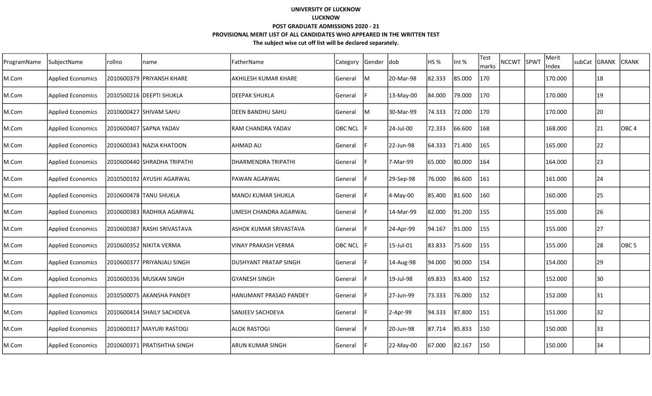| ProgramName | SubjectName              | rollno | name                        | FatherName                    | Category       | Gender  dob |           | HS <sub>%</sub> | Int %  | Test<br>marks | <b>NCCWT</b> | SPWT | Merit<br>Index | subCat | <b>GRANK</b> | <b>CRANK</b>     |
|-------------|--------------------------|--------|-----------------------------|-------------------------------|----------------|-------------|-----------|-----------------|--------|---------------|--------------|------|----------------|--------|--------------|------------------|
| M.Com       | <b>Applied Economics</b> |        | 2010600379  PRIYANSH KHARE  | lakhilesh kumar Khare         | General        | M           | 20-Mar-98 | 82.333          | 85.000 | 170           |              |      | 170.000        |        | 18           |                  |
| M.Com       | <b>Applied Economics</b> |        | 2010500216  DEEPTI SHUKLA   | ldeepak SHUKLA                | General        |             | 13-May-00 | 84.000          | 79.000 | 170           |              |      | 170.000        |        | 19           |                  |
| M.Com       | <b>Applied Economics</b> |        | 2010600427 SHIVAM SAHU      | <b>IDEEN BANDHU SAHU</b>      | General        | lM          | 30-Mar-99 | 74.333          | 72.000 | 170           |              |      | 170.000        |        | 20           |                  |
| M.Com       | <b>Applied Economics</b> |        | 2010600407 SAPNA YADAV      | IRAM CHANDRA YADAV            | <b>OBC NCL</b> |             | 24-Jul-00 | 72.333          | 66.600 | 168           |              |      | 168.000        |        | 21           | OBC <sub>4</sub> |
| M.Com       | <b>Applied Economics</b> |        | 2010600343 NAZIA KHATOON    | AHMAD ALI                     | General        |             | 22-Jun-98 | 64.333          | 71.400 | 165           |              |      | 165.000        |        | 22           |                  |
| M.Com       | <b>Applied Economics</b> |        | 2010600440 SHRADHA TRIPATHI | DHARMENDRA TRIPATHI           | General        |             | 7-Mar-99  | 65.000          | 80.000 | 164           |              |      | 164.000        |        | 23           |                  |
| M.Com       | <b>Applied Economics</b> |        | 2010500192 AYUSHI AGARWAL   | lPAWAN AGARWAL                | General        |             | 29-Sep-98 | 76.000          | 86.600 | 161           |              |      | 161.000        |        | 24           |                  |
| M.Com       | <b>Applied Economics</b> |        | 2010600478  TANU SHUKLA     | MANOJ KUMAR SHUKLA            | General        |             | 4-May-00  | 85.400          | 81.600 | 160           |              |      | 160.000        |        | 25           |                  |
| M.Com       | <b>Applied Economics</b> |        | 2010600383 RADHIKA AGARWAL  | UMESH CHANDRA AGARWAL         | General        |             | 14-Mar-99 | 82.000          | 91.200 | 155           |              |      | 155.000        |        | 26           |                  |
| M.Com       | <b>Applied Economics</b> |        | 2010600387 RASHI SRIVASTAVA | <b>ASHOK KUMAR SRIVASTAVA</b> | <b>General</b> |             | 24-Apr-99 | 94.167          | 91.000 | 155           |              |      | 155.000        |        | 27           |                  |
| M.Com       | <b>Applied Economics</b> |        | 2010600352 NIKITA VERMA     | <b>VINAY PRAKASH VERMA</b>    | <b>OBC NCL</b> |             | 15-Jul-01 | 83.833          | 75.600 | 155           |              |      | 155.000        |        | 28           | OBC <sub>5</sub> |
| M.Com       | <b>Applied Economics</b> |        | 2010600377 PRIYANJALI SINGH | <b>IDUSHYANT PRATAP SINGH</b> | General        |             | 14-Aug-98 | 94.000          | 90.000 | 154           |              |      | 154.000        |        | 29           |                  |
| M.Com       | <b>Applied Economics</b> |        | 2010600336 MUSKAN SINGH     | GYANESH SINGH                 | General        |             | 19-Jul-98 | 69.833          | 83.400 | 152           |              |      | 152.000        |        | 30           |                  |
| M.Com       | <b>Applied Economics</b> |        | 2010500075 AKANSHA PANDEY   | IHANUMANT PRASAD PANDEY       | General        |             | 27-Jun-99 | 73.333          | 76.000 | 152           |              |      | 152.000        |        | 131          |                  |
| M.Com       | <b>Applied Economics</b> |        | 2010600414 SHAILY SACHDEVA  | SANJEEV SACHDEVA              | General        |             | 2-Apr-99  | 94.333          | 87.800 | 151           |              |      | 151.000        |        | 32           |                  |
| M.Com       | <b>Applied Economics</b> |        | 2010600317 MAYURI RASTOGI   | lALOK RASTOGI                 | General        |             | 20-Jun-98 | 87.714          | 85.833 | 150           |              |      | 150.000        |        | 33           |                  |
| M.Com       | <b>Applied Economics</b> |        | 2010600371 PRATISHTHA SINGH | larun kumar singh             | <b>General</b> |             | 22-May-00 | 67.000          | 82.167 | 150           |              |      | 150.000        |        | 34           |                  |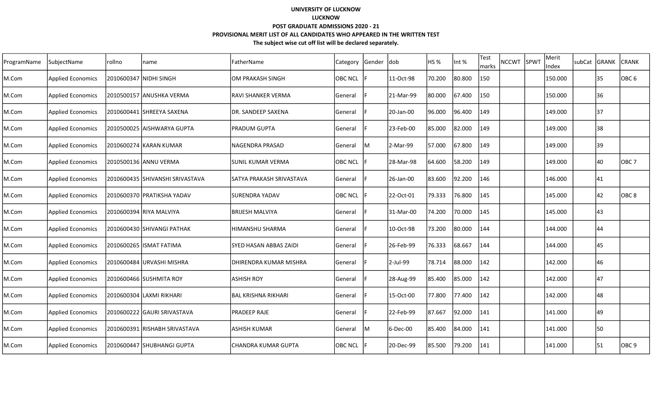| ProgramName | SubjectName              | Irollno | Iname                             | FatherName                 | Category Gender |     | dob       | HS%    | Int %  | Test<br>marks | NCCWT SPWT | Merit<br>Index | subCat GRANK |    | <b>CRANK</b>     |
|-------------|--------------------------|---------|-----------------------------------|----------------------------|-----------------|-----|-----------|--------|--------|---------------|------------|----------------|--------------|----|------------------|
| M.Com       | <b>Applied Economics</b> |         | 2010600347  NIDHI SINGH           | OM PRAKASH SINGH           | <b>OBC NCL</b>  |     | 11-Oct-98 | 70.200 | 80.800 | 150           |            | 150.000        |              | 35 | lOBC 6           |
| M.Com       | <b>Applied Economics</b> |         | 2010500157 ANUSHKA VERMA          | RAVI SHANKER VERMA         | General         |     | 21-Mar-99 | 80.000 | 67.400 | 150           |            | 150.000        |              | 36 |                  |
| M.Com       | <b>Applied Economics</b> |         |                                   | DR. SANDEEP SAXENA         | General         |     | 20-Jan-00 | 96.000 | 96.400 | 149           |            | 149.000        |              | 37 |                  |
| M.Com       | <b>Applied Economics</b> |         | I2010500025  AISHWARYA GUPTA      | PRADUM GUPTA               | General         |     | 23-Feb-00 | 85.000 | 82.000 | 149           |            | 149.000        |              | 38 |                  |
| M.Com       | <b>Applied Economics</b> |         | 2010600274 KARAN KUMAR            | NAGENDRA PRASAD            | General         | IM. | 2-Mar-99  | 57.000 | 67.800 | 149           |            | 149.000        |              | 39 |                  |
| M.Com       | <b>Applied Economics</b> |         | 2010500136 ANNU VERMA             | <b>SUNIL KUMAR VERMA</b>   | OBC NCL         |     | 28-Mar-98 | 64.600 | 58.200 | 149           |            | 149.000        |              | 40 | OBC <sub>7</sub> |
| M.Com       | <b>Applied Economics</b> |         | I2010600435 ISHIVANSHI SRIVASTAVA | SATYA PRAKASH SRIVASTAVA   | General         |     | 26-Jan-00 | 83.600 | 92.200 | 146           |            | 146.000        |              | 41 |                  |
| M.Com       | <b>Applied Economics</b> |         | 2010600370   PRATIKSHA YADAV      | SURENDRA YADAV             | OBC NCL         |     | 22-Oct-01 | 79.333 | 76.800 | 145           |            | 145.000        |              | 42 | OBC <sub>8</sub> |
| M.Com       | <b>Applied Economics</b> |         | 2010600394 RIYA MALVIYA           | BRIJESH MALVIYA            | General         |     | 31-Mar-00 | 74.200 | 70.000 | 145           |            | 145.000        |              | 43 |                  |
| M.Com       | <b>Applied Economics</b> |         | 2010600430 SHIVANGI PATHAK        | HIMANSHU SHARMA            | General         |     | 10-Oct-98 | 73.200 | 80.000 | 144           |            | 144.000        |              | 44 |                  |
| M.Com       | <b>Applied Economics</b> |         | 2010600265 ISMAT FATIMA           | SYED HASAN ABBAS ZAIDI     | General         |     | 26-Feb-99 | 76.333 | 68.667 | 144           |            | 144.000        |              | 45 |                  |
| M.Com       | <b>Applied Economics</b> |         | 2010600484 URVASHI MISHRA         | DHIRENDRA KUMAR MISHRA     | General         |     | 2-Jul-99  | 78.714 | 88.000 | 142           |            | 142.000        |              | 46 |                  |
| M.Com       | <b>Applied Economics</b> |         | 2010600466 SUSHMITA ROY           | <b>ASHISH ROY</b>          | General         |     | 28-Aug-99 | 85.400 | 85.000 | 142           |            | 142.000        |              | 47 |                  |
| M.Com       | <b>Applied Economics</b> |         | 2010600304  LAXMI RIKHARI         | <b>BAL KRISHNA RIKHARI</b> | General         |     | 15-Oct-00 | 77.800 | 77.400 | 142           |            | 142.000        |              | 48 |                  |
| M.Com       | <b>Applied Economics</b> |         | 2010600222 GAURI SRIVASTAVA       | PRADEEP RAJE               | General         |     | 22-Feb-99 | 87.667 | 92.000 | 141           |            | 141.000        |              | 49 |                  |
| M.Com       | <b>Applied Economics</b> |         | 12010600391 RISHABH SRIVASTAVA    | ASHISH KUMAR               | General         | IM. | 6-Dec-00  | 85.400 | 84.000 | 141           |            | 141.000        |              | 50 |                  |
| M.Com       | <b>Applied Economics</b> |         | I2010600447 ISHUBHANGI GUPTA      | CHANDRA KUMAR GUPTA        | <b>OBC NCL</b>  |     | 20-Dec-99 | 85.500 | 79.200 | 141           |            | 141.000        |              | 51 | OBC 9            |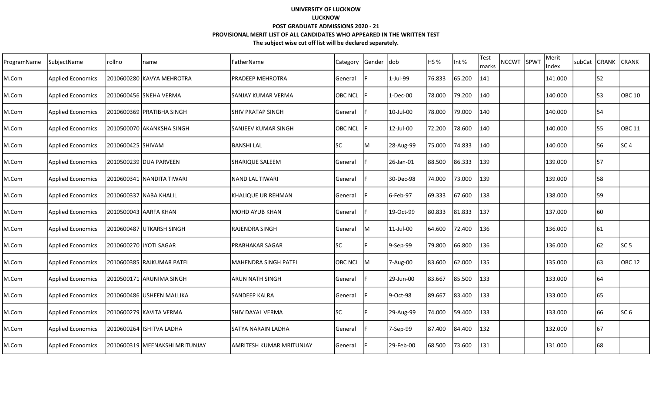| ProgramName | SubjectName              | rollno            | name                             | FatherName                  | Category       | Gender | <b>dob</b> | HS <sub>%</sub> | Int %  | Test<br>marks | <b>NCCWT</b> | <b>SPWT</b> | Merit<br>Index | subCat | <b>GRANK</b> | <b>CRANK</b>    |
|-------------|--------------------------|-------------------|----------------------------------|-----------------------------|----------------|--------|------------|-----------------|--------|---------------|--------------|-------------|----------------|--------|--------------|-----------------|
| M.Com       | <b>Applied Economics</b> |                   | 2010600280 KAVYA MEHROTRA        | <b>PRADEEP MEHROTRA</b>     | General        |        | 1-Jul-99   | 76.833          | 65.200 | 141           |              |             | 141.000        |        | 52           |                 |
| M.Com       | <b>Applied Economics</b> |                   | 2010600456 SNEHA VERMA           | lsanjay kumar verma         | <b>OBC NCL</b> |        | 1-Dec-00   | 78.000          | 79.200 | 140           |              |             | 140.000        |        | 53           | OBC 10          |
| M.Com       | <b>Applied Economics</b> |                   | 2010600369 PRATIBHA SINGH        | <b>SHIV PRATAP SINGH</b>    | General        |        | 10-Jul-00  | 78.000          | 79.000 | 140           |              |             | 140.000        |        | 54           |                 |
| M.Com       | <b>Applied Economics</b> |                   | 2010500070 AKANKSHA SINGH        | lsanjeev kumar singh        | <b>OBC NCL</b> |        | 12-Jul-00  | 72.200          | 78.600 | 140           |              |             | 140.000        |        | 55           | <b>OBC 11</b>   |
| M.Com       | <b>Applied Economics</b> | 2010600425 SHIVAM |                                  | IBANSHI LAL                 | lsc            | M      | 28-Aug-99  | 75.000          | 74.833 | 140           |              |             | 140.000        |        | 56           | lsc 4           |
| M.Com       | <b>Applied Economics</b> |                   | 2010500239 DUA PARVEEN           | <b>SHARIQUE SALEEM</b>      | General        |        | 26-Jan-01  | 88.500          | 86.333 | 139           |              |             | 139.000        |        | 57           |                 |
| M.Com       | <b>Applied Economics</b> |                   | 2010600341 NANDITA TIWARI        | INAND LAL TIWARI            | General        |        | 30-Dec-98  | 74.000          | 73.000 | 139           |              |             | 139.000        |        | 58           |                 |
| M.Com       | <b>Applied Economics</b> |                   | 2010600337 NABA KHALIL           | KHALIQUE UR REHMAN          | General        |        | 6-Feb-97   | 69.333          | 67.600 | 138           |              |             | 138.000        |        | 59           |                 |
| M.Com       | <b>Applied Economics</b> |                   | 2010500043 AARFA KHAN            | lmohd ayub khan             | General        |        | 19-Oct-99  | 80.833          | 81.833 | 137           |              |             | 137.000        |        | 160          |                 |
| M.Com       | <b>Applied Economics</b> |                   | 2010600487 UTKARSH SINGH         | <b>RAJENDRA SINGH</b>       | General        | lM     | 11-Jul-00  | 64.600          | 72.400 | 136           |              |             | 136.000        |        | 61           |                 |
| M.Com       | <b>Applied Economics</b> |                   | 2010600270 JYOTI SAGAR           | <b>PRABHAKAR SAGAR</b>      | <b>SC</b>      |        | 9-Sep-99   | 79.800          | 66.800 | 136           |              |             | 136.000        |        | 62           | SC <sub>5</sub> |
| M.Com       | <b>Applied Economics</b> |                   | 2010600385 RAJKUMAR PATEL        | <b>MAHENDRA SINGH PATEL</b> | <b>OBC NCL</b> | lм     | 7-Aug-00   | 83.600          | 62.000 | 135           |              |             | 135.000        |        | 63           | IOBC 12         |
| M.Com       | <b>Applied Economics</b> |                   | 2010500171 ARUNIMA SINGH         | ARUN NATH SINGH             | General        |        | 29-Jun-00  | 83.667          | 85.500 | 133           |              |             | 133.000        |        | 64           |                 |
| M.Com       | <b>Applied Economics</b> |                   | 2010600486 USHEEN MALLIKA        | <b>SANDEEP KALRA</b>        | General        |        | 9-Oct-98   | 89.667          | 83.400 | 133           |              |             | 133.000        |        | 65           |                 |
| M.Com       | <b>Applied Economics</b> |                   | 2010600279 KAVITA VERMA          | <b>SHIV DAYAL VERMA</b>     | lsc            |        | 29-Aug-99  | 74.000          | 59.400 | 133           |              |             | 133.000        |        | 66           | SC 6            |
| M.Com       | <b>Applied Economics</b> |                   | 2010600264  ISHITVA LADHA        | ISATYA NARAIN LADHA         | General        |        | 7-Sep-99   | 87.400          | 84.400 | 132           |              |             | 132.000        |        | 167          |                 |
| M.Com       | <b>Applied Economics</b> |                   | 2010600319   MEENAKSHI MRITUNJAY | lamritesh kumar mritunjay   | <b>General</b> |        | 29-Feb-00  | 68.500          | 73.600 | 131           |              |             | 131.000        |        | 68           |                 |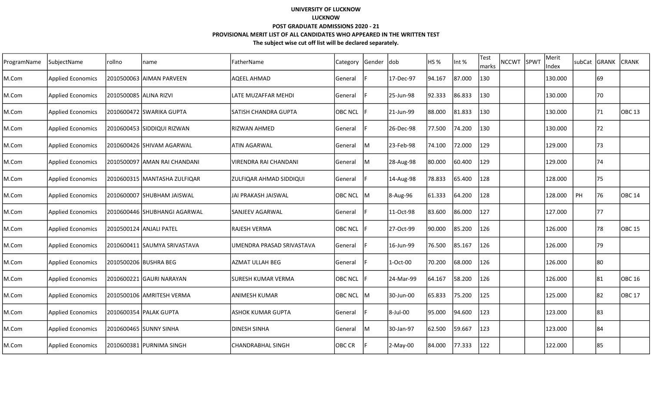| ProgramName | SubjectName              | rollno                  | name                          | FatherName                | Category       | Gender  dob |            | HS <sub>%</sub> | Int %  | Test<br>marks | <b>NCCWT</b> | SPWT | Merit<br>Index | subCat | <b>GRANK</b> | <b>CRANK</b>      |
|-------------|--------------------------|-------------------------|-------------------------------|---------------------------|----------------|-------------|------------|-----------------|--------|---------------|--------------|------|----------------|--------|--------------|-------------------|
| M.Com       | <b>Applied Economics</b> |                         | 2010500063 AIIMAN PARVEEN     | <b>AQEEL AHMAD</b>        | General        |             | 17-Dec-97  | 94.167          | 87.000 | 130           |              |      | 130.000        |        | 69           |                   |
| M.Com       | <b>Applied Economics</b> | 2010500085  ALINA RIZVI |                               | LATE MUZAFFAR MEHDI       | General        |             | 25-Jun-98  | 92.333          | 86.833 | 130           |              |      | 130.000        |        | 70           |                   |
| M.Com       | <b>Applied Economics</b> |                         | 2010600472 SWARIKA GUPTA      | ISATISH CHANDRA GUPTA     | <b>OBC NCL</b> |             | 21-Jun-99  | 88.000          | 81.833 | 130           |              |      | 130.000        |        | 71           | OBC 13            |
| M.Com       | <b>Applied Economics</b> |                         | 2010600453 SIDDIQUI RIZWAN    | İRIZWAN AHMED             | General        |             | 26-Dec-98  | 77.500          | 74.200 | 130           |              |      | 130.000        |        | 72           |                   |
| M.Com       | <b>Applied Economics</b> |                         | l2010600426 lSHIVAM AGARWAL   | ATIN AGARWAL              | General        | ΙM          | 23-Feb-98  | 74.100          | 72.000 | 129           |              |      | 129.000        |        | 73           |                   |
| M.Com       | <b>Applied Economics</b> |                         | 2010500097 AMAN RAI CHANDANI  | VIRENDRA RAI CHANDANI     | General        | lм          | 28-Aug-98  | 80.000          | 60.400 | 129           |              |      | 129.000        |        | 74           |                   |
| M.Com       | <b>Applied Economics</b> |                         | 2010600315  MANTASHA ZULFIQAR | ZULFIQAR AHMAD SIDDIQUI   | General        |             | 14-Aug-98  | 78.833          | 65.400 | 128           |              |      | 128.000        |        | 75           |                   |
| M.Com       | <b>Applied Economics</b> |                         | 2010600007 SHUBHAM JAISWAL    | JAI PRAKASH JAISWAL       | <b>OBC NCL</b> | M           | 8-Aug-96   | 61.333          | 64.200 | 128           |              |      | 128.000        | PH     | 76           | OBC 14            |
| M.Com       | <b>Applied Economics</b> |                         | 2010600446 SHUBHANGI AGARWAL  | lSANJEEV AGARWAL          | General        |             | 11-Oct-98  | 83.600          | 86.000 | 127           |              |      | 127.000        |        | 77           |                   |
| M.Com       | <b>Applied Economics</b> |                         | 2010500124 ANJALI PATEL       | <b>RAJESH VERMA</b>       | <b>OBC NCL</b> |             | 27-Oct-99  | 90.000          | 85.200 | 126           |              |      | 126.000        |        | 78           | OBC 15            |
| M.Com       | <b>Applied Economics</b> |                         | 2010600411 SAUMYA SRIVASTAVA  | UMENDRA PRASAD SRIVASTAVA | General        |             | 16-Jun-99  | 76.500          | 85.167 | 126           |              |      | 126.000        |        | 79           |                   |
| M.Com       | <b>Applied Economics</b> |                         | 2010500206 BUSHRA BEG         | <b>AZMAT ULLAH BEG</b>    | General        |             | 1-Oct-00   | 70.200          | 68.000 | 126           |              |      | 126.000        |        | 180          |                   |
| M.Com       | <b>Applied Economics</b> |                         | 2010600221 GAURI NARAYAN      | <b>SURESH KUMAR VERMA</b> | <b>OBC NCL</b> |             | 24-Mar-99  | 64.167          | 58.200 | 126           |              |      | 126.000        |        | 81           | <b>OBC 16</b>     |
| M.Com       | <b>Applied Economics</b> |                         | 2010500106 JAMRITESH VERMA    | IANIMESH KUMAR            | OBC NCL        | IM.         | 30-Jun-00  | 65.833          | 75.200 | 125           |              |      | 125.000        |        | 82           | OBC <sub>17</sub> |
| M.Com       | <b>Applied Economics</b> |                         | 2010600354 PALAK GUPTA        | <b>ASHOK KUMAR GUPTA</b>  | General        |             | 8-Jul-00   | 95.000          | 94.600 | 123           |              |      | 123.000        |        | 83           |                   |
| M.Com       | <b>Applied Economics</b> |                         | 2010600465 SUNNY SINHA        | <b>DINESH SINHA</b>       | General        | ΙM          | 30-Jan-97  | 62.500          | 59.667 | 123           |              |      | 123.000        |        | 84           |                   |
| M.Com       | <b>Applied Economics</b> |                         | 2010600381 PURNIMA SINGH      | <b>CHANDRABHAL SINGH</b>  | OBC CR         |             | $2-May-00$ | 84.000          | 77.333 | 122           |              |      | 122.000        |        | 85           |                   |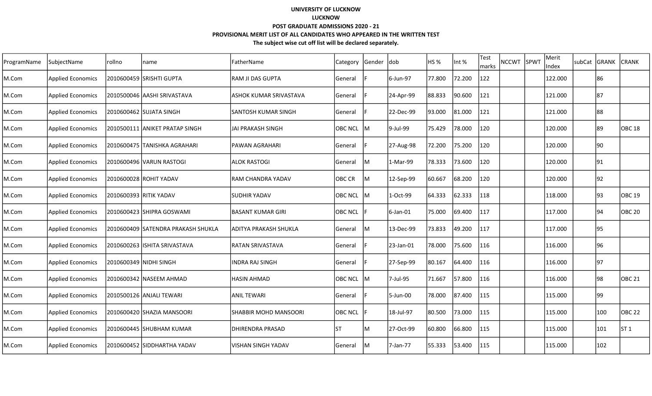| ProgramName | SubjectName              | rollno | name                               | FatherName                   | <b>Category</b> | Gender | <b>dob</b>  | HS <sub>%</sub> | Int %  | Test<br>marks | <b>NCCWT</b> | SPWT | Merit<br>Index | subCat | <b>GRANK</b> | <b>CRANK</b>  |
|-------------|--------------------------|--------|------------------------------------|------------------------------|-----------------|--------|-------------|-----------------|--------|---------------|--------------|------|----------------|--------|--------------|---------------|
| M.Com       | <b>Applied Economics</b> |        | 2010600459 SRISHTI GUPTA           | <b>RAM JI DAS GUPTA</b>      | General         |        | 6-Jun-97    | 77.800          | 72.200 | 122           |              |      | 122.000        |        | 86           |               |
| M.Com       | <b>Applied Economics</b> |        | 2010500046  AASHI SRIVASTAVA       | lashok kumar srivastava      | General         |        | 24-Apr-99   | 88.833          | 90.600 | 121           |              |      | 121.000        |        | 87           |               |
| M.Com       | <b>Applied Economics</b> |        | 2010600462  SUJATA SINGH           | lSANTOSH KUMAR SINGH         | General         |        | 22-Dec-99   | 93.000          | 81.000 | 121           |              |      | 121.000        |        | 88           |               |
| M.Com       | <b>Applied Economics</b> |        | 2010500111 ANIKET PRATAP SINGH     | lJAI PRAKASH SINGH           | OBC NCL M       |        | 9-Jul-99    | 75.429          | 78.000 | 120           |              |      | 120.000        |        | 89           | OBC 18        |
| M.Com       | <b>Applied Economics</b> |        | 2010600475 TANISHKA AGRAHARI       | IPAWAN AGRAHARI              | General         |        | 27-Aug-98   | 72.200          | 75.200 | 120           |              |      | 120.000        |        | 90           |               |
| M.Com       | <b>Applied Economics</b> |        | l2010600496 lVARUN RASTOGI         | lALOK RASTOGI                | General         | lм     | 1-Mar-99    | 78.333          | 73.600 | 120           |              |      | 120.000        |        | 91           |               |
| M.Com       | <b>Applied Economics</b> |        | 2010600028 ROHIT YADAV             | IRAM CHANDRA YADAV           | OBC CR          | ΙM     | 12-Sep-99   | 60.667          | 68.200 | 120           |              |      | 120.000        |        | 92           |               |
| M.Com       | <b>Applied Economics</b> |        | 2010600393 RITIK YADAV             | ISUDHIR YADAV                | <b>OBC NCL</b>  | м      | 1-Oct-99    | 64.333          | 62.333 | 118           |              |      | 118.000        |        | 93           | <b>OBC 19</b> |
| M.Com       | <b>Applied Economics</b> |        | 2010600423 SHIPRA GOSWAMI          | <b>BASANT KUMAR GIRI</b>     | <b>OBC NCL</b>  |        | $6$ -Jan-01 | 75.000          | 69.400 | 117           |              |      | 117.000        |        | 94           | OBC 20        |
| M.Com       | <b>Applied Economics</b> |        | 2010600409 SATENDRA PRAKASH SHUKLA | laditya prakash shukla       | <b>General</b>  | lм     | 13-Dec-99   | 73.833          | 49.200 | 117           |              |      | 117.000        |        | 95           |               |
| M.Com       | <b>Applied Economics</b> |        | 2010600263  ISHITA SRIVASTAVA      | <b>IRATAN SRIVASTAVA</b>     | General         |        | 23-Jan-01   | 78.000          | 75.600 | 116           |              |      | 116.000        |        | 96           |               |
| M.Com       | <b>Applied Economics</b> |        | 2010600349 NIDHI SINGH             | INDRA RAJ SINGH              | General         |        | 27-Sep-99   | 80.167          | 64.400 | 116           |              |      | 116.000        |        | 97           |               |
| M.Com       | <b>Applied Economics</b> |        | 2010600342 NASEEM AHMAD            | HASIN AHMAD                  | <b>OBC NCL</b>  | ΙM     | 7-Jul-95    | 71.667          | 57.800 | 116           |              |      | 116.000        |        | 98           | <b>OBC 21</b> |
| M.Com       | <b>Applied Economics</b> |        | 2010500126 ANJALI TEWARI           | IANIL TEWARI                 | General         |        | 5-Jun-00    | 78.000          | 87.400 | 115           |              |      | 115.000        |        | 99           |               |
| M.Com       | <b>Applied Economics</b> |        | 2010600420 SHAZIA MANSOORI         | <b>SHABBIR MOHD MANSOORI</b> | <b>OBC NCL</b>  |        | 18-Jul-97   | 80.500          | 73.000 | 115           |              |      | 115.000        |        | 100          | <b>OBC 22</b> |
| M.Com       | <b>Applied Economics</b> |        | 2010600445  SHUBHAM KUMAR          | IDHIRENDRA PRASAD            | IST             | ΙM     | 27-Oct-99   | 60.800          | 66.800 | 115           |              |      | 115.000        |        | 101          | ST 1          |
| M.Com       | <b>Applied Economics</b> |        | 2010600452 SIDDHARTHA YADAV        | lvishan singh yadav          | General         | lм     | 7-Jan-77    | 55.333          | 53.400 | 115           |              |      | 115.000        |        | 102          |               |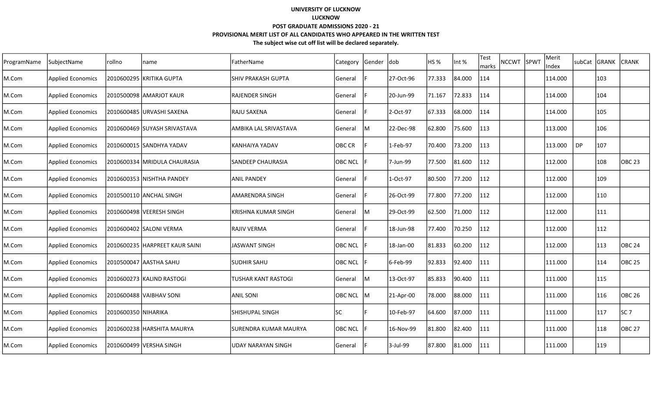| ProgramName | lSubiectName             | Irollno             | name                           | FatherName                 | Category       | Gender dob |           | HS %   | Int %   | <b>Test</b><br>marks | NCCWT SPWT | Merit<br>Index |           | subCat GRANK | <b>CRANK</b>  |
|-------------|--------------------------|---------------------|--------------------------------|----------------------------|----------------|------------|-----------|--------|---------|----------------------|------------|----------------|-----------|--------------|---------------|
| M.Com       | <b>Applied Economics</b> |                     | 2010600295 KRITIKA GUPTA       | SHIV PRAKASH GUPTA         | General        |            | 27-Oct-96 | 77.333 | 84.000  | 114                  |            | 114.000        |           | 103          |               |
| M.Com       | <b>Applied Economics</b> |                     | 2010500098 AMARJOT KAUR        | RAJENDER SINGH             | General        |            | 20-Jun-99 | 71.167 | 72.833  | 114                  |            | 114.000        |           | 104          |               |
| M.Com       | <b>Applied Economics</b> |                     | 2010600485 URVASHI SAXENA      | RAJU SAXENA                | General        |            | 2-Oct-97  | 67.333 | 68.000  | 114                  |            | 114.000        |           | 105          |               |
| M.Com       | <b>Applied Economics</b> |                     | 2010600469 SUYASH SRIVASTAVA   | AMBIKA LAL SRIVASTAVA      | General        | lм         | 22-Dec-98 | 62.800 | 75.600  | 113                  |            | 113.000        |           | 106          |               |
| M.Com       | <b>Applied Economics</b> |                     | 2010600015 SANDHYA YADAV       | IKANHAIYA YADAV            | <b>OBC CR</b>  |            | 1-Feb-97  | 70.400 | 73.200  | 113                  |            | 113.000        | <b>DP</b> | 107          |               |
| M.Com       | <b>Applied Economics</b> |                     | 2010600334   MRIDULA CHAURASIA | SANDEEP CHAURASIA          | <b>OBC NCL</b> |            | 7-Jun-99  | 77.500 | 81.600  | 112                  |            | 112.000        |           | 108          | <b>OBC 23</b> |
| M.Com       | <b>Applied Economics</b> |                     | 2010600353 NISHTHA PANDEY      | ANIL PANDEY                | General        |            | 1-Oct-97  | 80.500 | 77.200  | 112                  |            | 112.000        |           | 109          |               |
| M.Com       | <b>Applied Economics</b> |                     | 2010500110 ANCHAL SINGH        | <b>AMARENDRA SINGH</b>     | General        |            | 26-Oct-99 | 77.800 | 77.200  | 112                  |            | 112.000        |           | 110          |               |
| M.Com       | <b>Applied Economics</b> |                     | 2010600498 VEERESH SINGH       | KRISHNA KUMAR SINGH        | General        | M          | 29-Oct-99 | 62.500 | 71.000  | 112                  |            | 112.000        |           | 111          |               |
| M.Com       | Applied Economics        |                     | 2010600402 SALONI VERMA        | <b>RAJIV VERMA</b>         | General        |            | 18-Jun-98 | 77.400 | 70.250  | 112                  |            | 112.000        |           | 112          |               |
| M.Com       | <b>Applied Economics</b> |                     | 2010600235 HARPREET KAUR SAINI | <b>JASWANT SINGH</b>       | <b>OBC NCL</b> |            | 18-Jan-00 | 81.833 | 60.200  | 112                  |            | 112.000        |           | 113          | OBC 24        |
| M.Com       | <b>Applied Economics</b> |                     | 12010500047 AASTHA SAHU        | SUDHIR SAHU                | <b>OBC NCL</b> |            | 6-Feb-99  | 92.833 | 92.400  | 111                  |            | 111.000        |           | 114          | OBC 25        |
| M.Com       | <b>Applied Economics</b> |                     | 2010600273 KALIND RASTOGI      | <b>TUSHAR KANT RASTOGI</b> | General        | IM         | 13-Oct-97 | 85.833 | 190.400 | 111                  |            | 111.000        |           | 115          |               |
| M.Com       | <b>Applied Economics</b> |                     | 2010600488 VAIBHAV SONI        | ANIL SONI                  | <b>OBC NCL</b> | lм         | 21-Apr-00 | 78.000 | 88.000  | 111                  |            | 111.000        |           | 116          | <b>OBC 26</b> |
| M.Com       | <b>Applied Economics</b> | 2010600350 NIHARIKA |                                | SHISHUPAL SINGH            | <b>SC</b>      |            | 10-Feb-97 | 64.600 | 87.000  | 111                  |            | 111.000        |           | 117          | SC 7          |
| M.Com       | <b>Applied Economics</b> |                     | 2010600238 HARSHITA MAURYA     | ISURENDRA KUMAR MAURYA     | <b>OBC NCL</b> |            | 16-Nov-99 | 81.800 | 82.400  | 111                  |            | 111.000        |           | 118          | <b>OBC 27</b> |
| M.Com       | <b>Applied Economics</b> |                     | 2010600499 VERSHA SINGH        | <b>UDAY NARAYAN SINGH</b>  | General        |            | 3-Jul-99  | 87.800 | 81.000  | 111                  |            | 111.000        |           | 119          |               |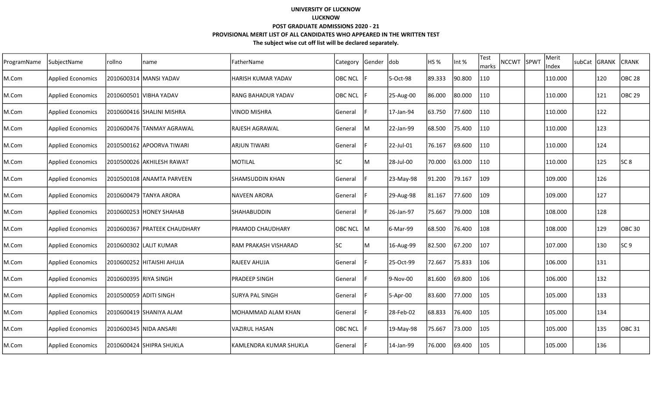| ProgramName | SubjectName              | rollno                 | name                         | FatherName              | Category       | Gender | dob       | HS <sub>%</sub> | Int %  | Test<br>NCCWT SPWT<br>marks | Merit<br>Index | subCat GRANK |     | <b>CRANK</b>    |
|-------------|--------------------------|------------------------|------------------------------|-------------------------|----------------|--------|-----------|-----------------|--------|-----------------------------|----------------|--------------|-----|-----------------|
| M.Com       | <b>Applied Economics</b> |                        | 2010600314 MANSI YADAV       | HARISH KUMAR YADAV      | <b>OBC NCL</b> |        | 5-Oct-98  | 89.333          | 90.800 | 110                         | 110.000        |              | 120 | <b>OBC 28</b>   |
| M.Com       | <b>Applied Economics</b> |                        | 2010600501 VIBHA YADAV       | RANG BAHADUR YADAV      | <b>OBC NCL</b> |        | 25-Aug-00 | 86.000          | 80.000 | 110                         | 110.000        |              | 121 | <b>OBC 29</b>   |
| M.Com       | <b>Applied Economics</b> |                        | 2010600416  SHALINI MISHRA   | <b>VINOD MISHRA</b>     | General        |        | 17-Jan-94 | 63.750          | 77.600 | 110                         | 110.000        |              | 122 |                 |
| M.Com       | <b>Applied Economics</b> |                        | l2010600476 lTANMAY AGRAWAL  | <b>RAJESH AGRAWAL</b>   | General        | lM     | 22-Jan-99 | 68.500          | 75.400 | 110                         | 110.000        |              | 123 |                 |
| M.Com       | <b>Applied Economics</b> |                        | 2010500162 APOORVA TIWARI    | <b>ARJUN TIWARI</b>     | General        |        | 22-Jul-01 | 76.167          | 69.600 | 110                         | 110.000        |              | 124 |                 |
| M.Com       | <b>Applied Economics</b> |                        | 2010500026 AKHILESH RAWAT    | <b>MOTILAL</b>          | SC             | M      | 28-Jul-00 | 70.000          | 63.000 | 110                         | 110.000        |              | 125 | SC 8            |
| M.Com       | <b>Applied Economics</b> |                        | l2010500108 lANAMTA PARVEEN  | <b>SHAMSUDDIN KHAN</b>  | General        |        | 23-May-98 | 91.200          | 79.167 | 109                         | 109.000        |              | 126 |                 |
| M.Com       | <b>Applied Economics</b> |                        | 2010600479 TANYA ARORA       | <b>NAVEEN ARORA</b>     | General        |        | 29-Aug-98 | 81.167          | 77.600 | 109                         | 109.000        |              | 127 |                 |
| M.Com       | <b>Applied Economics</b> |                        | 2010600253 HONEY SHAHAB      | SHAHABUDDIN             | General        |        | 26-Jan-97 | 75.667          | 79.000 | 108                         | 108.000        |              | 128 |                 |
| M.Com       | <b>Applied Economics</b> |                        | 2010600367 PRATEEK CHAUDHARY | <b>PRAMOD CHAUDHARY</b> | OBC NCL        | IM.    | 6-Mar-99  | 68.500          | 76.400 | 108                         | 108.000        |              | 129 | <b>OBC 30</b>   |
| M.Com       | <b>Applied Economics</b> |                        | 2010600302 LALIT KUMAR       | RAM PRAKASH VISHARAD    | SC             | M      | 16-Aug-99 | 82.500          | 67.200 | 107                         | 107.000        |              | 130 | SC <sub>9</sub> |
| M.Com       | <b>Applied Economics</b> |                        | 2010600252 HITAISHI AHUJA    | RAJEEV AHUJA            | General        |        | 25-Oct-99 | 72.667          | 75.833 | 106                         | 106.000        |              | 131 |                 |
| M.Com       | <b>Applied Economics</b> | 2010600395  RIYA SINGH |                              | <b>PRADEEP SINGH</b>    | General        |        | 9-Nov-00  | 81.600          | 69.800 | 106                         | 106.000        |              | 132 |                 |
| M.Com       | <b>Applied Economics</b> | 2010500059 ADITI SINGH |                              | <b>SURYA PAL SINGH</b>  | General        |        | 5-Apr-00  | 83.600          | 77.000 | 105                         | 105.000        |              | 133 |                 |
| M.Com       | <b>Applied Economics</b> |                        | 2010600419 SHANIYA ALAM      | MOHAMMAD ALAM KHAN      | General        |        | 28-Feb-02 | 68.833          | 76.400 | 105                         | 105.000        |              | 134 |                 |
| M.Com       | <b>Applied Economics</b> |                        | 2010600345 NIDA ANSARI       | VAZIRUL HASAN           | <b>OBC NCL</b> |        | 19-May-98 | 75.667          | 73.000 | 105                         | 105.000        |              | 135 | <b>OBC 31</b>   |
| M.Com       | <b>Applied Economics</b> |                        | 2010600424 SHIPRA SHUKLA     | KAMLENDRA KUMAR SHUKLA  | General        |        | 14-Jan-99 | 76.000          | 69.400 | 105                         | 105.000        |              | 136 |                 |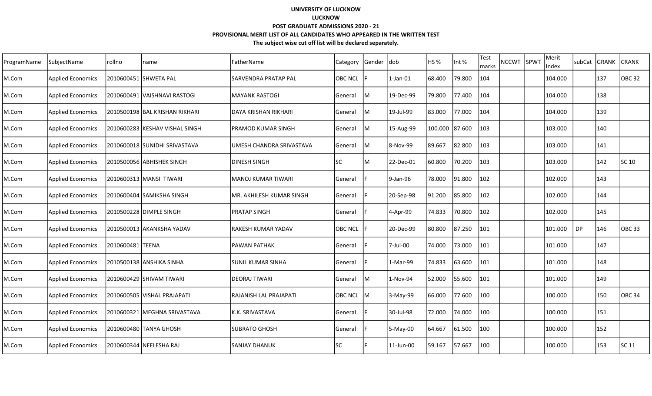| ProgramName | SubjectName              | rollno                | name                           | lFatherName              | Category       | Gender dob |                | HS %           | Int %  | Test<br>marks | <b>NCCWT</b> | SPWT | Merit<br>Index | subCat | <b>GRANK</b> | <b>CRANK</b>      |
|-------------|--------------------------|-----------------------|--------------------------------|--------------------------|----------------|------------|----------------|----------------|--------|---------------|--------------|------|----------------|--------|--------------|-------------------|
| M.Com       | <b>Applied Economics</b> | 2010600451 SHWETA PAL |                                | ISARVENDRA PRATAP PAL    | <b>OBC NCL</b> |            | $1$ -Jan- $01$ | 68.400         | 79.800 | 104           |              |      | 104.000        |        | 137          | <b>OBC32</b>      |
| M.Com       | <b>Applied Economics</b> |                       | 2010600491 VAISHNAVI RASTOGI   | lMAYANK RASTOGI          | General        | lM         | 19-Dec-99      | 79.800         | 77.400 | 104           |              |      | 104.000        |        | 138          |                   |
| M.Com       | <b>Applied Economics</b> |                       | 2010500198 BAL KRISHAN RIKHARI | IDAYA KRISHAN RIKHARI    | General        | lM         | 19-Jul-99      | 83.000         | 77.000 | 104           |              |      | 104.000        |        | 139          |                   |
| M.Com       | <b>Applied Economics</b> |                       | 2010600283 KESHAV VISHAL SINGH | IPRAMOD KUMAR SINGH      | General        | lм         | 15-Aug-99      | 100.000 87.600 |        | 103           |              |      | 103.000        |        | 140          |                   |
| M.Com       | <b>Applied Economics</b> |                       | 2010600018 SUNIDHI SRIVASTAVA  | UMESH CHANDRA SRIVASTAVA | General        | lM         | 8-Nov-99       | 89.667         | 82.800 | 103           |              |      | 103.000        |        | 141          |                   |
| M.Com       | <b>Applied Economics</b> |                       | 2010500056 ABHISHEK SINGH      | <b>DINESH SINGH</b>      | lsc            | ΙM         | 22-Dec-01      | 60.800         | 70.200 | 103           |              |      | 103.000        |        | 142          | SC 10             |
| M.Com       | <b>Applied Economics</b> |                       | 2010600313 MANSI TIWARI        | IMANOJ KUMAR TIWARI      | General        |            | 9-Jan-96       | 78.000         | 91.800 | 102           |              |      | 102.000        |        | 143          |                   |
| M.Com       | <b>Applied Economics</b> |                       | 2010600404 SAMIKSHA SINGH      | MR. AKHILESH KUMAR SINGH | General        |            | 20-Sep-98      | 91.200         | 85.800 | 102           |              |      | 102.000        |        | 144          |                   |
| M.Com       | Applied Economics        |                       | 2010500228 DIMPLE SINGH        | IPRATAP SINGH            | General        |            | 4-Apr-99       | 74.833         | 70.800 | 102           |              |      | 102.000        |        | 145          |                   |
| M.Com       | <b>Applied Economics</b> |                       | 2010500013 AKANKSHA YADAV      | RAKESH KUMAR YADAV       | <b>OBC NCL</b> |            | 20-Dec-99      | 80.800         | 87.250 | 101           |              |      | 101.000        | DP     | 146          | OBC <sub>33</sub> |
| M.Com       | <b>Applied Economics</b> | 2010600481 TEENA      |                                | lpawan pathak            | General        |            | 7-Jul-00       | 74.000         | 73.000 | 101           |              |      | 101.000        |        | 147          |                   |
| M.Com       | <b>Applied Economics</b> |                       | 2010500138 ANSHIKA SINHA       | İSUNIL KUMAR SINHA       | General        |            | 1-Mar-99       | 74.833         | 63.600 | 101           |              |      | 101.000        |        | 148          |                   |
| M.Com       | <b>Applied Economics</b> |                       | 2010600429 SHIVAM TIWARI       | DEORAJ TIWARI            | General        | lM         | 1-Nov-94       | 52.000         | 55.600 | 101           |              |      | 101.000        |        | 149          |                   |
| M.Com       | <b>Applied Economics</b> |                       | 2010600505 VISHAL PRAJAPATI    | IRAJANISH LAL PRAJAPATI  | <b>OBC NCL</b> | ΙM         | 3-May-99       | 66.000         | 77.600 | 100           |              |      | 100.000        |        | 150          | OBC <sub>34</sub> |
| M.Com       | <b>Applied Economics</b> |                       | 2010600321 MEGHNA SRIVASTAVA   | K.K. SRIVASTAVA          | General        |            | 30-Jul-98      | 72.000         | 74.000 | 100           |              |      | 100.000        |        | 151          |                   |
| M.Com       | Applied Economics        |                       | 2010600480 TANYA GHOSH         | SUBRATO GHOSH            | General        |            | 5-May-00       | 64.667         | 61.500 | 100           |              |      | 100.000        |        | 152          |                   |
| M.Com       | <b>Applied Economics</b> |                       | 2010600344 NEELESHA RAJ        | ISANJAY DHANUK           | <b>SC</b>      |            | 11-Jun-00      | 59.167         | 57.667 | 100           |              |      | 100.000        |        | 153          | SC 11             |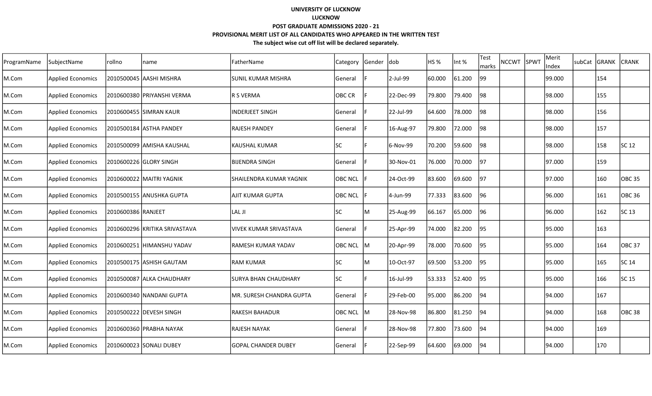| ProgramName | SubjectName              | rollno             | name                          | FatherName                     | Category       | Gender dob |           | HS %   | Int %  | Test<br>marks | <b>NCCWT</b> | SPWT | Merit<br>Index | subCat GRANK | <b>CRANK</b>      |
|-------------|--------------------------|--------------------|-------------------------------|--------------------------------|----------------|------------|-----------|--------|--------|---------------|--------------|------|----------------|--------------|-------------------|
| M.Com       | <b>Applied Economics</b> |                    | 2010500045 AASHI MISHRA       | <b>ISUNIL KUMAR MISHRA</b>     | General        |            | 2-Jul-99  | 60.000 | 61.200 | 99            |              |      | 99.000         | 154          |                   |
| M.Com       | <b>Applied Economics</b> |                    | 2010600380 PRIYANSHI VERMA    | R S VERMA                      | OBC CR         |            | 22-Dec-99 | 79.800 | 79.400 | 98            |              |      | 98.000         | 155          |                   |
| M.Com       | <b>Applied Economics</b> |                    | 2010600455 SIMRAN KAUR        | INDERJEET SINGH                | General        |            | 22-Jul-99 | 64.600 | 78.000 | 98            |              |      | 98.000         | 156          |                   |
| M.Com       | <b>Applied Economics</b> |                    |                               | <b>RAJESH PANDEY</b>           | lGeneral       |            | 16-Aug-97 | 79.800 | 72.000 | 98            |              |      | 98.000         | 157          |                   |
| M.Com       | <b>Applied Economics</b> |                    | 2010500099 AMISHA KAUSHAL     | KAUSHAL KUMAR                  | <b>SC</b>      |            | 6-Nov-99  | 70.200 | 59.600 | 98            |              |      | 98.000         | 158          | SC 12             |
| M.Com       | <b>Applied Economics</b> |                    | 2010600226 GLORY SINGH        | <b>BIJENDRA SINGH</b>          | <b>General</b> |            | 30-Nov-01 | 76.000 | 70.000 | 197           |              |      | 97.000         | 159          |                   |
| M.Com       | <b>Applied Economics</b> |                    | 2010600022 MAITRI YAGNIK      | ISHAILENDRA KUMAR YAGNIK       | <b>OBC NCL</b> |            | 24-Oct-99 | 83.600 | 69.600 | 97            |              |      | 97.000         | 160          | <b>OBC 35</b>     |
| M.Com       | <b>Applied Economics</b> |                    | 2010500155  ANUSHKA GUPTA     | <b>AJIT KUMAR GUPTA</b>        | <b>OBC NCL</b> |            | 4-Jun-99  | 77.333 | 83.600 | 96            |              |      | 96.000         | 161          | <b>OBC 36</b>     |
| M.Com       | <b>Applied Economics</b> | 2010600386 RANJEET |                               | LAL JI                         | lsc            | ΙM         | 25-Aug-99 | 66.167 | 65.000 | 96            |              |      | 96.000         | 162          | SC 13             |
| M.Com       | <b>Applied Economics</b> |                    | 2010600296 KRITIKA SRIVASTAVA | <b>IVIVEK KUMAR SRIVASTAVA</b> | lGeneral       |            | 25-Apr-99 | 74.000 | 82.200 | 95            |              |      | 95.000         | 163          |                   |
| M.Com       | <b>Applied Economics</b> |                    | 2010600251 HIMANSHU YADAV     | <b>RAMESH KUMAR YADAV</b>      | <b>OBC NCL</b> | lм         | 20-Apr-99 | 78.000 | 70.600 | 95            |              |      | 95.000         | 164          | OBC 37            |
| M.Com       | <b>Applied Economics</b> |                    | 2010500175 ASHISH GAUTAM      | lram kumar                     | <b>SC</b>      | lM.        | 10-Oct-97 | 69.500 | 53.200 | 95            |              |      | 95.000         | 165          | SC 14             |
| M.Com       | <b>Applied Economics</b> |                    | 2010500087 ALKA CHAUDHARY     | SURYA BHAN CHAUDHARY           | lsc            |            | 16-Jul-99 | 53.333 | 52.400 | 95            |              |      | 95.000         | 166          | SC 15             |
| M.Com       | <b>Applied Economics</b> |                    | 2010600340 NANDANI GUPTA      | MR. SURESH CHANDRA GUPTA       | General        |            | 29-Feb-00 | 95.000 | 86.200 | 94            |              |      | 94.000         | 167          |                   |
| M.Com       | <b>Applied Economics</b> |                    | 2010500222 DEVESH SINGH       | lrakesh bahadur                | <b>OBC NCL</b> | ΙM         | 28-Nov-98 | 86.800 | 81.250 | 94            |              |      | 94.000         | 168          | OBC <sub>38</sub> |
| M.Com       | <b>Applied Economics</b> |                    | 2010600360 PRABHA NAYAK       | <b>RAJESH NAYAK</b>            | General        |            | 28-Nov-98 | 77.800 | 73.600 | 94            |              |      | 94.000         | 169          |                   |
| M.Com       | <b>Applied Economics</b> |                    | 2010600023 SONALI DUBEY       | lGOPAL CHANDER DUBEY           | <b>General</b> |            | 22-Sep-99 | 64.600 | 69.000 | 94            |              |      | 94.000         | 170          |                   |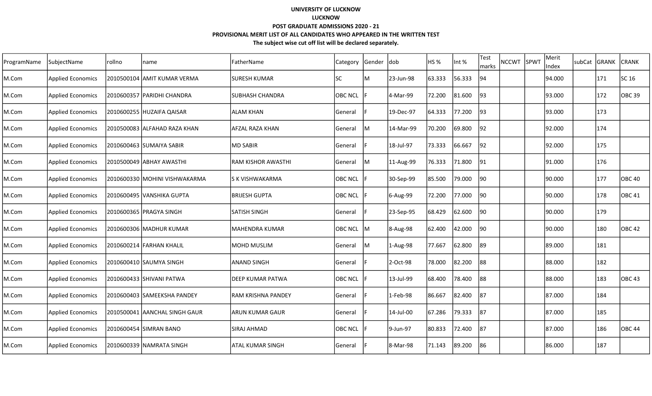| ProgramName | SubjectName              | rollno | name                           | FatherName              | Category       | Gender | dob       | HS %   | Int %  | Test<br>marks | NCCWT SPWT | Merit<br>Index | subCat GRANK |     | <b>CRANK</b>  |
|-------------|--------------------------|--------|--------------------------------|-------------------------|----------------|--------|-----------|--------|--------|---------------|------------|----------------|--------------|-----|---------------|
| M.Com       | <b>Applied Economics</b> |        | 2010500104 AMIT KUMAR VERMA    | <b>SURESH KUMAR</b>     | SC             | ΙM     | 23-Jun-98 | 63.333 | 56.333 | 94            |            | 94.000         |              | 171 | SC 16         |
| M.Com       | <b>Applied Economics</b> |        | 2010600357  PARIDHI CHANDRA    | <b>SUBHASH CHANDRA</b>  | <b>OBC NCL</b> |        | 4-Mar-99  | 72.200 | 81.600 | 93            |            | 93.000         |              | 172 | <b>OBC 39</b> |
| M.Com       | <b>Applied Economics</b> |        | 2010600255 HUZAIFA QAISAR      | <b>ALAM KHAN</b>        | General        |        | 19-Dec-97 | 64.333 | 77.200 | 93            |            | 93.000         |              | 173 |               |
| M.Com       | <b>Applied Economics</b> |        | 2010500083 ALFAHAD RAZA KHAN   | AFZAL RAZA KHAN         | General        | IM.    | 14-Mar-99 | 70.200 | 69.800 | 92            |            | 92.000         |              | 174 |               |
| M.Com       | <b>Applied Economics</b> |        | 2010600463 SUMAIYA SABIR       | <b>MD SABIR</b>         | General        |        | 18-Jul-97 | 73.333 | 66.667 | 92            |            | 92.000         |              | 175 |               |
| M.Com       | <b>Applied Economics</b> |        | 2010500049 ABHAY AWASTHI       | RAM KISHOR AWASTHI      | General        | IM.    | 11-Aug-99 | 76.333 | 71.800 | 191           |            | 91.000         |              | 176 |               |
| M.Com       | <b>Applied Economics</b> |        | 2010600330  MOHINI VISHWAKARMA | S K VISHWAKARMA         | OBC NCL        |        | 30-Sep-99 | 85.500 | 79.000 | 90            |            | 90.000         |              | 177 | <b>OBC 40</b> |
| M.Com       | <b>Applied Economics</b> |        | 2010600495  VANSHIKA GUPTA     | <b>BRIJESH GUPTA</b>    | <b>OBC NCL</b> |        | 6-Aug-99  | 72.200 | 77.000 | 90            |            | 90.000         |              | 178 | <b>OBC 41</b> |
| M.Com       | <b>Applied Economics</b> |        | 2010600365 PRAGYA SINGH        | <b>SATISH SINGH</b>     | General        |        | 23-Sep-95 | 68.429 | 62.600 | 90            |            | 90.000         |              | 179 |               |
| M.Com       | <b>Applied Economics</b> |        | 2010600306 MADHUR KUMAR        | MAHENDRA KUMAR          | OBC NCL M      |        | 8-Aug-98  | 62.400 | 42.000 | 90            |            | 90.000         |              | 180 | <b>OBC 42</b> |
| M.Com       | <b>Applied Economics</b> |        | 2010600214 FARHAN KHALIL       | <b>MOHD MUSLIM</b>      | General        | IM.    | 1-Aug-98  | 77.667 | 62.800 | 89            |            | 89.000         |              | 181 |               |
| M.Com       | <b>Applied Economics</b> |        | 2010600410 SAUMYA SINGH        | <b>ANAND SINGH</b>      | General        |        | 2-Oct-98  | 78.000 | 82.200 | 88            |            | 88.000         |              | 182 |               |
| M.Com       | <b>Applied Economics</b> |        | 2010600433 SHIVANI PATWA       | <b>DEEP KUMAR PATWA</b> | <b>OBC NCL</b> |        | 13-Jul-99 | 68.400 | 78.400 | 88            |            | 88.000         |              | 183 | OBC 43        |
| M.Com       | <b>Applied Economics</b> |        | 2010600403 SAMEEKSHA PANDEY    | RAM KRISHNA PANDEY      | General        |        | 1-Feb-98  | 86.667 | 82.400 | 187           |            | 87.000         |              | 184 |               |
| M.Com       | <b>Applied Economics</b> |        | 2010500041 AANCHAL SINGH GAUR  | <b>ARUN KUMAR GAUR</b>  | General        |        | 14-Jul-00 | 67.286 | 79.333 | 87            |            | 87.000         |              | 185 |               |
| M.Com       | <b>Applied Economics</b> |        | 2010600454 SIMRAN BANO         | SIRAJ AHMAD             | <b>OBC NCL</b> |        | 9-Jun-97  | 80.833 | 72.400 | 87            |            | 87.000         |              | 186 | <b>OBC 44</b> |
| M.Com       | <b>Applied Economics</b> |        | 2010600339  NAMRATA SINGH      | <b>ATAL KUMAR SINGH</b> | General        |        | 8-Mar-98  | 71.143 | 89.200 | 86            |            | 86.000         |              | 187 |               |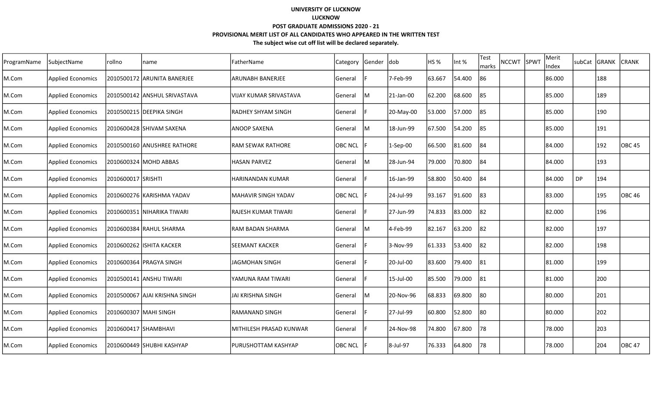| ProgramName | SubjectName              | rollno                | name                          | FatherName                      | Category       | Gender dob |            | HS %   | Int %  | Test<br>marks | <b>NCCWT</b> | SPWT | Merit<br>Index |           | subCat GRANK | <b>CRANK</b>      |
|-------------|--------------------------|-----------------------|-------------------------------|---------------------------------|----------------|------------|------------|--------|--------|---------------|--------------|------|----------------|-----------|--------------|-------------------|
| M.Com       | <b>Applied Economics</b> |                       | 2010500172 ARUNITA BANERJEE   | <b>ARUNABH BANERJEE</b>         | General        |            | 7-Feb-99   | 63.667 | 54.400 | 86            |              |      | 86.000         |           | 188          |                   |
| M.Com       | <b>Applied Economics</b> |                       | 2010500142 ANSHUL SRIVASTAVA  | lvijay kumar srivastava         | General        | M          | 21-Jan-00  | 62.200 | 68.600 | 85            |              |      | 85.000         |           | 189          |                   |
| M.Com       | <b>Applied Economics</b> |                       | 2010500215 DEEPIKA SINGH      | <b>IRADHEY SHYAM SINGH</b>      | General        |            | 20-May-00  | 53.000 | 57.000 | 85            |              |      | 85.000         |           | 190          |                   |
| M.Com       | <b>Applied Economics</b> |                       | 2010600428 SHIVAM SAXENA      | lanoop saxena                   | <b>General</b> | lм         | 18-Jun-99  | 67.500 | 54.200 | 185           |              |      | 85.000         |           | 191          |                   |
| M.Com       | <b>Applied Economics</b> |                       | 2010500160 ANUSHREE RATHORE   | <b>RAM SEWAK RATHORE</b>        | <b>OBC NCL</b> |            | $1-Sep-00$ | 66.500 | 81.600 | 184           |              |      | 84.000         |           | 192          | OBC 45            |
| M.Com       | <b>Applied Economics</b> |                       | 2010600324  MOHD ABBAS        | <b>HASAN PARVEZ</b>             | General        | lм         | 28-Jun-94  | 79.000 | 70.800 | 184           |              |      | 84.000         |           | 193          |                   |
| M.Com       | <b>Applied Economics</b> | 2010600017 SRISHTI    |                               | HARINANDAN KUMAR                | General        |            | 16-Jan-99  | 58.800 | 50.400 | 84            |              |      | 84.000         | <b>DP</b> | 194          |                   |
| M.Com       | <b>Applied Economics</b> |                       | 2010600276  KARISHMA YADAV    | lMAHAVIR SINGH YADAV            | <b>OBC NCL</b> |            | 24-Jul-99  | 93.167 | 91.600 | 83            |              |      | 83.000         |           | 195          | OBC <sub>46</sub> |
| M.Com       | <b>Applied Economics</b> |                       | 2010600351  NIHARIKA TIWARI   | RAJESH KUMAR TIWARI             | General        |            | 27-Jun-99  | 74.833 | 83.000 | 82            |              |      | 82.000         |           | 196          |                   |
| M.Com       | <b>Applied Economics</b> |                       | 2010600384 RAHUL SHARMA       | <b>RAM BADAN SHARMA</b>         | <b>General</b> | ΙM         | 4-Feb-99   | 82.167 | 63.200 | 82            |              |      | 82.000         |           | 197          |                   |
| M.Com       | <b>Applied Economics</b> |                       | 2010600262  ISHITA KACKER     | <b>ISEEMANT KACKER</b>          | General        |            | 3-Nov-99   | 61.333 | 53.400 | 182           |              |      | 82.000         |           | 198          |                   |
| M.Com       | <b>Applied Economics</b> |                       | 2010600364 PRAGYA SINGH       | JAGMOHAN SINGH                  | <b>General</b> |            | 20-Jul-00  | 83.600 | 79.400 | 181           |              |      | 81.000         |           | 199          |                   |
| M.Com       | <b>Applied Economics</b> |                       | 2010500141 ANSHU TIWARI       | YAMUNA RAM TIWARI               | General        |            | 15-Jul-00  | 85.500 | 79.000 | 81            |              |      | 81.000         |           | 200          |                   |
| M.Com       | <b>Applied Economics</b> |                       | 2010500067 AJAI KRISHNA SINGH | JAI KRISHNA SINGH               | General        | lM         | 20-Nov-96  | 68.833 | 69.800 | 80            |              |      | 80.000         |           | 201          |                   |
| M.Com       | <b>Applied Economics</b> | 2010600307 MAHI SINGH |                               | IRAMANAND SINGH                 | General        |            | 27-Jul-99  | 60.800 | 52.800 | 80            |              |      | 80.000         |           | 202          |                   |
| M.Com       | <b>Applied Economics</b> | 2010600417 SHAMBHAVI  |                               | <b>IMITHILESH PRASAD KUNWAR</b> | General        |            | 24-Nov-98  | 74.800 | 67.800 | 78            |              |      | 78.000         |           | 203          |                   |
| M.Com       | <b>Applied Economics</b> |                       | 2010600449 SHUBHI KASHYAP     | lpurushottam kashyap            | <b>OBC NCL</b> |            | 8-Jul-97   | 76.333 | 64.800 | 78            |              |      | 78.000         |           | 204          | OBC 47            |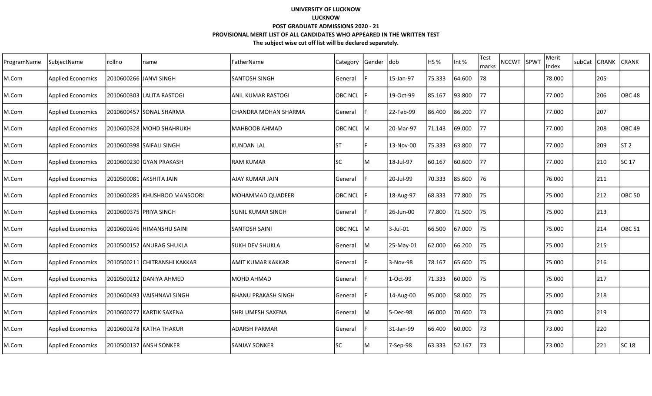| ProgramName | SubjectName              | rollno | name                         | FatherName               | Category       | Gender | <b>dob</b> | HS <sub>%</sub> | Int %  | Test<br>marks | nccwt Ispwt | Merit<br>Index | subCat | <b>GRANK</b> | <b>CRANK</b>      |
|-------------|--------------------------|--------|------------------------------|--------------------------|----------------|--------|------------|-----------------|--------|---------------|-------------|----------------|--------|--------------|-------------------|
| M.Com       | <b>Applied Economics</b> |        | 2010600266  JANVI SINGH      | SANTOSH SINGH            | General        |        | 15-Jan-97  | 75.333          | 64.600 | 78            |             | 78.000         |        | 205          |                   |
| M.Com       | <b>Applied Economics</b> |        | 2010600303 ILALITA RASTOGI   | lanıl kumar rastogi      | <b>OBC NCL</b> |        | 19-Oct-99  | 85.167          | 93.800 | 77            |             | 77.000         |        | 206          | OBC <sub>48</sub> |
| M.Com       | <b>Applied Economics</b> |        | 2010600457 SONAL SHARMA      | ICHANDRA MOHAN SHARMA    | General        |        | 22-Feb-99  | 86.400          | 86.200 | 77            |             | 77.000         |        | 207          |                   |
| M.Com       | <b>Applied Economics</b> |        | 2010600328 MOHD SHAHRUKH     | MAHBOOB AHMAD            | <b>OBC NCL</b> | lм     | 20-Mar-97  | 71.143          | 69.000 | 77            |             | 77.000         |        | 208          | <b>OBC</b> 49     |
| M.Com       | <b>Applied Economics</b> |        | 2010600398 SAIFALI SINGH     | KUNDAN LAL               | IST            |        | 13-Nov-00  | 75.333          | 63.800 | 77            |             | 77.000         |        | 209          | ST <sub>2</sub>   |
| M.Com       | <b>Applied Economics</b> |        | 2010600230 GYAN PRAKASH      | RAM KUMAR                | lsc            | M      | 18-Jul-97  | 60.167          | 60.600 | 77            |             | 77.000         |        | 210          | <b>SC 17</b>      |
| M.Com       | <b>Applied Economics</b> |        | 2010500081   AKSHITA JAIN    | AJAY KUMAR JAIN          | General        |        | 20-Jul-99  | 70.333          | 85.600 | 76            |             | 76.000         |        | 211          |                   |
| M.Com       | <b>Applied Economics</b> |        | 2010600285 KHUSHBOO MANSOORI | MOHAMMAD QUADEER         | <b>OBC NCL</b> |        | 18-Aug-97  | 68.333          | 77.800 | 75            |             | 75.000         |        | 212          | <b>OBC 50</b>     |
| M.Com       | <b>Applied Economics</b> |        | 2010600375 PRIYA SINGH       | SUNIL KUMAR SINGH        | General        |        | 26-Jun-00  | 77.800          | 71.500 | 75            |             | 75.000         |        | 213          |                   |
| M.Com       | <b>Applied Economics</b> |        | 2010600246 HIMANSHU SAINI    | SANTOSH SAINI            | <b>OBC NCL</b> | IM.    | 3-Jul-01   | 66.500          | 67.000 | 75            |             | 75.000         |        | 214          | <b>OBC 51</b>     |
| M.Com       | <b>Applied Economics</b> |        | 2010500152 ANURAG SHUKLA     | SUKH DEV SHUKLA          | General        | lM.    | 25-May-01  | 62.000          | 66.200 | 75            |             | 75.000         |        | 215          |                   |
| M.Com       | <b>Applied Economics</b> |        | 2010500211 CHITRANSHI KAKKAR | AMIT KUMAR KAKKAR        | General        |        | 3-Nov-98   | 78.167          | 65.600 | 75            |             | 75.000         |        | 216          |                   |
| M.Com       | <b>Applied Economics</b> |        | 2010500212 DANIYA AHMED      | MOHD AHMAD               | General        |        | 1-Oct-99   | 71.333          | 60.000 | 75            |             | 75.000         |        | 217          |                   |
| M.Com       | <b>Applied Economics</b> |        | 2010600493 VAISHNAVI SINGH   | IBHANU PRAKASH SINGH     | General        |        | 14-Aug-00  | 95.000          | 58.000 | 75            |             | 75.000         |        | 218          |                   |
| M.Com       | <b>Applied Economics</b> |        | 2010600277 KARTIK SAXENA     | <b>SHRI UMESH SAXENA</b> | General        | M      | 5-Dec-98   | 66.000          | 70.600 | 73            |             | 73.000         |        | 219          |                   |
| M.Com       | <b>Applied Economics</b> |        | 2010600278 KATHA THAKUR      | IADARSH PARMAR           | General        |        | 31-Jan-99  | 66.400          | 60.000 | 73            |             | 73.000         |        | 220          |                   |
| M.Com       | <b>Applied Economics</b> |        | 2010500137 ANSH SONKER       | SANJAY SONKER            | <b>SC</b>      | M      | 7-Sep-98   | 63.333          | 52.167 | 73            |             | 73.000         |        | 221          | SC 18             |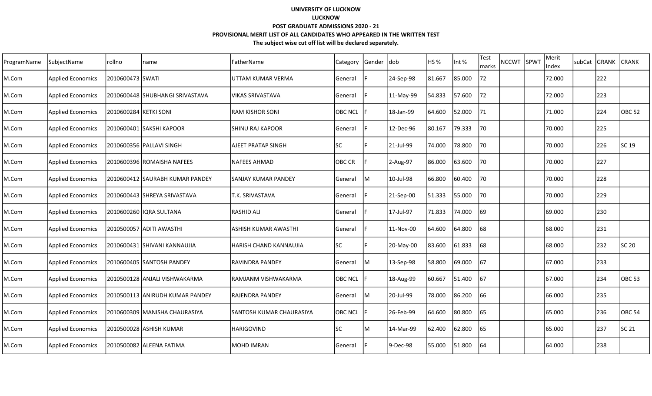| ProgramName | SubjectName              | rollno                | name                            | FatherName                | <b>Category</b> | Gender | <b>dob</b> | HS <sub>%</sub> | Int %  | Test<br>marks | <b>NCCWT</b> | <b>SPWT</b> | Merit<br>Index | subCat | <b>GRANK</b> | <b>CRANK</b>      |
|-------------|--------------------------|-----------------------|---------------------------------|---------------------------|-----------------|--------|------------|-----------------|--------|---------------|--------------|-------------|----------------|--------|--------------|-------------------|
| M.Com       | <b>Applied Economics</b> | 2010600473 SWATI      |                                 | UTTAM KUMAR VERMA         | General         |        | 24-Sep-98  | 81.667          | 85.000 | 72            |              |             | 72.000         |        | 222          |                   |
| M.Com       | <b>Applied Economics</b> |                       | 2010600448 SHUBHANGI SRIVASTAVA | lvikas srivastava         | General         |        | 11-May-99  | 54.833          | 57.600 | 72            |              |             | 72.000         |        | 223          |                   |
| M.Com       | <b>Applied Economics</b> | 2010600284 KETKI SONI |                                 | IRAM KISHOR SONI          | <b>OBC NCL</b>  |        | 18-Jan-99  | 64.600          | 52.000 | 71            |              |             | 71.000         |        | 224          | <b>OBC 52</b>     |
| M.Com       | <b>Applied Economics</b> |                       | 2010600401 SAKSHI KAPOOR        | ISHINU RAJ KAPOOR         | General         |        | 12-Dec-96  | 80.167          | 79.333 | 70            |              |             | 70.000         |        | 225          |                   |
| M.Com       | <b>Applied Economics</b> |                       | 2010600356 PALLAVI SINGH        | <b>AJEET PRATAP SINGH</b> | <b>SC</b>       |        | 21-Jul-99  | 74.000          | 78.800 | 70            |              |             | 70.000         |        | 226          | SC 19             |
| M.Com       | <b>Applied Economics</b> |                       | l2010600396 lROMAISHA NAFEES    | lNAFEES AHMAD             | <b>OBC CR</b>   |        | 2-Aug-97   | 86.000          | 63.600 | 70            |              |             | 70.000         |        | 227          |                   |
| M.Com       | <b>Applied Economics</b> |                       | 2010600412 SAURABH KUMAR PANDEY | lsanjay kumar pandey      | <b>General</b>  | lм     | 10-Jul-98  | 66.800          | 60.400 | 70            |              |             | 70.000         |        | 228          |                   |
| M.Com       | <b>Applied Economics</b> |                       | 2010600443 SHREYA SRIVASTAVA    | T.K. SRIVASTAVA           | General         |        | 21-Sep-00  | 51.333          | 55.000 | 70            |              |             | 70.000         |        | 229          |                   |
| M.Com       | <b>Applied Economics</b> |                       | 2010600260  IQRA SULTANA        | <b>RASHID ALI</b>         | General         |        | 17-Jul-97  | 71.833          | 74.000 | 69            |              |             | 69.000         |        | 230          |                   |
| M.Com       | <b>Applied Economics</b> |                       | 2010500057 ADITI AWASTHI        | lashish kumar Awasthi     | General         |        | 11-Nov-00  | 64.600          | 64.800 | 68            |              |             | 68.000         |        | 231          |                   |
| M.Com       | <b>Applied Economics</b> |                       | 2010600431 SHIVANI KANNAUJIA    | IHARISH CHAND KANNAUJIA   | <b>SC</b>       |        | 20-May-00  | 83.600          | 61.833 | 168           |              |             | 68.000         |        | 232          | SC 20             |
| M.Com       | <b>Applied Economics</b> |                       | 2010600405 SANTOSH PANDEY       | RAVINDRA PANDEY           | General         | lM     | 13-Sep-98  | 58.800          | 69.000 | 167           |              |             | 67.000         |        | 233          |                   |
| M.Com       | <b>Applied Economics</b> |                       | 2010500128 ANJALI VISHWAKARMA   | RAMJANM VISHWAKARMA       | <b>OBC NCL</b>  |        | 18-Aug-99  | 60.667          | 51.400 | 167           |              |             | 67.000         |        | 234          | OBC <sub>53</sub> |
| M.Com       | <b>Applied Economics</b> |                       | 2010500113 ANIRUDH KUMAR PANDEY | IRAJENDRA PANDEY          | General         | M      | 20-Jul-99  | 78.000          | 86.200 | 66            |              |             | 66.000         |        | 235          |                   |
| M.Com       | <b>Applied Economics</b> |                       | 2010600309  MANISHA CHAURASIYA  | SANTOSH KUMAR CHAURASIYA  | <b>OBC NCL</b>  |        | 26-Feb-99  | 64.600          | 80.800 | 65            |              |             | 65.000         |        | 236          | OBC <sub>54</sub> |
| M.Com       | <b>Applied Economics</b> |                       | 2010500028 ASHISH KUMAR         | <b>HARIGOVIND</b>         | lsc             | ΙM     | 14-Mar-99  | 62.400          | 62.800 | 65            |              |             | 65.000         |        | 237          | SC 21             |
| M.Com       | <b>Applied Economics</b> |                       | 2010500082 ALEENA FATIMA        | IMOHD IMRAN               | General         |        | 9-Dec-98   | 55.000          | 51.800 | 164           |              |             | 64.000         |        | 238          |                   |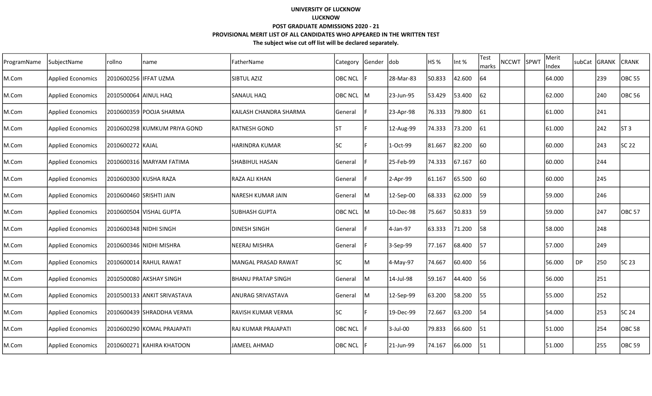| ProgramName | SubjectName              | rollno                | name                         | FatherName                | Category       | Gender dob |           | HS %   | Int %  | Test<br>marks | <b>NCCWT</b> | SPWT | Merit<br>Index | lsubCat | GRANK | <b>CRANK</b>      |
|-------------|--------------------------|-----------------------|------------------------------|---------------------------|----------------|------------|-----------|--------|--------|---------------|--------------|------|----------------|---------|-------|-------------------|
| M.Com       | <b>Applied Economics</b> | 2010600256 IFFAT UZMA |                              | <b>SIBTUL AZIZ</b>        | <b>OBC NCL</b> |            | 28-Mar-83 | 50.833 | 42.600 | 64            |              |      | 64.000         |         | 239   | <b>OBC 55</b>     |
| M.Com       | <b>Applied Economics</b> | 2010500064 AINUL HAQ  |                              | SANAUL HAQ                | OBC NCL M      |            | 23-Jun-95 | 53.429 | 53.400 | 62            |              |      | 62.000         |         | 240   | <b>OBC 56</b>     |
| M.Com       | <b>Applied Economics</b> |                       | 2010600359 POOJA SHARMA      | KAILASH CHANDRA SHARMA    | General        | IF.        | 23-Apr-98 | 76.333 | 79.800 | 161           |              |      | 61.000         |         | 241   |                   |
| M.Com       | <b>Applied Economics</b> |                       | 2010600298 KUMKUM PRIYA GOND | lRATNESH GOND             | IST            |            | 12-Aug-99 | 74.333 | 73.200 | 61            |              |      | 61.000         |         | 242   | ST <sub>3</sub>   |
| M.Com       | <b>Applied Economics</b> | 2010600272 KAJAL      |                              | HARINDRA KUMAR            | SC             |            | 1-Oct-99  | 81.667 | 82.200 | 60            |              |      | 60.000         |         | 243   | SC 22             |
| M.Com       | <b>Applied Economics</b> |                       | 2010600316 MARYAM FATIMA     | SHABIHUL HASAN            | General        |            | 25-Feb-99 | 74.333 | 67.167 | 60            |              |      | 60.000         |         | 244   |                   |
| M.Com       | <b>Applied Economics</b> |                       | 2010600300 KUSHA RAZA        | RAZA ALI KHAN             | General        |            | 2-Apr-99  | 61.167 | 65.500 | 60            |              |      | 60.000         |         | 245   |                   |
| M.Com       | <b>Applied Economics</b> |                       | 2010600460 SRISHTI JAIN      | NARESH KUMAR JAIN         | General        | IМ         | 12-Sep-00 | 68.333 | 62.000 | 159           |              |      | 59.000         |         | 246   |                   |
| M.Com       | <b>Applied Economics</b> |                       | 2010600504 VISHAL GUPTA      | ISUBHASH GUPTA            | OBC NCL M      |            | 10-Dec-98 | 75.667 | 50.833 | 59            |              |      | 59.000         |         | 247   | <b>OBC 57</b>     |
| M.Com       | <b>Applied Economics</b> |                       | 2010600348 NIDHI SINGH       | <b>DINESH SINGH</b>       | General        |            | 4-Jan-97  | 63.333 | 71.200 | 58            |              |      | 58.000         |         | 248   |                   |
| M.Com       | <b>Applied Economics</b> |                       | 2010600346 NIDHI MISHRA      | <b>NEERAJ MISHRA</b>      | General        |            | 3-Sep-99  | 77.167 | 68.400 | 157           |              |      | 57.000         |         | 249   |                   |
| M.Com       | <b>Applied Economics</b> |                       | 2010600014 RAHUL RAWAT       | MANGAL PRASAD RAWAT       | <b>SC</b>      | lM         | 4-May-97  | 74.667 | 60.400 | 56            |              |      | 56.000         | DP      | 250   | SC 23             |
| M.Com       | <b>Applied Economics</b> |                       | 2010500080 AKSHAY SINGH      | <b>BHANU PRATAP SINGH</b> | General        | IM.        | 14-Jul-98 | 59.167 | 44.400 | 56            |              |      | 56.000         |         | 251   |                   |
| M.Com       | <b>Applied Economics</b> |                       | 2010500133 JANKIT SRIVASTAVA | ANURAG SRIVASTAVA         | General        | IМ         | 12-Sep-99 | 63.200 | 58.200 | 55            |              |      | 55.000         |         | 252   |                   |
| M.Com       | <b>Applied Economics</b> |                       | 2010600439 SHRADDHA VERMA    | RAVISH KUMAR VERMA        | SC             |            | 19-Dec-99 | 72.667 | 63.200 | 54            |              |      | 54.000         |         | 253   | SC 24             |
| M.Com       | <b>Applied Economics</b> |                       | 2010600290 KOMAL PRAJAPATI   | RAJ KUMAR PRAJAPATI       | OBC NCL        |            | 3-Jul-00  | 79.833 | 66.600 | 51            |              |      | 51.000         |         | 254   | OBC <sub>58</sub> |
| M.Com       | <b>Applied Economics</b> |                       | 2010600271  KAHIRA KHATOON   | IJAMEEL AHMAD             | OBC NCL F      |            | 21-Jun-99 | 74.167 | 66.000 | 51            |              |      | 51.000         |         | 255   | <b>OBC 59</b>     |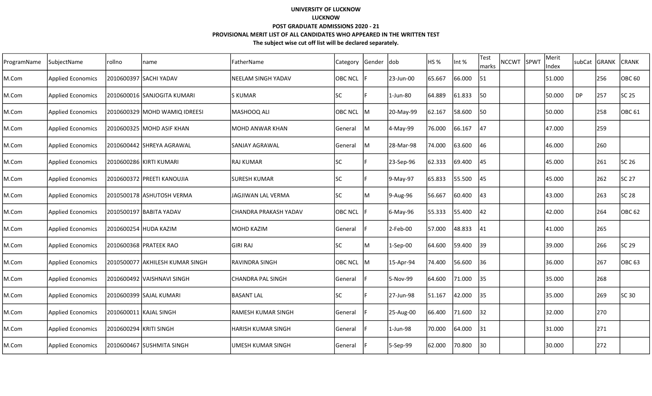| ProgramName | SubjectName              | rollno                  | name                             | FatherName                | Category       | Gender | <b>dob</b>  | HS <sub>%</sub> | Int %  | Test<br>marks | nccwt Ispwt | Merit<br>Index | subCat | GRANK | <b>CRANK</b>  |
|-------------|--------------------------|-------------------------|----------------------------------|---------------------------|----------------|--------|-------------|-----------------|--------|---------------|-------------|----------------|--------|-------|---------------|
| M.Com       | <b>Applied Economics</b> |                         | 2010600397   SACHI YADAV         | <b>NEELAM SINGH YADAV</b> | <b>OBC NCL</b> |        | 23-Jun-00   | 65.667          | 66.000 | 51            |             | 51.000         |        | 256   | <b>OBC 60</b> |
| M.Com       | <b>Applied Economics</b> |                         | 2010600016 SANJOGITA KUMARI      | ls kumar                  | <b>SC</b>      |        | 1-Jun-80    | 64.889          | 61.833 | 50            |             | 50.000         | DP     | 257   | SC 25         |
| M.Com       | <b>Applied Economics</b> |                         | 2010600329  MOHD WAMIQ IDREESI   | MASHOOQ ALI               | <b>OBC NCL</b> | IМ     | 20-May-99   | 62.167          | 58.600 | 50            |             | 50.000         |        | 258   | <b>OBC 61</b> |
| M.Com       | <b>Applied Economics</b> |                         | 2010600325 MOHD ASIF KHAN        | lMOHD ANWAR KHAN          | General        | Iм     | 4-May-99    | 76.000          | 66.167 | 47            |             | 47.000         |        | 259   |               |
| M.Com       | <b>Applied Economics</b> |                         | 2010600442 SHREYA AGRAWAL        | SANJAY AGRAWAL            | General        | M      | 28-Mar-98   | 74.000          | 63.600 | 46            |             | 46.000         |        | 260   |               |
| M.Com       | <b>Applied Economics</b> |                         | 2010600286  KIRTI KUMARI         | IRAJ KUMAR                | lsc            |        | 23-Sep-96   | 62.333          | 69.400 | 45            |             | 45.000         |        | 261   | <b>SC 26</b>  |
| M.Com       | <b>Applied Economics</b> |                         | 2010600372  PREETI KANOUJIA      | lsuresh kumar             | lsc            |        | 9-May-97    | 65.833          | 55.500 | 45            |             | 45.000         |        | 262   | SC 27         |
| M.Com       | <b>Applied Economics</b> |                         | 2010500178 ASHUTOSH VERMA        | lJAGJIWAN LAL VERMA       | lsc            | М      | 9-Aug-96    | 56.667          | 60.400 | 43            |             | 43.000         |        | 263   | SC 28         |
| M.Com       | <b>Applied Economics</b> |                         | 2010500197  BABITA YADAV         | CHANDRA PRAKASH YADAV     | <b>OBC NCL</b> |        | 6-May-96    | 55.333          | 55.400 | 42            |             | 42.000         |        | 264   | <b>OBC 62</b> |
| M.Com       | <b>Applied Economics</b> |                         | 2010600254 HUDA KAZIM            | MOHD KAZIM                | General        |        | $2$ -Feb-00 | 57.000          | 48.833 | 41            |             | 41.000         |        | 265   |               |
| M.Com       | <b>Applied Economics</b> |                         | 2010600368 PRATEEK RAO           | İGIRI RAJ                 | lsc            | M      | 1-Sep-00    | 64.600          | 59.400 | 139           |             | 39.000         |        | 266   | SC 29         |
| M.Com       | <b>Applied Economics</b> |                         | 2010500077  AKHILESH KUMAR SINGH | RAVINDRA SINGH            | <b>OBC NCL</b> | lм     | 15-Apr-94   | 74.400          | 56.600 | 36            |             | 36.000         |        | 267   | <b>OBC 63</b> |
| M.Com       | <b>Applied Economics</b> |                         | 2010600492 VAISHNAVI SINGH       | CHANDRA PAL SINGH         | General        |        | 5-Nov-99    | 64.600          | 71.000 | 35            |             | 35.000         |        | 268   |               |
| M.Com       | <b>Applied Economics</b> |                         | 2010600399 SAJAL KUMARI          | lbasant lal               | lsc            |        | 27-Jun-98   | 51.167          | 42.000 | 35            |             | 35.000         |        | 269   | SC 30         |
| M.Com       | <b>Applied Economics</b> |                         | 2010600011 KAJAL SINGH           | lRAMESH KUMAR SINGH       | General        |        | 25-Aug-00   | 66.400          | 71.600 | 32            |             | 32.000         |        | 270   |               |
| M.Com       | <b>Applied Economics</b> | 2010600294  KRITI SINGH |                                  | IHARISH KUMAR SINGH       | General        |        | 1-Jun-98    | 70.000          | 64.000 | 131           |             | 31.000         |        | 271   |               |
| M.Com       | <b>Applied Economics</b> |                         | 2010600467 SUSHMITA SINGH        | UMESH KUMAR SINGH         | General        |        | 5-Sep-99    | 62.000          | 70.800 | 30            |             | 30.000         |        | 272   |               |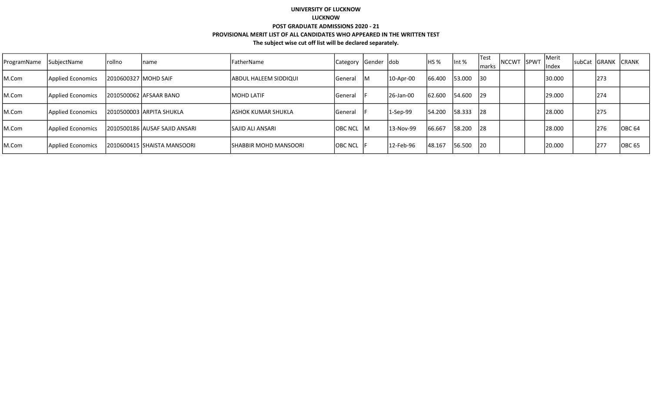| ProgramName | SubjectName       | rollno                 | Iname                          | FatherName                    | Category Gender dob |     |            | HS <sub>%</sub> | Int %     | <b>Test</b><br>marks | <b>NCCWT</b> | <b>SPWT</b> | Merit<br>Index | <b>subCat</b> | GRANK CRANK |                    |
|-------------|-------------------|------------------------|--------------------------------|-------------------------------|---------------------|-----|------------|-----------------|-----------|----------------------|--------------|-------------|----------------|---------------|-------------|--------------------|
| M.Com       | Applied Economics | 12010600327 IMOHD SAIF |                                | ABDUL HALEEM SIDDIQUI         | lGeneral            | IM. | 10-Apr-00  | 66.400          | 53.000 30 |                      |              |             | 30.000         |               | 273         |                    |
| M.Com       | Applied Economics |                        | 12010500062 AFSAAR BANO        | <b>MOHD LATIF</b>             | lGeneral            |     | 126-Jan-00 | 62.600          | 54.600 29 |                      |              |             | 29.000         |               | 274         |                    |
| M.Com       | Applied Economics |                        | 2010500003 ARPITA SHUKLA       | <b>JASHOK KUMAR SHUKLA</b>    | <b>IGeneral</b>     |     | 1-Sep-99   | 54.200          | 58.333    | 28                   |              |             | 28.000         |               | 275         |                    |
| M.Com       | Applied Economics |                        | 12010500186 AUSAF SAJID ANSARI | <b>SAJID ALI ANSARI</b>       | lobc ncl Im         |     | 13-Nov-99  | 66.667          | 58.200    | 28                   |              |             | 28.000         |               | 276         | IOBC <sub>64</sub> |
| M.Com       | Applied Economics |                        | 12010600415 SHAISTA MANSOORI   | <b>ISHABBIR MOHD MANSOORI</b> | OBC NCL F           |     | 12-Feb-96  | 148.167         | 56.500 20 |                      |              |             | 20.000         |               | 277         | <b>OBC 65</b>      |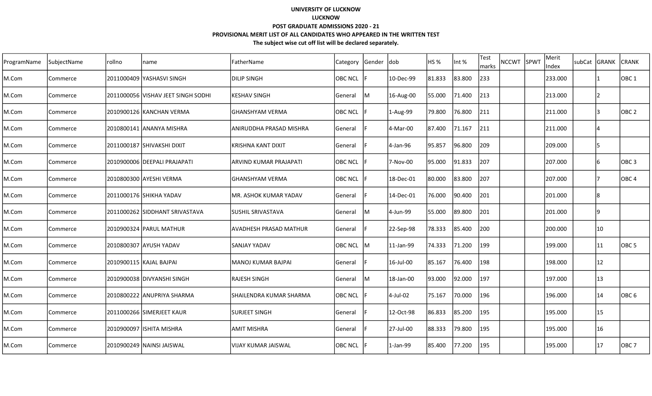| ProgramName | SubjectName | rollno | name                               | FatherName               | Category       | Gender | <b>dob</b> | HS %    | Int %  | <b>Test</b><br>marks | NCCWT SPWT | Merit<br>Index | subCat | <b>GRANK</b> | <b>CRANK</b>      |
|-------------|-------------|--------|------------------------------------|--------------------------|----------------|--------|------------|---------|--------|----------------------|------------|----------------|--------|--------------|-------------------|
| M.Com       | Commerce    |        | 2011000409 YASHASVI SINGH          | DILIP SINGH              | <b>OBC NCL</b> |        | 10-Dec-99  | 81.833  | 83.800 | 233                  |            | 233.000        |        |              | $\vert$ OBC 1     |
| M.Com       | Commerce    |        | 2011000056 VISHAV JEET SINGH SODHI | <b>KESHAV SINGH</b>      | General        | lM.    | 16-Aug-00  | 55.000  | 71.400 | 213                  |            | 213.000        |        |              |                   |
| M.Com       | Commerce    |        | 2010900126 KANCHAN VERMA           | lGHANSHYAM VERMA         | <b>OBC NCL</b> |        | 1-Aug-99   | 79.800  | 76.800 | 211                  |            | 211.000        |        |              | OBC <sub>2</sub>  |
| M.Com       | Commerce    |        | 2010800141 ANANYA MISHRA           | ANIRUDDHA PRASAD MISHRA  | General        |        | 4-Mar-00   | 87.400  | 71.167 | 211                  |            | 211.000        |        |              |                   |
| M.Com       | Commerce    |        | 2011000187 SHIVAKSHI DIXIT         | KRISHNA KANT DIXIT       | General        |        | 4-Jan-96   | 95.857  | 96.800 | 209                  |            | 209.000        |        |              |                   |
| M.Com       | Commerce    |        | 2010900006 DEEPALI PRAJAPATI       | ARVIND KUMAR PRAJAPATI   | <b>OBC NCL</b> |        | 7-Nov-00   | 95.000  | 91.833 | 207                  |            | 207.000        |        | 16           | $\vert$ OBC 3     |
| M.Com       | Commerce    |        | 2010800300 AYESHI VERMA            | IGHANSHYAM VERMA         | <b>OBC NCL</b> |        | 18-Dec-01  | 180.000 | 83.800 | 207                  |            | 207.000        |        |              | IOBC <sub>4</sub> |
| M.Com       | Commerce    |        | 2011000176 SHIKHA YADAV            | MR. ASHOK KUMAR YADAV    | General        |        | 14-Dec-01  | 76.000  | 90.400 | 201                  |            | 201.000        |        |              |                   |
| M.Com       | Commerce    |        | 2011000262 SIDDHANT SRIVASTAVA     | İSUSHIL SRIVASTAVA       | General        | M      | 4-Jun-99   | 55.000  | 89.800 | 201                  |            | 201.000        |        | 9            |                   |
| M.Com       | Commerce    |        | 2010900324 PARUL MATHUR            | AVADHESH PRASAD MATHUR   | General        |        | 22-Sep-98  | 78.333  | 85.400 | 200                  |            | 200.000        |        | 10           |                   |
| M.Com       | Commerce    |        | 2010800307 AYUSH YADAV             | SANJAY YADAV             | <b>OBC NCL</b> | lM     | 11-Jan-99  | 74.333  | 71.200 | 199                  |            | 199.000        |        | 11           | OBC <sub>5</sub>  |
| M.Com       | Commerce    |        | 2010900115 KAJAL BAJPAI            | MANOJ KUMAR BAJPAI       | General        |        | 16-Jul-00  | 85.167  | 76.400 | 198                  |            | 198.000        |        | 12           |                   |
| M.Com       | Commerce    |        | 2010900038 DIVYANSHI SINGH         | RAJESH SINGH             | General        | lм     | 18-Jan-00  | 93.000  | 92.000 | 197                  |            | 197.000        |        | 13           |                   |
| M.Com       | Commerce    |        | 2010800222 JANUPRIYA SHARMA        | ISHAILENDRA KUMAR SHARMA | IOBC NCL       |        | 4-Jul-02   | 75.167  | 70.000 | 196                  |            | 196.000        |        | 14           | IOBC 6            |
| M.Com       | Commerce    |        | 2011000266 SIMERJEET KAUR          | <b>SURJEET SINGH</b>     | General        |        | 12-Oct-98  | 86.833  | 85.200 | 195                  |            | 195.000        |        | 15           |                   |
| M.Com       | Commerce    |        | 2010900097 ISHITA MISHRA           | IAMIT MISHRA             | General        |        | 27-Jul-00  | 88.333  | 79.800 | 195                  |            | 195.000        |        | 16           |                   |
| M.Com       | Commerce    |        | 2010900249 NAINSI JAISWAL          | lVIJAY KUMAR JAISWAL     | <b>OBC NCL</b> |        | 1-Jan-99   | 85.400  | 77.200 | 195                  |            | 195.000        |        | 17           | OBC 7             |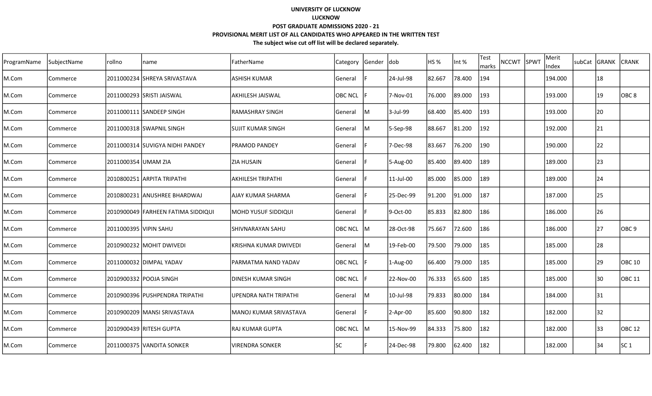| ProgramName | SubjectName | rollno                | name                               | FatherName                    | Category       | Gender  dob |            | HS %   | Int %  | Test<br>marks | <b>NCCWT</b> | SPWT | Merit<br>Index | subCat GRANK | <b>CRANK</b>     |
|-------------|-------------|-----------------------|------------------------------------|-------------------------------|----------------|-------------|------------|--------|--------|---------------|--------------|------|----------------|--------------|------------------|
| M.Com       | Commerce    |                       | 2011000234  SHREYA SRIVASTAVA      | <b>ASHISH KUMAR</b>           | General        |             | 24-Jul-98  | 82.667 | 78.400 | 194           |              |      | 194.000        | 18           |                  |
| M.Com       | Commerce    |                       | 2011000293 SRISTI JAISWAL          | lAKHILESH JAISWAL             | <b>OBC NCL</b> |             | 7-Nov-01   | 76.000 | 89.000 | 193           |              |      | 193.000        | 19           | OBC <sub>8</sub> |
| M.Com       | Commerce    |                       | 2011000111 SANDEEP SINGH           | lRAMASHRAY SINGH              | General        | lΜ          | 3-Jul-99   | 68.400 | 85.400 | 193           |              |      | 193.000        | 20           |                  |
| M.Com       | Commerce    |                       | 2011000318 SWAPNIL SINGH           | İSUJIT KUMAR SINGH            | <b>General</b> | lм          | 5-Sep-98   | 88.667 | 81.200 | 192           |              |      | 192.000        | 21           |                  |
| M.Com       | Commerce    |                       | 2011000314 SUVIGYA NIDHI PANDEY    | IPRAMOD PANDEY                | <b>General</b> |             | 7-Dec-98   | 83.667 | 76.200 | 190           |              |      | 190.000        | 22           |                  |
| M.Com       | Commerce    | 2011000354 UMAM ZIA   |                                    | <b>ZIA HUSAIN</b>             | General        |             | 5-Aug-00   | 85.400 | 89.400 | 189           |              |      | 189.000        | 23           |                  |
| M.Com       | Commerce    |                       | 2010800251 ARPITA TRIPATHI         | AKHILESH TRIPATHI             | General        |             | 11-Jul-00  | 85.000 | 85.000 | 189           |              |      | 189.000        | 24           |                  |
| M.Com       | Commerce    |                       | 2010800231  ANUSHREE BHARDWAJ      | lAJAY KUMAR SHARMA            | General        |             | 25-Dec-99  | 91.200 | 91.000 | 187           |              |      | 187.000        | 25           |                  |
| M.Com       | Commerce    |                       | 2010900049 FARHEEN FATIMA SIDDIQUI | IMOHD YUSUF SIDDIQUI          | General        |             | 9-Oct-00   | 85.833 | 82.800 | 186           |              |      | 186.000        | 26           |                  |
| M.Com       | Commerce    | 2011000395 VIPIN SAHU |                                    | <b>SHIVNARAYAN SAHU</b>       | OBC NCL M      |             | 28-Oct-98  | 75.667 | 72.600 | 186           |              |      | 186.000        | 27           | OBC 9            |
| M.Com       | Commerce    |                       | 2010900232 MOHIT DWIVEDI           | <b>IKRISHNA KUMAR DWIVEDI</b> | General        | IM          | 19-Feb-00  | 79.500 | 79.000 | 185           |              |      | 185.000        | 28           |                  |
| M.Com       | Commerce    |                       | 2011000032 DIMPAL YADAV            | PARMATMA NAND YADAV           | <b>OBC NCL</b> |             | 1-Aug-00   | 66.400 | 79.000 | 185           |              |      | 185.000        | 29           | <b>OBC 10</b>    |
| M.Com       | Commerce    |                       | 2010900332 POOJA SINGH             | <b>DINESH KUMAR SINGH</b>     | <b>OBC NCL</b> |             | 22-Nov-00  | 76.333 | 65.600 | 185           |              |      | 185.000        | 30           | <b>OBC 11</b>    |
| M.Com       | Commerce    |                       | 2010900396 IPUSHPENDRA TRIPATHI    | lupendra nath tripathi        | General        | lΜ          | 10-Jul-98  | 79.833 | 80.000 | 184           |              |      | 184.000        | 31           |                  |
| M.Com       | Commerce    |                       | 2010900209   MANSI SRIVASTAVA      | MANOJ KUMAR SRIVASTAVA        | General        |             | $2-Apr-00$ | 85.600 | 90.800 | 182           |              |      | 182.000        | 32           |                  |
| M.Com       | Commerce    |                       | 2010900439 RITESH GUPTA            | IRAJ KUMAR GUPTA              | OBC NCL        | IM.         | 15-Nov-99  | 84.333 | 75.800 | 182           |              |      | 182.000        | 33           | OBC 12           |
| M.Com       | Commerce    |                       | 2011000375 VANDITA SONKER          | IVIRENDRA SONKER              | <b>SC</b>      |             | 24-Dec-98  | 79.800 | 62.400 | 182           |              |      | 182.000        | 34           | SC <sub>1</sub>  |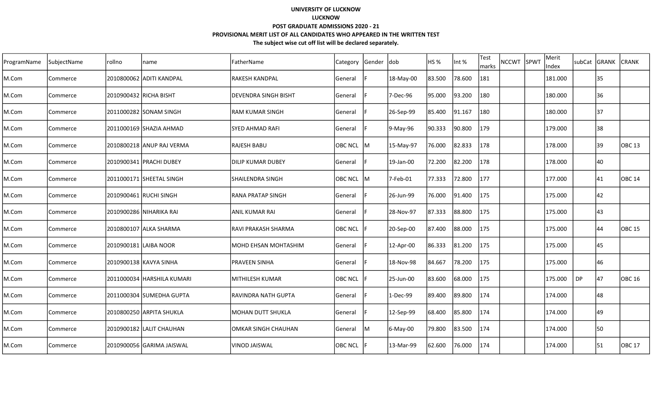| ProgramName | SubjectName | rollno | name                       | FatherName                   | Category       | Gender | ldob      | HS <sub>%</sub> | Int %  | <b>Test</b><br>marks | <b>NCCWT</b> | SPWT | Merit<br>Index | subCat    | GRANK | <b>CRANK</b>  |
|-------------|-------------|--------|----------------------------|------------------------------|----------------|--------|-----------|-----------------|--------|----------------------|--------------|------|----------------|-----------|-------|---------------|
| M.Com       | Commerce    |        | 2010800062 ADITI KANDPAL   | <b>RAKESH KANDPAL</b>        | General        |        | 18-May-00 | 83.500          | 78.600 | 181                  |              |      | 181.000        |           | 35    |               |
| M.Com       | Commerce    |        | 2010900432 RICHA BISHT     | IDEVENDRA SINGH BISHT        | General        |        | 7-Dec-96  | 95.000          | 93.200 | 180                  |              |      | 180.000        |           | 36    |               |
| M.Com       | Commerce    |        | 2011000282 SONAM SINGH     | IRAM KUMAR SINGH             | General        |        | 26-Sep-99 | 85.400          | 91.167 | 180                  |              |      | 180.000        |           | 37    |               |
| M.Com       | Commerce    |        | 2011000169 SHAZIA AHMAD    | lSYED AHMAD RAFI             | General        |        | 9-May-96  | 90.333          | 90.800 | 179                  |              |      | 179.000        |           | 38    |               |
| M.Com       | Commerce    |        | 2010800218 ANUP RAJ VERMA  | RAJESH BABU                  | <b>OBC NCL</b> | IM.    | 15-May-97 | 76.000          | 82.833 | 178                  |              |      | 178.000        |           | 39    | <b>OBC 13</b> |
| M.Com       | Commerce    |        | 2010900341 PRACHI DUBEY    | IDILIP KUMAR DUBEY           | General        |        | 19-Jan-00 | 72.200          | 82.200 | 178                  |              |      | 178.000        |           | 40    |               |
| M.Com       | Commerce    |        | 2011000171 SHEETAL SINGH   | ISHAILENDRA SINGH            | OBC NCL        | IM.    | 7-Feb-01  | 77.333          | 72.800 | 177                  |              |      | 177.000        |           | 41    | <b>OBC 14</b> |
| M.Com       | Commerce    |        | 2010900461 RUCHI SINGH     | IRANA PRATAP SINGH           | General        |        | 26-Jun-99 | 76.000          | 91.400 | 175                  |              |      | 175.000        |           | 42    |               |
| M.Com       | Commerce    |        | 2010900286 NIHARIKA RAI    | <b>ANIL KUMAR RAI</b>        | General        |        | 28-Nov-97 | 87.333          | 88.800 | 175                  |              |      | 175.000        |           | 43    |               |
| M.Com       | Commerce    |        | 2010800107 ALKA SHARMA     | <b>RAVI PRAKASH SHARMA</b>   | <b>OBC NCL</b> |        | 20-Sep-00 | 87.400          | 88.000 | 175                  |              |      | 175.000        |           | 44    | OBC 15        |
| M.Com       | Commerce    |        | 2010900181 LAIBA NOOR      | <b>IMOHD EHSAN MOHTASHIM</b> | General        |        | 12-Apr-00 | 86.333          | 81.200 | 175                  |              |      | 175.000        |           | 45    |               |
| M.Com       | Commerce    |        | 2010900138 KAVYA SINHA     | <b>PRAVEEN SINHA</b>         | General        |        | 18-Nov-98 | 84.667          | 78.200 | 175                  |              |      | 175.000        |           | 46    |               |
| M.Com       | Commerce    |        | 2011000034 HARSHILA KUMARI | MITHILESH KUMAR              | <b>OBC NCL</b> |        | 25-Jun-00 | 83.600          | 68.000 | 175                  |              |      | 175.000        | <b>DP</b> | 47    | <b>OBC 16</b> |
| M.Com       | Commerce    |        | 2011000304 SUMEDHA GUPTA   | IRAVINDRA NATH GUPTA         | General        |        | 1-Dec-99  | 89.400          | 89.800 | 174                  |              |      | 174.000        |           | 48    |               |
| M.Com       | Commerce    |        | 2010800250 ARPITA SHUKLA   | MOHAN DUTT SHUKLA            | General        |        | 12-Sep-99 | 68.400          | 85.800 | 174                  |              |      | 174.000        |           | 49    |               |
| M.Com       | Commerce    |        | 2010900182 LALIT CHAUHAN   | <b>JOMKAR SINGH CHAUHAN</b>  | General        | lM     | 6-May-00  | 79.800          | 83.500 | 174                  |              |      | 174.000        |           | 50    |               |
| M.Com       | Commerce    |        | 2010900056 GARIMA JAISWAL  | lvinod jaiswal               | <b>OBC NCL</b> |        | 13-Mar-99 | 62.600          | 76.000 | 174                  |              |      | 174.000        |           | 51    | <b>OBC 17</b> |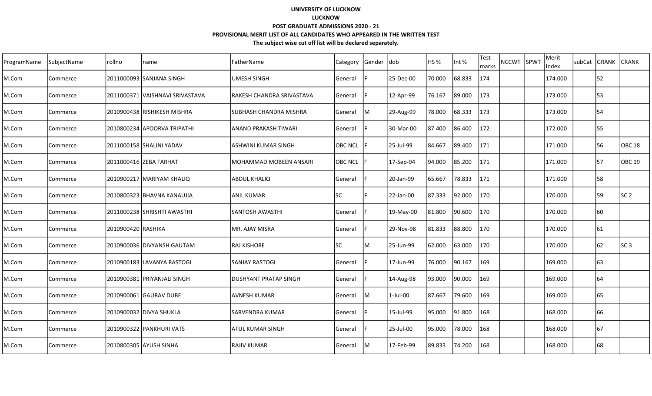| ProgramName | SubjectName | rollno             | name                              | FatherName                   | Category       | Gender  dob |             | HS <sub>%</sub> | Int %  | <b>Test</b><br>marks | <b>NCCWT</b> | SPWT | Merit<br>Index | subCat | GRANK | <b>CRANK</b>    |
|-------------|-------------|--------------------|-----------------------------------|------------------------------|----------------|-------------|-------------|-----------------|--------|----------------------|--------------|------|----------------|--------|-------|-----------------|
| M.Com       | Commerce    |                    | 2011000093 SANJANA SINGH          | UMESH SINGH                  | General        |             | 25-Dec-00   | 70.000          | 68.833 | 174                  |              |      | 174.000        |        | 52    |                 |
| M.Com       | Commerce    |                    | 2011000371   VAISHNAVI SRIVASTAVA | lRAKESH CHANDRA SRIVASTAVA   | General        |             | 12-Apr-99   | 76.167          | 89.000 | 173                  |              |      | 173.000        |        | 53    |                 |
| M.Com       | Commerce    |                    | 2010900438 RISHIKESH MISHRA       | ISUBHASH CHANDRA MISHRA      | General        | lM          | 29-Aug-99   | 78.000          | 68.333 | 173                  |              |      | 173.000        |        | 54    |                 |
| M.Com       | Commerce    |                    | 2010800234 APOORVA TRIPATHI       | lanand prakash TIWARI        | <b>General</b> |             | 30-Mar-00   | 87.400          | 86.400 | 172                  |              |      | 172.000        |        | 55    |                 |
| M.Com       | Commerce    |                    | 2011000158 SHALINI YADAV          | IASHWINI KUMAR SINGH         | <b>OBC NCL</b> |             | 25-Jul-99   | 84.667          | 89.400 | 171                  |              |      | 171.000        |        | 56    | <b>OBC 18</b>   |
| M.Com       | Commerce    |                    | 2011000416 ZEBA FARHAT            | MOHAMMAD MOBEEN ANSARI       | <b>OBC NCL</b> |             | 17-Sep-94   | 94.000          | 85.200 | 171                  |              |      | 171.000        |        | 57    | OBC 19          |
| M.Com       | Commerce    |                    | 2010900217   MARIYAM KHALIQ       | <b>ABDUL KHALIQ</b>          | General        |             | 20-Jan-99   | 65.667          | 78.833 | 171                  |              |      | 171.000        |        | 58    |                 |
| M.Com       | Commerce    |                    | 2010800323 BHAVNA KANAUJIA        | <b>ANIL KUMAR</b>            | <b>SC</b>      |             | 22-Jan-00   | 87.333          | 92.000 | 170                  |              |      | 170.000        |        | 59    | SC <sub>2</sub> |
| M.Com       | Commerce    |                    | 2011000238 SHRISHTI AWASTHI       | lsantosh awasthi             | General        |             | 19-May-00   | 81.800          | 90.600 | 170                  |              |      | 170.000        |        | 60    |                 |
| M.Com       | Commerce    | 2010900420 RASHIKA |                                   | MR. AJAY MISRA               | General        |             | 29-Nov-98   | 81.833          | 88.800 | 170                  |              |      | 170.000        |        | 61    |                 |
| M.Com       | Commerce    |                    | 2010900036 DIVYANSH GAUTAM        | <b>RAJ KISHORE</b>           | <b>SC</b>      | lM.         | 25-Jun-99   | 62.000          | 63.000 | 170                  |              |      | 170.000        |        | 62    | SC3             |
| M.Com       | Commerce    |                    | 2010900183 LAVANYA RASTOGI        | <b>ISANJAY RASTOGI</b>       | lGeneral       |             | 17-Jun-99   | 76.000          | 90.167 | 169                  |              |      | 169.000        |        | 163   |                 |
| M.Com       | Commerce    |                    | 2010900381 PRIYANJALI SINGH       | <b>DUSHYANT PRATAP SINGH</b> | General        |             | 14-Aug-98   | 93.000          | 90.000 | 169                  |              |      | 169.000        |        | 64    |                 |
| M.Com       | Commerce    |                    | 2010900061 GAURAV DUBE            | lAVNESH KUMAR                | General        | lΜ          | $1$ -Jul-00 | 87.667          | 79.600 | 169                  |              |      | 169.000        |        | 65    |                 |
| M.Com       | Commerce    |                    | 2010900032 DIVYA SHUKLA           | <b>SARVENDRA KUMAR</b>       | General        |             | 15-Jul-99   | 95.000          | 91.800 | 168                  |              |      | 168.000        |        | 66    |                 |
| M.Com       | Commerce    |                    | 2010900322 PANKHURI VATS          | IATUL KUMAR SINGH            | General        |             | 25-Jul-00   | 95.000          | 78.000 | 168                  |              |      | 168.000        |        | 67    |                 |
| M.Com       | Commerce    |                    | 2010800305 AYUSH SINHA            | RAJIV KUMAR                  | General        | lм          | 17-Feb-99   | 89.833          | 74.200 | 168                  |              |      | 168.000        |        | 68    |                 |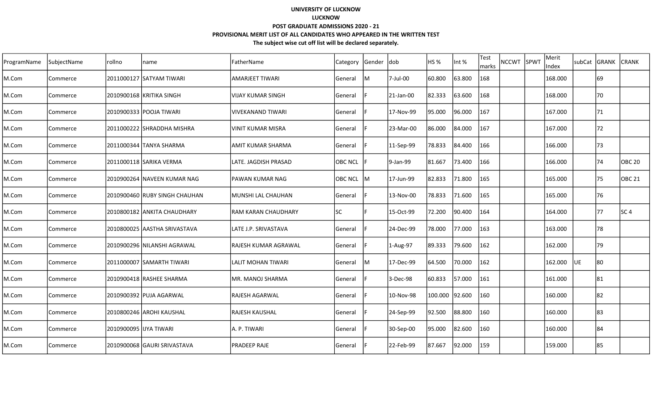| ProgramName | SubjectName | rollno                 | name                          | FatherName                  | Category       | Gender dob |           | HS <sub>%</sub> | Int %  | <b>Test</b><br>marks | <b>NCCWT</b> | SPWT | Merit<br>Index | subCat | GRANK | <b>CRANK</b>  |
|-------------|-------------|------------------------|-------------------------------|-----------------------------|----------------|------------|-----------|-----------------|--------|----------------------|--------------|------|----------------|--------|-------|---------------|
| M.Com       | Commerce    |                        | 2011000127 ISATYAM TIWARI     | lamarjeet tiwari            | <b>General</b> | M          | 7-Jul-00  | 60.800          | 63.800 | 168                  |              |      | 168.000        |        | 69    |               |
| M.Com       | Commerce    |                        | 2010900168 KRITIKA SINGH      | lVIJAY KUMAR SINGH          | General        |            | 21-Jan-00 | 82.333          | 63.600 | 168                  |              |      | 168.000        |        | 70    |               |
| M.Com       | Commerce    |                        | 2010900333 POOJA TIWARI       | lvivekanand Tiwari          | General        |            | 17-Nov-99 | 95.000          | 96.000 | 167                  |              |      | 167.000        |        | 71    |               |
| M.Com       | Commerce    |                        | 2011000222 SHRADDHA MISHRA    | IVINIT KUMAR MISRA          | General        |            | 23-Mar-00 | 86.000          | 84.000 | 167                  |              |      | 167.000        |        | 72    |               |
| M.Com       | Commerce    |                        | 2011000344 TANYA SHARMA       | <b>AMIT KUMAR SHARMA</b>    | <b>General</b> |            | 11-Sep-99 | 78.833          | 84.400 | 166                  |              |      | 166.000        |        | 73    |               |
| M.Com       | Commerce    |                        | 2011000118 SARIKA VERMA       | LATE. JAGDISH PRASAD        | <b>OBC NCL</b> |            | 9-Jan-99  | 81.667          | 73.400 | 166                  |              |      | 166.000        |        | 74    | OBC 20        |
| M.Com       | Commerce    |                        | 2010900264 NAVEEN KUMAR NAG   | lPAWAN KUMAR NAG            | OBC NCL M      |            | 17-Jun-99 | 82.833          | 71.800 | 165                  |              |      | 165.000        |        | 75    | <b>OBC 21</b> |
| M.Com       | Commerce    |                        | 2010900460 RUBY SINGH CHAUHAN | MUNSHI LAL CHAUHAN          | General        |            | 13-Nov-00 | 78.833          | 71.600 | 165                  |              |      | 165.000        |        | 76    |               |
| M.Com       | Commerce    |                        | 2010800182 JANKITA CHAUDHARY  | IRAM KARAN CHAUDHARY        | lsc            |            | 15-Oct-99 | 72.200          | 90.400 | 164                  |              |      | 164.000        |        | 77    | lsc 4         |
| M.Com       | Commerce    |                        | 2010800025 AASTHA SRIVASTAVA  | LATE J.P. SRIVASTAVA        | General        |            | 24-Dec-99 | 78.000          | 77.000 | 163                  |              |      | 163.000        |        | 78    |               |
| M.Com       | Commerce    |                        | 2010900296 NILANSHI AGRAWAL   | <b>RAJESH KUMAR AGRAWAL</b> | General        |            | 1-Aug-97  | 89.333          | 79.600 | 162                  |              |      | 162.000        |        | 79    |               |
| M.Com       | Commerce    |                        | 2011000007 SAMARTH TIWARI     | LALIT MOHAN TIWARI          | General        | ΙM         | 17-Dec-99 | 64.500          | 70.000 | 162                  |              |      | 162.000        | UE     | 180   |               |
| M.Com       | Commerce    |                        | 2010900418 RASHEE SHARMA      | <b>MR. MANOJ SHARMA</b>     | General        |            | 3-Dec-98  | 60.833          | 57.000 | 161                  |              |      | 161.000        |        | 181   |               |
| M.Com       | Commerce    |                        | 2010900392 PUJA AGARWAL       | <b>RAJESH AGARWAL</b>       | General        |            | 10-Nov-98 | 100.000 92.600  |        | 160                  |              |      | 160.000        |        | 82    |               |
| M.Com       | Commerce    |                        | 2010800246 AROHI KAUSHAL      | lRAJESH KAUSHAL             | General        |            | 24-Sep-99 | 92.500          | 88.800 | 160                  |              |      | 160.000        |        | 83    |               |
| M.Com       | Commerce    | 2010900095 JUYA TIWARI |                               | IA. P. TIWARI               | <b>General</b> |            | 30-Sep-00 | 95.000          | 82.600 | 160                  |              |      | 160.000        |        | 84    |               |
| M.Com       | Commerce    |                        | 2010900068  GAURI SRIVASTAVA  | <b>PRADEEP RAJE</b>         | General        |            | 22-Feb-99 | 87.667          | 92.000 | 159                  |              |      | 159.000        |        | 85    |               |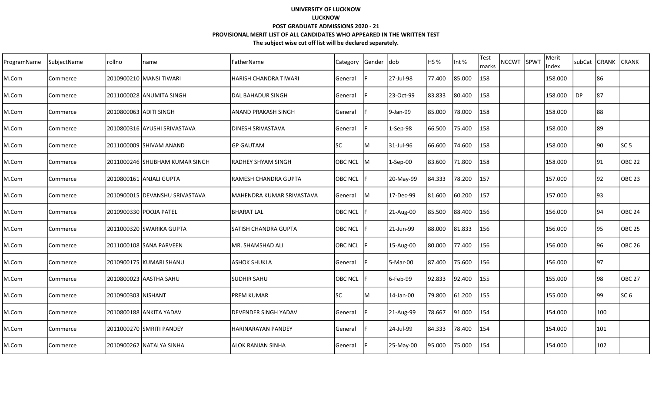| ProgramName | SubjectName | rollno                 | name                             | FatherName                  | Category       | Gender dob |            | HS <sub>%</sub> | Int %  | <b>Test</b><br>marks | <b>NCCWT</b> | SPWT | Merit<br>Index | subCat    | GRANK | <b>CRANK</b>      |
|-------------|-------------|------------------------|----------------------------------|-----------------------------|----------------|------------|------------|-----------------|--------|----------------------|--------------|------|----------------|-----------|-------|-------------------|
| M.Com       | Commerce    |                        | 2010900210 MANSI TIWARI          | İHARISH CHANDRA TIWARI      | General        |            | 27-Jul-98  | 77.400          | 85.000 | 158                  |              |      | 158.000        |           | 86    |                   |
| M.Com       | Commerce    |                        | 2011000028 JANUMITA SINGH        | ldal bahadur singh          | General        |            | 23-Oct-99  | 83.833          | 80.400 | 158                  |              |      | 158.000        | <b>DP</b> | 87    |                   |
| M.Com       | Commerce    | 2010800063 ADITI SINGH |                                  | IANAND PRAKASH SINGH        | General        |            | 9-Jan-99   | 85.000          | 78.000 | 158                  |              |      | 158.000        |           | 88    |                   |
| M.Com       | Commerce    |                        | 2010800316 AYUSHI SRIVASTAVA     | IDINESH SRIVASTAVA          | <b>General</b> |            | $1-Sep-98$ | 66.500          | 75.400 | 158                  |              |      | 158.000        |           | 89    |                   |
| M.Com       | Commerce    |                        | 2011000009 SHIVAM ANAND          | IGP GAUTAM                  | <b>SC</b>      | ΙM         | 31-Jul-96  | 66.600          | 74.600 | 158                  |              |      | 158.000        |           | 190   | SC 5              |
| M.Com       | Commerce    |                        | 2011000246 SHUBHAM KUMAR SINGH   | <b>RADHEY SHYAM SINGH</b>   | OBC NCL        | lм         | $1-Sep-00$ | 83.600          | 71.800 | 158                  |              |      | 158.000        |           | 91    | <b>OBC 22</b>     |
| M.Com       | Commerce    |                        | 2010800161 ANJALI GUPTA          | IRAMESH CHANDRA GUPTA       | <b>OBC NCL</b> |            | 20-May-99  | 84.333          | 78.200 | 157                  |              |      | 157.000        |           | 92    | <b>OBC 23</b>     |
| M.Com       | Commerce    |                        | 2010900015   DEVANSHU SRIVASTAVA | MAHENDRA KUMAR SRIVASTAVA   | General        | ΙM         | 17-Dec-99  | 81.600          | 60.200 | 157                  |              |      | 157.000        |           | 93    |                   |
| M.Com       | Commerce    |                        | 2010900330 POOJA PATEL           | <b>BHARAT LAL</b>           | <b>OBC NCL</b> |            | 21-Aug-00  | 85.500          | 88.400 | 156                  |              |      | 156.000        |           | 94    | OBC <sub>24</sub> |
| M.Com       | Commerce    |                        | 2011000320 SWARIKA GUPTA         | <b>SATISH CHANDRA GUPTA</b> | <b>OBC NCL</b> |            | 21-Jun-99  | 88.000          | 81.833 | 156                  |              |      | 156.000        |           | 95    | OBC 25            |
| M.Com       | Commerce    |                        | 2011000108 SANA PARVEEN          | MR. SHAMSHAD ALI            | <b>OBC NCL</b> |            | 15-Aug-00  | 80.000          | 77.400 | 156                  |              |      | 156.000        |           | 96    | OBC 26            |
| M.Com       | Commerce    |                        | 2010900175 KUMARI SHANU          | <b>JASHOK SHUKLA</b>        | General        |            | 5-Mar-00   | 87.400          | 75.600 | 156                  |              |      | 156.000        |           | 97    |                   |
| M.Com       | Commerce    |                        | 2010800023 AASTHA SAHU           | <b>SUDHIR SAHU</b>          | <b>OBC NCL</b> |            | 6-Feb-99   | 92.833          | 92.400 | 155                  |              |      | 155.000        |           | 98    | <b>OBC 27</b>     |
| M.Com       | Commerce    | 2010900303 NISHANT     |                                  | IPREM KUMAR                 | lsc            | м          | 14-Jan-00  | 79.800          | 61.200 | 155                  |              |      | 155.000        |           | 99    | SC 6              |
| M.Com       | Commerce    |                        | 2010800188 ANKITA YADAV          | <b>DEVENDER SINGH YADAV</b> | General        |            | 21-Aug-99  | 78.667          | 91.000 | 154                  |              |      | 154.000        |           | 100   |                   |
| M.Com       | Commerce    |                        | 2011000270 SMRITI PANDEY         | IHARINARAYAN PANDEY         | General        |            | 24-Jul-99  | 84.333          | 78.400 | 154                  |              |      | 154.000        |           | 101   |                   |
| M.Com       | Commerce    |                        | 2010900262 NATALYA SINHA         | lalok RANJAN SINHA          | <b>General</b> |            | 25-May-00  | 95.000          | 75.000 | 154                  |              |      | 154.000        |           | 102   |                   |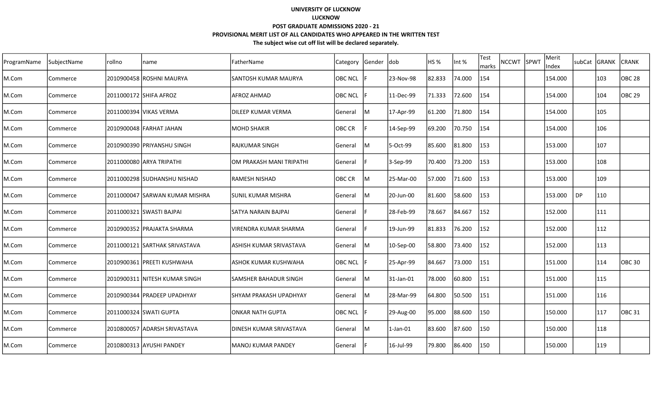| ProgramName | SubjectName | rollno | name                            | FatherName                   | Category       | Gender | ldob      | HS %   | Int %  | <b>Test</b><br>marks | <b>NCCWT</b> | SPWT | Merit<br>Index | subCat | <b>GRANK</b> | <b>ICRANK</b> |
|-------------|-------------|--------|---------------------------------|------------------------------|----------------|--------|-----------|--------|--------|----------------------|--------------|------|----------------|--------|--------------|---------------|
| M.Com       | Commerce    |        | 2010900458 ROSHNI MAURYA        | ISANTOSH KUMAR MAURYA        | <b>OBC NCL</b> |        | 23-Nov-98 | 82.833 | 74.000 | 154                  |              |      | 154.000        |        | 103          | <b>OBC 28</b> |
| M.Com       | Commerce    |        | 2011000172 SHIFA AFROZ          | AFROZ AHMAD                  | <b>OBC NCL</b> |        | 11-Dec-99 | 71.333 | 72.600 | 154                  |              |      | 154.000        |        | 104          | OBC 29        |
| M.Com       | Commerce    |        | 2011000394 VIKAS VERMA          | IDILEEP KUMAR VERMA          | General        | lM.    | 17-Apr-99 | 61.200 | 71.800 | 154                  |              |      | 154.000        |        | 105          |               |
| M.Com       | Commerce    |        | 2010900048 FARHAT JAHAN         | IMOHD SHAKIR                 | <b>OBC CR</b>  |        | 14-Sep-99 | 69.200 | 70.750 | 154                  |              |      | 154.000        |        | 106          |               |
| M.Com       | Commerce    |        | 2010900390 PRIYANSHU SINGH      | IRAJKUMAR SINGH              | General        | lM.    | 5-Oct-99  | 85.600 | 81.800 | 153                  |              |      | 153.000        |        | 107          |               |
| M.Com       | Commerce    |        | 2011000080 ARYA TRIPATHI        | IOM PRAKASH MANI TRIPATHI    | General        |        | 3-Sep-99  | 70.400 | 73.200 | 153                  |              |      | 153.000        |        | 108          |               |
| M.Com       | Commerce    |        | 2011000298 SUDHANSHU NISHAD     | lRAMESH NISHAD               | <b>OBC CR</b>  | M      | 25-Mar-00 | 57.000 | 71.600 | 153                  |              |      | 153.000        |        | 109          |               |
| M.Com       | Commerce    |        | 2011000047 ISARWAN KUMAR MISHRA | ISUNIL KUMAR MISHRA          | <b>General</b> | М      | 20-Jun-00 | 81.600 | 58.600 | 153                  |              |      | 153.000        | DP     | 110          |               |
| M.Com       | Commerce    |        | 2011000321 SWASTI BAJPAI        | SATYA NARAIN BAJPAI          | General        |        | 28-Feb-99 | 78.667 | 84.667 | 152                  |              |      | 152.000        |        | 111          |               |
| M.Com       | Commerce    |        | 2010900352 PRAJAKTA SHARMA      | <b>VIRENDRA KUMAR SHARMA</b> | General        |        | 19-Jun-99 | 81.833 | 76.200 | 152                  |              |      | 152.000        |        | 112          |               |
| M.Com       | Commerce    |        | 2011000121 SARTHAK SRIVASTAVA   | ASHISH KUMAR SRIVASTAVA      | General        | м      | 10-Sep-00 | 58.800 | 73.400 | 152                  |              |      | 152.000        |        | 113          |               |
| M.Com       | Commerce    |        | 2010900361   PREETI KUSHWAHA    | ASHOK KUMAR KUSHWAHA         | <b>OBC NCL</b> |        | 25-Apr-99 | 84.667 | 73.000 | 151                  |              |      | 151.000        |        | 114          | <b>OBC 30</b> |
| M.Com       | Commerce    |        | 2010900311 NITESH KUMAR SINGH   | SAMSHER BAHADUR SINGH        | General        | М      | 31-Jan-01 | 78.000 | 60.800 | 151                  |              |      | 151.000        |        | 115          |               |
| M.Com       | Commerce    |        | 2010900344 PRADEEP UPADHYAY     | ISHYAM PRAKASH UPADHYAY      | General        | м      | 28-Mar-99 | 64.800 | 50.500 | 151                  |              |      | 151.000        |        | 116          |               |
| M.Com       | Commerce    |        | 2011000324 SWATI GUPTA          | ONKAR NATH GUPTA             | <b>OBC NCL</b> |        | 29-Aug-00 | 95.000 | 88.600 | 150                  |              |      | 150.000        |        | 117          | OBC 31        |
| M.Com       | Commerce    |        | 2010800057 ADARSH SRIVASTAVA    | IDINESH KUMAR SRIVASTAVA     | General        | lM.    | 1-Jan-01  | 83.600 | 87.600 | 150                  |              |      | 150.000        |        | 118          |               |
| M.Com       | Commerce    |        | 2010800313 AYUSHI PANDEY        | lMANOJ KUMAR PANDEY          | General        |        | 16-Jul-99 | 79.800 | 86.400 | 150                  |              |      | 150.000        |        | 119          |               |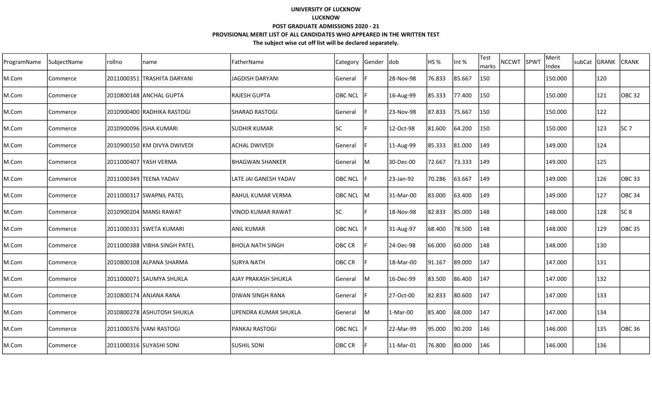| ProgramName | SubjectName | rollno | name                         | FatherName              | Category       | Gender (dob |            | HS %   | Int %  | Test<br>marks | <b>NCCWT</b> | SPWT | Merit<br>Index | subCat GRANK | <b>CRANK</b>      |
|-------------|-------------|--------|------------------------------|-------------------------|----------------|-------------|------------|--------|--------|---------------|--------------|------|----------------|--------------|-------------------|
| M.Com       | Commerce    |        | 2011000351  TRASHITA DARYANI | <b>JAGDISH DARYANI</b>  | General        |             | 28-Nov-98  | 76.833 | 85.667 | 150           |              |      | 150.000        | 120          |                   |
| M.Com       | Commerce    |        | 2010800148 ANCHAL GUPTA      | <b>RAJESH GUPTA</b>     | <b>OBC NCL</b> |             | 16-Aug-99  | 85.333 | 77.400 | 150           |              |      | 150.000        | 121          | <b>OBC 32</b>     |
| M.Com       | Commerce    |        | 2010900400 RADHIKA RASTOGI   | ISHARAD RASTOGI         | General        |             | 23-Nov-98  | 87.833 | 75.667 | 150           |              |      | 150.000        | 122          |                   |
| M.Com       | Commerce    |        | 2010900096 ISHA KUMARI       | ISUDHIR KUMAR           | <b>SC</b>      |             | 12-Oct-98  | 81.600 | 64.200 | 150           |              |      | 150.000        | 123          | SC <sub>7</sub>   |
| M.Com       | Commerce    |        | 2010900150 KM DIVYA DWIVEDI  | <b>ACHAL DWIVEDI</b>    | <b>General</b> |             | 11-Aug-99  | 85.333 | 81.000 | 149           |              |      | 149.000        | 124          |                   |
| M.Com       | Commerce    |        | 2011000407 YASH VERMA        | <b>BHAGWAN SHANKER</b>  | General        | lм          | 30-Dec-00  | 72.667 | 73.333 | 149           |              |      | 149.000        | 125          |                   |
| M.Com       | Commerce    |        | 2011000349 TEENA YADAV       | LATE JAI GANESH YADAV   | <b>OBC NCL</b> |             | 23-Jan-92  | 70.286 | 63.667 | 149           |              |      | 149.000        | 126          | OBC 33            |
| M.Com       | Commerce    |        | 2011000317 SWAPNIL PATEL     | IRAHUL KUMAR VERMA      | <b>OBC NCL</b> | lм          | 31-Mar-00  | 83.000 | 63.400 | 149           |              |      | 149.000        | 127          | OBC <sub>34</sub> |
| M.Com       | Commerce    |        | 2010900204 MANSI RAWAT       | VINOD KUMAR RAWAT       | lsc            |             | 18-Nov-98  | 82.833 | 85.000 | 148           |              |      | 148.000        | 128          | SC 8              |
| M.Com       | Commerce    |        | 2011000331 SWETA KUMARI      | <b>ANIL KUMAR</b>       | <b>OBC NCL</b> |             | 31-Aug-97  | 68.400 | 78.500 | 148           |              |      | 148.000        | 129          | <b>OBC 35</b>     |
| M.Com       | Commerce    |        | 2011000388 VIBHA SINGH PATEL | <b>BHOLA NATH SINGH</b> | <b>OBC CR</b>  |             | 24-Dec-98  | 66.000 | 60.000 | 148           |              |      | 148.000        | 130          |                   |
| M.Com       | Commerce    |        | 2010800108 ALPANA SHARMA     | <b>SURYA NATH</b>       | OBC CR         |             | 18-Mar-00  | 91.167 | 89.000 | 147           |              |      | 147.000        | 131          |                   |
| M.Com       | Commerce    |        | 2011000071 SAUMYA SHUKLA     | AJAY PRAKASH SHUKLA     | General        | lM          | 16-Dec-99  | 83.500 | 86.400 | 147           |              |      | 147.000        | 132          |                   |
| M.Com       | Commerce    |        | 2010800174 JANJANA RANA      | IDIWAN SINGH RANA       | General        |             | 27-Oct-00  | 82.833 | 80.600 | 147           |              |      | 147.000        | 133          |                   |
| M.Com       | Commerce    |        | 2010800278 ASHUTOSH SHUKLA   | UPENDRA KUMAR SHUKLA    | General        | м           | $1-Mar-00$ | 85.400 | 68.000 | 147           |              |      | 147.000        | 134          |                   |
| M.Com       | Commerce    |        | 2011000376 VANI RASTOGI      | lPANKAJ RASTOGI         | <b>OBC NCL</b> |             | 22-Mar-99  | 95.000 | 90.200 | 146           |              |      | 146.000        | 135          | <b>OBC 36</b>     |
| M.Com       | Commerce    |        | 2011000316 SUYASHI SONI      | <b>SUSHIL SONI</b>      | <b>OBC CR</b>  |             | 11-Mar-01  | 76.800 | 80.000 | 146           |              |      | 146.000        | 136          |                   |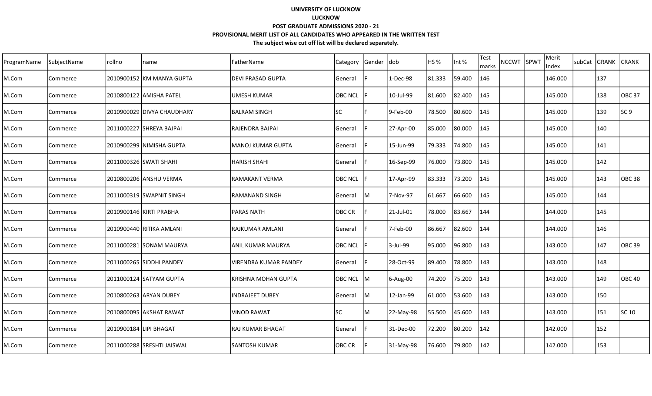| ProgramName | SubjectName | rollno                 | name                       | FatherName               | Category       | Gender  dob |           | HS <sub>%</sub> | Int %  | <b>Test</b><br>marks | <b>NCCWT</b> | SPWT | Merit<br>Index | subCat GRANK | <b>CRANK</b>      |
|-------------|-------------|------------------------|----------------------------|--------------------------|----------------|-------------|-----------|-----------------|--------|----------------------|--------------|------|----------------|--------------|-------------------|
| M.Com       | Commerce    |                        | 2010900152 KM MANYA GUPTA  | <b>DEVI PRASAD GUPTA</b> | General        |             | 1-Dec-98  | 81.333          | 59.400 | 146                  |              |      | 146.000        | 137          |                   |
| M.Com       | Commerce    |                        | 2010800122 AMISHA PATEL    | lumesh kumar             | <b>OBC NCL</b> |             | 10-Jul-99 | 81.600          | 82.400 | 145                  |              |      | 145.000        | 138          | OBC <sub>37</sub> |
| M.Com       | Commerce    |                        | 2010900029 DIVYA CHAUDHARY | IBALRAM SINGH            | <b>SC</b>      |             | 9-Feb-00  | 78.500          | 80.600 | 145                  |              |      | 145.000        | 139          | SC 9              |
| M.Com       | Commerce    |                        | 2011000227 SHREYA BAJPAI   | lRAJENDRA BAJPAI         | <b>General</b> |             | 27-Apr-00 | 85.000          | 80.000 | 145                  |              |      | 145.000        | 140          |                   |
| M.Com       | Commerce    |                        | 2010900299 INIMISHA GUPTA  | lMANOJ KUMAR GUPTA       | General        |             | 15-Jun-99 | 79.333          | 74.800 | 145                  |              |      | 145.000        | 141          |                   |
| M.Com       | Commerce    |                        | 2011000326 SWATI SHAHI     | <b>HARISH SHAHI</b>      | General        |             | 16-Sep-99 | 76.000          | 73.800 | 145                  |              |      | 145.000        | 142          |                   |
| M.Com       | Commerce    |                        | 2010800206  ANSHU VERMA    | IRAMAKANT VERMA          | <b>OBC NCL</b> |             | 17-Apr-99 | 83.333          | 73.200 | 145                  |              |      | 145.000        | 143          | OBC <sub>38</sub> |
| M.Com       | Commerce    |                        | 2011000319 SWAPNIT SINGH   | RAMANAND SINGH           | General        | M           | 7-Nov-97  | 61.667          | 66.600 | 145                  |              |      | 145.000        | 144          |                   |
| M.Com       | Commerce    |                        | 2010900146 KIRTI PRABHA    | IPARAS NATH              | OBC CR         |             | 21-Jul-01 | 78.000          | 83.667 | 144                  |              |      | 144.000        | 145          |                   |
| M.Com       | Commerce    |                        | 2010900440 RITIKA AMLANI   | RAJKUMAR AMLANI          | General        |             | 7-Feb-00  | 86.667          | 82.600 | 144                  |              |      | 144.000        | 146          |                   |
| M.Com       | Commerce    |                        | 2011000281 SONAM MAURYA    | <b>ANIL KUMAR MAURYA</b> | <b>OBC NCL</b> |             | 3-Jul-99  | 95.000          | 96.800 | 143                  |              |      | 143.000        | 147          | OBC 39            |
| M.Com       | Commerce    |                        | 2011000265 SIDDHI PANDEY   | IVIRENDRA KUMAR PANDEY   | General        |             | 28-Oct-99 | 89.400          | 78.800 | 143                  |              |      | 143.000        | 148          |                   |
| M.Com       | Commerce    |                        | 2011000124 SATYAM GUPTA    | KRISHNA MOHAN GUPTA      | OBC NCL        | lм          | 6-Aug-00  | 74.200          | 75.200 | 143                  |              |      | 143.000        | 149          | <b>OBC 40</b>     |
| M.Com       | Commerce    |                        | 2010800263 ARYAN DUBEY     | <b>INDRAJEET DUBEY</b>   | General        | lМ          | 12-Jan-99 | 61.000          | 53.600 | 143                  |              |      | 143.000        | 150          |                   |
| M.Com       | Commerce    |                        | 2010800095 AKSHAT RAWAT    | <b>VINOD RAWAT</b>       | <b>SC</b>      | ΙM          | 22-May-98 | 55.500          | 45.600 | 143                  |              |      | 143.000        | 151          | SC 10             |
| M.Com       | Commerce    | 2010900184 LIPI BHAGAT |                            | lRAJ KUMAR BHAGAT        | General        |             | 31-Dec-00 | 72.200          | 80.200 | 142                  |              |      | 142.000        | 152          |                   |
| M.Com       | Commerce    |                        | 2011000288 SRESHTI JAISWAL | <b>SANTOSH KUMAR</b>     | OBC CR         |             | 31-May-98 | 76.600          | 79.800 | 142                  |              |      | 142.000        | 153          |                   |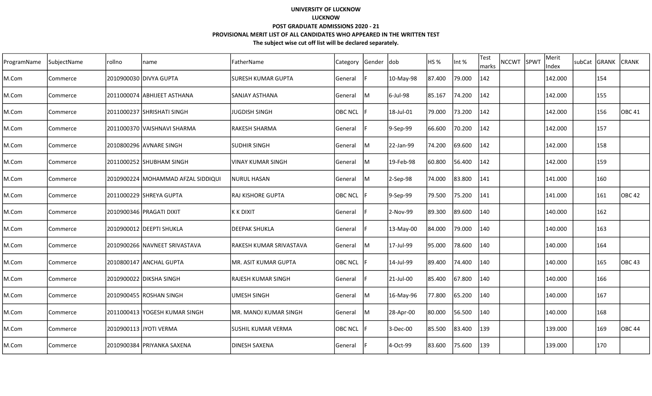| ProgramName | SubjectName | rollno | name                                 | FatherName              | Category       | Gender | ldob      | <b>HS %</b> | Int %  | Test<br>marks | <b>NCCWT</b> | SPWT | Merit<br>Index | subCat GRANK |     | <b>CRANK</b> |
|-------------|-------------|--------|--------------------------------------|-------------------------|----------------|--------|-----------|-------------|--------|---------------|--------------|------|----------------|--------------|-----|--------------|
| M.Com       | Commerce    |        | 2010900030  DIVYA GUPTA              | SURESH KUMAR GUPTA      | General        |        | 10-May-98 | 87.400      | 79.000 | 142           |              |      | 142.000        |              | 154 |              |
| M.Com       | Commerce    |        | 2011000074 ABHIJEET ASTHANA          | ISANJAY ASTHANA         | General        | Iм     | 6-Jul-98  | 85.167      | 74.200 | 142           |              |      | 142.000        |              | 155 |              |
| M.Com       | Commerce    |        | l2011000237 lSHRISHATI SINGH         | <b>JUGDISH SINGH</b>    | <b>OBC NCL</b> |        | 18-Jul-01 | 79.000      | 73.200 | 142           |              |      | 142.000        |              | 156 | OBC 41       |
| M.Com       | Commerce    |        | 2011000370  VAISHNAVI SHARMA         | <b>RAKESH SHARMA</b>    | General        |        | 9-Sep-99  | 66.600      | 70.200 | 142           |              |      | 142.000        |              | 157 |              |
| M.Com       | Commerce    |        | 2010800296 AVNARE SINGH              | <b>SUDHIR SINGH</b>     | General        | IM.    | 22-Jan-99 | 74.200      | 69.600 | 142           |              |      | 142.000        |              | 158 |              |
| M.Com       | Commerce    |        | 2011000252 SHUBHAM SINGH             | VINAY KUMAR SINGH       | General        | IM.    | 19-Feb-98 | 60.800      | 56.400 | 142           |              |      | 142.000        |              | 159 |              |
| M.Com       | Commerce    |        | 2010900224   MOHAMMAD AFZAL SIDDIQUI | <b>NURUL HASAN</b>      | General        | Iм     | 2-Sep-98  | 74.000      | 83.800 | 141           |              |      | 141.000        |              | 160 |              |
| M.Com       | Commerce    |        | 2011000229  SHREYA GUPTA             | RAJ KISHORE GUPTA       | <b>OBC NCL</b> |        | 9-Sep-99  | 79.500      | 75.200 | 141           |              |      | 141.000        |              | 161 | OBC 42       |
| M.Com       | Commerce    |        | 2010900346 PRAGATI DIXIT             | K K DIXIT               | General        |        | 2-Nov-99  | 89.300      | 89.600 | 140           |              |      | 140.000        |              | 162 |              |
| M.Com       | Commerce    |        | 2010900012 DEEPTI SHUKLA             | DEEPAK SHUKLA           | General        |        | 13-May-00 | 84.000      | 79.000 | 140           |              |      | 140.000        |              | 163 |              |
| M.Com       | Commerce    |        | l2010900266 lNAVNEET SRIVASTAVA      | RAKESH KUMAR SRIVASTAVA | General        | IМ     | 17-Jul-99 | 95.000      | 78.600 | 140           |              |      | 140.000        |              | 164 |              |
| M.Com       | Commerce    |        | 2010800147 ANCHAL GUPTA              | MR. ASIT KUMAR GUPTA    | <b>OBC NCL</b> |        | 14-Jul-99 | 89.400      | 74.400 | 140           |              |      | 140.000        |              | 165 | OBC 43       |
| M.Com       | Commerce    |        | 2010900022 DIKSHA SINGH              | RAJESH KUMAR SINGH      | General        |        | 21-Jul-00 | 85.400      | 67.800 | 140           |              |      | 140.000        |              | 166 |              |
| M.Com       | Commerce    |        | 2010900455 ROSHAN SINGH              | <b>UMESH SINGH</b>      | General        | ΙM     | 16-May-96 | 77.800      | 65.200 | 140           |              |      | 140.000        |              | 167 |              |
| M.Com       | Commerce    |        | 2011000413  YOGESH KUMAR SINGH       | MR. MANOJ KUMAR SINGH   | General        | IМ     | 28-Apr-00 | 80.000      | 56.500 | 140           |              |      | 140.000        |              | 168 |              |
| M.Com       | Commerce    |        | 2010900113 JJYOTI VERMA              | SUSHIL KUMAR VERMA      | <b>OBC NCL</b> |        | 3-Dec-00  | 85.500      | 83.400 | 139           |              |      | 139.000        |              | 169 | OBC 44       |
| M.Com       | Commerce    |        | 2010900384  PRIYANKA SAXENA          | DINESH SAXENA           | General        |        | 4-Oct-99  | 83.600      | 75.600 | 139           |              |      | 139.000        |              | 170 |              |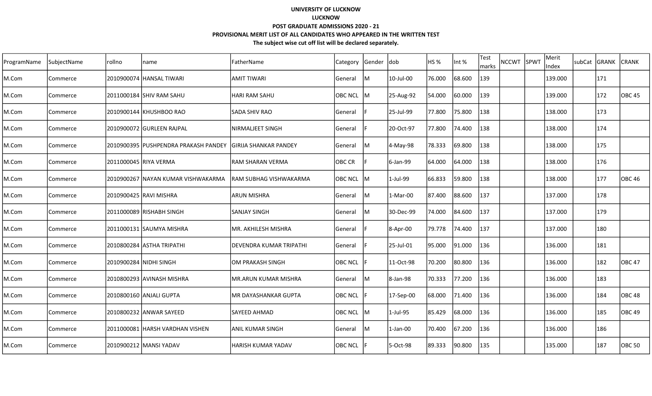| ProgramName | SubjectName | rollno                | name                                 | FatherName                | Category       | Gender dob |            | HS %   | Int %  | Test<br>marks | NCCWT SPWT | Merit<br>Index | subCat GRANK |     | <b>CRANK</b> |
|-------------|-------------|-----------------------|--------------------------------------|---------------------------|----------------|------------|------------|--------|--------|---------------|------------|----------------|--------------|-----|--------------|
| M.Com       | Commerce    |                       | 2010900074 HANSAL TIWARI             | <b>AMIT TIWARI</b>        | General        | IМ         | 10-Jul-00  | 76.000 | 68.600 | 139           |            | 139.000        |              | 171 |              |
| M.Com       | Commerce    |                       | 2011000184 SHIV RAM SAHU             | <b>HARI RAM SAHU</b>      | <b>OBC NCL</b> | IM.        | 25-Aug-92  | 54.000 | 60.000 | 139           |            | 139.000        |              | 172 | OBC 45       |
| M.Com       | Commerce    |                       | 2010900144 KHUSHBOO RAO              | ISADA SHIV RAO            | General        |            | 25-Jul-99  | 77.800 | 75.800 | 138           |            | 138.000        |              | 173 |              |
| M.Com       | Commerce    |                       | 2010900072 GURLEEN RAJPAL            | NIRMALJEET SINGH          | General        |            | 20-Oct-97  | 77.800 | 74.400 | 138           |            | 138.000        |              | 174 |              |
| M.Com       | Commerce    |                       | 2010900395 PUSHPENDRA PRAKASH PANDEY | İGIRIJA SHANKAR PANDEY    | General        | IM.        | 4-May-98   | 78.333 | 69.800 | 138           |            | 138.000        |              | 175 |              |
| M.Com       | Commerce    | 2011000045 RIYA VERMA |                                      | RAM SHARAN VERMA          | OBC CR         |            | 6-Jan-99   | 64.000 | 64.000 | 138           |            | 138.000        |              | 176 |              |
| M.Com       | Commerce    |                       | 2010900267  NAYAN KUMAR VISHWAKARMA  | RAM SUBHAG VISHWAKARMA    | OBC NCL M      |            | 1-Jul-99   | 66.833 | 59.800 | 138           |            | 138.000        |              | 177 | OBC 46       |
| M.Com       | Commerce    |                       | 2010900425 RAVI MISHRA               | ARUN MISHRA               | General        | IM         | $1-Mar-00$ | 87.400 | 88.600 | 137           |            | 137.000        |              | 178 |              |
| M.Com       | Commerce    |                       | 2011000089 RISHABH SINGH             | SANJAY SINGH              | General        | IМ         | 30-Dec-99  | 74.000 | 84.600 | 137           |            | 137.000        |              | 179 |              |
| M.Com       | Commerce    |                       | 2011000131 SAUMYA MISHRA             | MR. AKHILESH MISHRA       | General        |            | 8-Apr-00   | 79.778 | 74.400 | 137           |            | 137.000        |              | 180 |              |
| M.Com       | Commerce    |                       | 2010800284 ASTHA TRIPATHI            | DEVENDRA KUMAR TRIPATHI   | General        |            | 25-Jul-01  | 95.000 | 91.000 | 136           |            | 136.000        |              | 181 |              |
| M.Com       | Commerce    |                       | 2010900284 NIDHI SINGH               | OM PRAKASH SINGH          | <b>OBC NCL</b> |            | 11-Oct-98  | 70.200 | 80.800 | 136           |            | 136.000        |              | 182 | OBC 47       |
| M.Com       | Commerce    |                       | 2010800293 AVINASH MISHRA            | MR.ARUN KUMAR MISHRA      | General        | IM.        | 8-Jan-98   | 70.333 | 77.200 | 136           |            | 136.000        |              | 183 |              |
| M.Com       | Commerce    |                       | 2010800160  ANJALI GUPTA             | MR DAYASHANKAR GUPTA      | <b>OBC NCL</b> |            | 17-Sep-00  | 68.000 | 71.400 | 136           |            | 136.000        |              | 184 | lOBC 48      |
| M.Com       | Commerce    |                       | 2010800232 ANWAR SAYEED              | lSAYEED AHMAD             | OBC NCL M      |            | 1-Jul-95   | 85.429 | 68.000 | 136           |            | 136.000        |              | 185 | OBC 49       |
| M.Com       | Commerce    |                       | l2011000081 lHARSH VARDHAN VISHEN    | IANIL KUMAR SINGH         | General        | IM.        | 1-Jan-00   | 70.400 | 67.200 | 136           |            | 136.000        |              | 186 |              |
| M.Com       | Commerce    |                       | 2010900212  MANSI YADAV              | <b>HARISH KUMAR YADAV</b> | OBC NCL        |            | 5-Oct-98   | 89.333 | 90.800 | 135           |            | 135.000        |              | 187 | OBC 50       |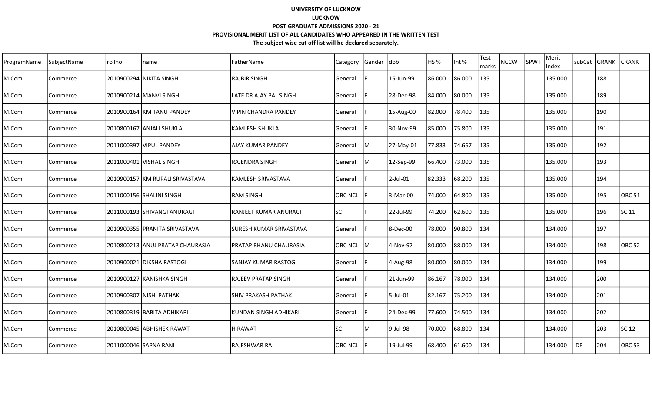| ProgramName | SubjectName | rollno                | name                             | FatherName                     | <b>Category</b> | Gender  dob |             | HS <sub>%</sub> | Int %  | <b>Test</b><br>marks | <b>NCCWT</b> | SPWT | Merit<br>Index | subCat    | GRANK | <b>CRANK</b>      |
|-------------|-------------|-----------------------|----------------------------------|--------------------------------|-----------------|-------------|-------------|-----------------|--------|----------------------|--------------|------|----------------|-----------|-------|-------------------|
| M.Com       | Commerce    |                       | 2010900294 NIKITA SINGH          | <b>RAJBIR SINGH</b>            | General         |             | 15-Jun-99   | 86.000          | 86.000 | 135                  |              |      | 135.000        |           | 188   |                   |
| M.Com       | Commerce    |                       | 2010900214   MANVI SINGH         | llate DR AJAY PAL SINGH        | General         |             | 28-Dec-98   | 84.000          | 80.000 | 135                  |              |      | 135.000        |           | 189   |                   |
| M.Com       | Commerce    |                       | 2010900164 KM TANU PANDEY        | VIPIN CHANDRA PANDEY           | General         |             | 15-Aug-00   | 82.000          | 78.400 | 135                  |              |      | 135.000        |           | 190   |                   |
| M.Com       | Commerce    |                       | 2010800167 ANJALI SHUKLA         | KAMLESH SHUKLA                 | General         |             | 30-Nov-99   | 85.000          | 75.800 | 135                  |              |      | 135.000        |           | 191   |                   |
| M.Com       | Commerce    |                       | 2011000397 VIPUL PANDEY          | AJAY KUMAR PANDEY              | <b>General</b>  | lM          | 27-May-01   | 77.833          | 74.667 | 135                  |              |      | 135.000        |           | 192   |                   |
| M.Com       | Commerce    |                       | 2011000401 VISHAL SINGH          | IRAJENDRA SINGH                | General         | lM          | 12-Sep-99   | 66.400          | 73.000 | 135                  |              |      | 135.000        |           | 193   |                   |
| M.Com       | Commerce    |                       | 2010900157 lKM RUPALI SRIVASTAVA | lKAMLESH SRIVASTAVA            | <b>General</b>  |             | $2$ -Jul-01 | 82.333          | 68.200 | 135                  |              |      | 135.000        |           | 194   |                   |
| M.Com       | Commerce    |                       | 2011000156 SHALINI SINGH         | <b>RAM SINGH</b>               | <b>OBC NCL</b>  |             | 3-Mar-00    | 74.000          | 64.800 | 135                  |              |      | 135.000        |           | 195   | <b>OBC 51</b>     |
| M.Com       | Commerce    |                       | 2011000193 SHIVANGI ANURAGI      | RANJEET KUMAR ANURAGI          | <b>SC</b>       |             | 22-Jul-99   | 74.200          | 62.600 | 135                  |              |      | 135.000        |           | 196   | SC 11             |
| M.Com       | Commerce    |                       | 2010900355 PRANITA SRIVASTAVA    | <b>SURESH KUMAR SRIVASTAVA</b> | General         |             | 8-Dec-00    | 78.000          | 90.800 | 134                  |              |      | 134.000        |           | 197   |                   |
| M.Com       | Commerce    |                       | 2010800213 ANUJ PRATAP CHAURASIA | <b>PRATAP BHANU CHAURASIA</b>  | <b>OBC NCL</b>  | ΙM          | 4-Nov-97    | 80.000          | 88.000 | 134                  |              |      | 134.000        |           | 198   | OBC 52            |
| M.Com       | Commerce    |                       | 2010900021 DIKSHA RASTOGI        | SANJAY KUMAR RASTOGI           | General         |             | 4-Aug-98    | 80.000          | 80.000 | 134                  |              |      | 134.000        |           | 199   |                   |
| M.Com       | Commerce    |                       | 2010900127 KANISHKA SINGH        | <b>RAJEEV PRATAP SINGH</b>     | General         |             | 21-Jun-99   | 86.167          | 78.000 | 134                  |              |      | 134.000        |           | 200   |                   |
| M.Com       | Commerce    |                       | 2010900307 NISHI PATHAK          | ISHIV PRAKASH PATHAK           | General         |             | 5-Jul-01    | 82.167          | 75.200 | 134                  |              |      | 134.000        |           | 201   |                   |
| M.Com       | Commerce    |                       | 2010800319 BABITA ADHIKARI       | KUNDAN SINGH ADHIKARI          | General         |             | 24-Dec-99   | 77.600          | 74.500 | 134                  |              |      | 134.000        |           | 202   |                   |
| M.Com       | Commerce    |                       | 2010800045 ABHISHEK RAWAT        | IH RAWAT                       | lsc             | ΙM          | 9-Jul-98    | 70.000          | 68.800 | 134                  |              |      | 134.000        |           | 203   | SC 12             |
| M.Com       | Commerce    | 2011000046 SAPNA RANI |                                  | lRAJESHWAR RAI                 | <b>OBC NCL</b>  |             | 19-Jul-99   | 68.400          | 61.600 | 134                  |              |      | 134.000        | <b>DP</b> | 204   | OBC <sub>53</sub> |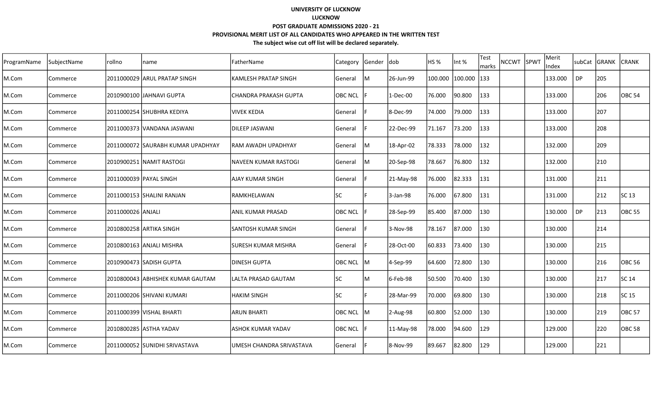| ProgramName | SubjectName | rollno            | name                               | FatherName                  | <b>Category</b> | Gender  dob |           | HS %    | Int %   | Test<br>marks | <b>NCCWT</b> | <b>SPWT</b> | Merit<br>Index | subCat    | GRANK | <b>CRANK</b>      |
|-------------|-------------|-------------------|------------------------------------|-----------------------------|-----------------|-------------|-----------|---------|---------|---------------|--------------|-------------|----------------|-----------|-------|-------------------|
| M.Com       | Commerce    |                   | 2011000029 ARUL PRATAP SINGH       | <b>KAMLESH PRATAP SINGH</b> | General         | M           | 26-Jun-99 | 100.000 | 100.000 | 133           |              |             | 133.000        | DP        | 205   |                   |
| M.Com       | Commerce    |                   | 2010900100 JAHNAVI GUPTA           | CHANDRA PRAKASH GUPTA       | <b>OBC NCL</b>  |             | 1-Dec-00  | 76.000  | 90.800  | 133           |              |             | 133.000        |           | 206   | OBC <sub>54</sub> |
| M.Com       | Commerce    |                   | 2011000254 SHUBHRA KEDIYA          | <b>VIVEK KEDIA</b>          | General         |             | 8-Dec-99  | 74.000  | 79.000  | 133           |              |             | 133.000        |           | 207   |                   |
| M.Com       | Commerce    |                   | 2011000373 VANDANA JASWANI         | İDILEEP JASWANI             | <b>General</b>  |             | 22-Dec-99 | 71.167  | 73.200  | 133           |              |             | 133.000        |           | 208   |                   |
| M.Com       | Commerce    |                   | 2011000072 ISAURABH KUMAR UPADHYAY | IRAM AWADH UPADHYAY         | General         | lΜ          | 18-Apr-02 | 78.333  | 78.000  | 132           |              |             | 132.000        |           | 209   |                   |
| M.Com       | Commerce    |                   | 2010900251 NAMIT RASTOGI           | NAVEEN KUMAR RASTOGI        | General         | lм          | 20-Sep-98 | 78.667  | 76.800  | 132           |              |             | 132.000        |           | 210   |                   |
| M.Com       | Commerce    |                   | 2011000039 PAYAL SINGH             | lAJAY KUMAR SINGH           | General         |             | 21-May-98 | 76.000  | 82.333  | 131           |              |             | 131.000        |           | 211   |                   |
| M.Com       | Commerce    |                   | 2011000153 SHALINI RANJAN          | RAMKHELAWAN                 | lsc             |             | 3-Jan-98  | 76.000  | 67.800  | 131           |              |             | 131.000        |           | 212   | SC 13             |
| M.Com       | Commerce    | 2011000026 ANJALI |                                    | lanıl kumar Prasad          | <b>OBC NCL</b>  |             | 28-Sep-99 | 85.400  | 87.000  | 130           |              |             | 130.000        | <b>DP</b> | 213   | <b>OBC 55</b>     |
| M.Com       | Commerce    |                   | 2010800258 ARTIKA SINGH            | <b>SANTOSH KUMAR SINGH</b>  | <b>General</b>  |             | 3-Nov-98  | 78.167  | 87.000  | 130           |              |             | 130.000        |           | 214   |                   |
| M.Com       | Commerce    |                   | 2010800163 ANJALI MISHRA           | <b>SURESH KUMAR MISHRA</b>  | <b>General</b>  |             | 28-Oct-00 | 60.833  | 73.400  | 130           |              |             | 130.000        |           | 215   |                   |
| M.Com       | Commerce    |                   | 2010900473 SADISH GUPTA            | IDINESH GUPTA               | <b>OBC NCL</b>  | IM.         | 4-Sep-99  | 64.600  | 72.800  | 130           |              |             | 130.000        |           | 216   | <b>OBC 56</b>     |
| M.Com       | Commerce    |                   | 2010800043 ABHISHEK KUMAR GAUTAM   | LALTA PRASAD GAUTAM         | lsc             | M           | 6-Feb-98  | 50.500  | 70.400  | 130           |              |             | 130.000        |           | 217   | SC 14             |
| M.Com       | Commerce    |                   | 2011000206 ISHIVANI KUMARI         | <b>HAKIM SINGH</b>          | lsc             |             | 28-Mar-99 | 70.000  | 69.800  | 130           |              |             | 130.000        |           | 218   | SC 15             |
| M.Com       | Commerce    |                   | 2011000399 VISHAL BHARTI           | ARUN BHARTI                 | <b>OBC NCL</b>  | lM          | 2-Aug-98  | 60.800  | 52.000  | 130           |              |             | 130.000        |           | 219   | <b>OBC 57</b>     |
| M.Com       | Commerce    |                   | 2010800285 ASTHA YADAV             | lASHOK KUMAR YADAV          | <b>OBC NCL</b>  |             | 11-May-98 | 78.000  | 94.600  | 129           |              |             | 129.000        |           | 220   | <b>OBC 58</b>     |
| M.Com       | Commerce    |                   | 2011000052 SUNIDHI SRIVASTAVA      | UMESH CHANDRA SRIVASTAVA    | <b>General</b>  |             | 8-Nov-99  | 89.667  | 82.800  | 129           |              |             | 129.000        |           | 221   |                   |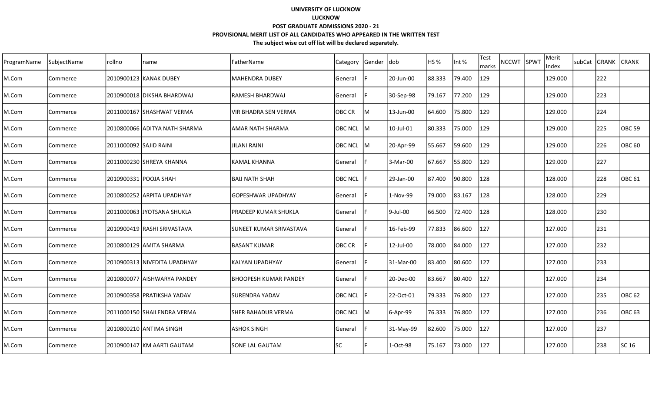| ProgramName | SubjectName | rollno                 | name                          | FatherName                   | Category       | Gender  dob |           | HS %   | Int %  | Test<br>marks | <b>NCCWT</b> | SPWT | Merit<br>Index | subCat GRANK | <b>CRANK</b>      |
|-------------|-------------|------------------------|-------------------------------|------------------------------|----------------|-------------|-----------|--------|--------|---------------|--------------|------|----------------|--------------|-------------------|
| M.Com       | Commerce    |                        | 2010900123 KANAK DUBEY        | MAHENDRA DUBEY               | General        |             | 20-Jun-00 | 88.333 | 79.400 | 129           |              |      | 129.000        | 222          |                   |
| M.Com       | Commerce    |                        | 2010900018 DIKSHA BHARDWAJ    | IRAMESH BHARDWAJ             | General        |             | 30-Sep-98 | 79.167 | 77.200 | 129           |              |      | 129.000        | 223          |                   |
| M.Com       | Commerce    |                        | 2011000167 SHASHWAT VERMA     | IVIR BHADRA SEN VERMA        | <b>OBC CR</b>  | lм          | 13-Jun-00 | 64.600 | 75.800 | 129           |              |      | 129.000        | 224          |                   |
| M.Com       | Commerce    |                        | 2010800066 ADITYA NATH SHARMA | lamar nath sharma            | OBC NCL M      |             | 10-Jul-01 | 80.333 | 75.000 | 129           |              |      | 129.000        | 225          | OBC 59            |
| M.Com       | Commerce    | 2011000092 SAJID RAINI |                               | JILANI RAINI                 | OBC NCL M      |             | 20-Apr-99 | 55.667 | 59.600 | 129           |              |      | 129.000        | 226          | <b>OBC 60</b>     |
| M.Com       | Commerce    |                        | 2011000230 SHREYA KHANNA      | KAMAL KHANNA                 | General        |             | 3-Mar-00  | 67.667 | 55.800 | 129           |              |      | 129.000        | 227          |                   |
| M.Com       | Commerce    |                        | 2010900331 POOJA SHAH         | BAIJ NATH SHAH               | <b>OBC NCL</b> |             | 29-Jan-00 | 87.400 | 90.800 | 128           |              |      | 128.000        | 228          | <b>OBC 61</b>     |
| M.Com       | Commerce    |                        | 2010800252  ARPITA UPADHYAY   | lGOPESHWAR UPADHYAY          | General        |             | 1-Nov-99  | 79.000 | 83.167 | 128           |              |      | 128.000        | 229          |                   |
| M.Com       | Commerce    |                        | 2011000063 JYOTSANA SHUKLA    | PRADEEP KUMAR SHUKLA         | General        |             | 9-Jul-00  | 66.500 | 72.400 | 128           |              |      | 128.000        | 230          |                   |
| M.Com       | Commerce    |                        | 2010900419 RASHI SRIVASTAVA   | SUNEET KUMAR SRIVASTAVA      | General        |             | 16-Feb-99 | 77.833 | 86.600 | 127           |              |      | 127.000        | 231          |                   |
| M.Com       | Commerce    |                        | 2010800129 AMITA SHARMA       | <b>IBASANT KUMAR</b>         | <b>OBC CR</b>  |             | 12-Jul-00 | 78.000 | 84.000 | 127           |              |      | 127.000        | 232          |                   |
| M.Com       | Commerce    |                        | 2010900313 NIVEDITA UPADHYAY  | KALYAN UPADHYAY              | <b>General</b> |             | 31-Mar-00 | 83.400 | 80.600 | 127           |              |      | 127.000        | 233          |                   |
| M.Com       | Commerce    |                        | 2010800077 AISHWARYA PANDEY   | <b>BHOOPESH KUMAR PANDEY</b> | General        |             | 20-Dec-00 | 83.667 | 80.400 | 127           |              |      | 127.000        | 234          |                   |
| M.Com       | Commerce    |                        | 2010900358 PRATIKSHA YADAV    | ISURENDRA YADAV              | <b>OBC NCL</b> |             | 22-Oct-01 | 79.333 | 76.800 | 127           |              |      | 127.000        | 235          | OBC <sub>62</sub> |
| M.Com       | Commerce    |                        | 2011000150 SHAILENDRA VERMA   | <b>SHER BAHADUR VERMA</b>    | <b>OBC NCL</b> | lM          | 6-Apr-99  | 76.333 | 76.800 | 127           |              |      | 127.000        | 236          | <b>OBC 63</b>     |
| M.Com       | Commerce    |                        | 2010800210 ANTIMA SINGH       | lashok singh                 | General        |             | 31-May-99 | 82.600 | 75.000 | 127           |              |      | 127.000        | 237          |                   |
| M.Com       | Commerce    |                        | 2010900147 KM AARTI GAUTAM    | lSONE LAL GAUTAM             | <b>SC</b>      |             | 1-Oct-98  | 75.167 | 73.000 | 127           |              |      | 127.000        | 238          | SC 16             |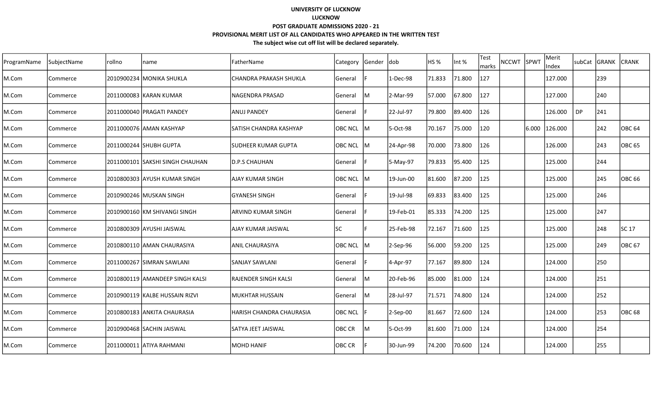| ProgramName | SubjectName | rollno     | name                            | FatherName                  | <b>Category</b> | Gender  dob |           | HS %   | Int %  | Test<br>marks | <b>NCCWT</b> | SPWT  | Merit<br>Index |    | subCat GRANK | <b>CRANK</b>      |
|-------------|-------------|------------|---------------------------------|-----------------------------|-----------------|-------------|-----------|--------|--------|---------------|--------------|-------|----------------|----|--------------|-------------------|
| M.Com       | Commerce    | 2010900234 | MONIKA SHUKLA                   | CHANDRA PRAKASH SHUKLA      | General         |             | 1-Dec-98  | 71.833 | 71.800 | 127           |              |       | 127.000        |    | 239          |                   |
| M.Com       | Commerce    |            | 2011000083 KARAN KUMAR          | lNAGENDRA PRASAD            | General         | ΙM          | 2-Mar-99  | 57.000 | 67.800 | 127           |              |       | 127.000        |    | 240          |                   |
| M.Com       | Commerce    |            | 2011000040 PRAGATI PANDEY       | <b>ANUJ PANDEY</b>          | General         |             | 22-Jul-97 | 79.800 | 89.400 | 126           |              |       | 126.000        | DP | 241          |                   |
| M.Com       | Commerce    |            | 2011000076 AMAN KASHYAP         | lSATISH CHANDRA KASHYAP     | <b>OBC NCL</b>  | lм          | 5-Oct-98  | 70.167 | 75.000 | 120           |              | 6.000 | 126.000        |    | 242          | OBC <sub>64</sub> |
| M.Com       | Commerce    |            | 2011000244 SHUBH GUPTA          | <b>ISUDHEER KUMAR GUPTA</b> | OBC NCL         | IM.         | 24-Apr-98 | 70.000 | 73.800 | 126           |              |       | 126.000        |    | 243          | lOBC 65           |
| M.Com       | Commerce    |            | 2011000101 SAKSHI SINGH CHAUHAN | ID.P.S CHAUHAN              | General         |             | 5-May-97  | 79.833 | 95.400 | 125           |              |       | 125.000        |    | 244          |                   |
| M.Com       | Commerce    |            | 2010800303 AYUSH KUMAR SINGH    | lAJAY KUMAR SINGH           | <b>OBC NCL</b>  | ΙM          | 19-Jun-00 | 81.600 | 87.200 | 125           |              |       | 125.000        |    | 245          | <b>OBC 66</b>     |
| M.Com       | Commerce    |            | 2010900246 MUSKAN SINGH         | <b>GYANESH SINGH</b>        | General         |             | 19-Jul-98 | 69.833 | 83.400 | 125           |              |       | 125.000        |    | 246          |                   |
| M.Com       | Commerce    |            | 2010900160 KM SHIVANGI SINGH    | <b>ARVIND KUMAR SINGH</b>   | General         |             | 19-Feb-01 | 85.333 | 74.200 | 125           |              |       | 125.000        |    | 247          |                   |
| M.Com       | Commerce    |            | 2010800309 AYUSHI JAISWAL       | AJAY KUMAR JAISWAL          | <b>SC</b>       |             | 25-Feb-98 | 72.167 | 71.600 | 125           |              |       | 125.000        |    | 248          | SC 17             |
| M.Com       | Commerce    |            | 2010800110 AMAN CHAURASIYA      | <b>ANIL CHAURASIYA</b>      | <b>OBC NCL</b>  | ΙM          | 2-Sep-96  | 56.000 | 59.200 | 125           |              |       | 125.000        |    | 249          | OBC 67            |
| M.Com       | Commerce    |            | 2011000267 SIMRAN SAWLANI       | <b>SANJAY SAWLANI</b>       | General         |             | 4-Apr-97  | 77.167 | 89.800 | 124           |              |       | 124.000        |    | 250          |                   |
| M.Com       | Commerce    |            | 2010800119 AMANDEEP SINGH KALSI | <b>RAJENDER SINGH KALSI</b> | General         | ΙM          | 20-Feb-96 | 85.000 | 81.000 | 124           |              |       | 124.000        |    | 251          |                   |
| M.Com       | Commerce    |            | 2010900119 KALBE HUSSAIN RIZVI  | IMUKHTAR HUSSAIN            | General         | м           | 28-Jul-97 | 71.571 | 74.800 | 124           |              |       | 124.000        |    | 252          |                   |
| M.Com       | Commerce    |            | 2010800183 ANKITA CHAURASIA     | IHARISH CHANDRA CHAURASIA   | <b>OBC NCL</b>  |             | 2-Sep-00  | 81.667 | 72.600 | 124           |              |       | 124.000        |    | 253          | <b>OBC 68</b>     |
| M.Com       | Commerce    |            | 2010900468 SACHIN JAISWAL       | <b>SATYA JEET JAISWAL</b>   | OBC CR          | lM          | 5-Oct-99  | 81.600 | 71.000 | 124           |              |       | 124.000        |    | 254          |                   |
| M.Com       | Commerce    |            | 2011000011 ATIYA RAHMANI        | MOHD HANIF                  | OBC CR          |             | 30-Jun-99 | 74.200 | 70.600 | 124           |              |       | 124.000        |    | 255          |                   |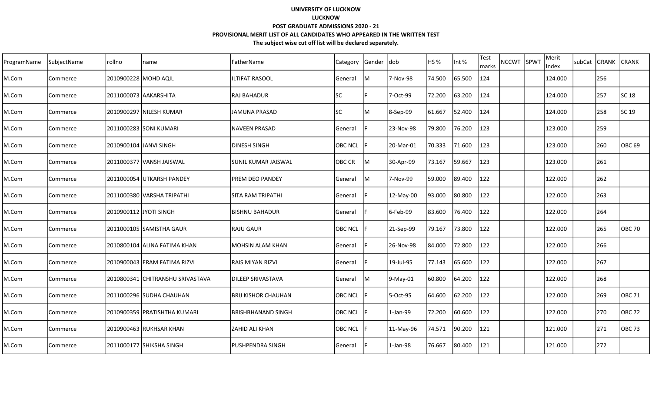| ProgramName | SubjectName | rollno                 | name                             | FatherName                 | Category       | Gender  dob |            | HS <sub>%</sub> | Int %  | <b>Test</b><br>marks | <b>NCCWT</b> | SPWT | Merit<br>Index | subCat | GRANK | <b>CRANK</b>      |
|-------------|-------------|------------------------|----------------------------------|----------------------------|----------------|-------------|------------|-----------------|--------|----------------------|--------------|------|----------------|--------|-------|-------------------|
| M.Com       | Commerce    | 2010900228 MOHD AQIL   |                                  | <b>ILTIFAT RASOOL</b>      | General        | M           | 7-Nov-98   | 74.500          | 65.500 | 124                  |              |      | 124.000        |        | 256   |                   |
| M.Com       | Commerce    |                        | 2011000073 AAKARSHITA            | lraj bahadur               | lsc            |             | 7-Oct-99   | 72.200          | 63.200 | 124                  |              |      | 124.000        |        | 257   | SC 18             |
| M.Com       | Commerce    |                        | 2010900297 NILESH KUMAR          | lJAMUNA PRASAD             | lsc            | ΙM          | 8-Sep-99   | 61.667          | 52.400 | 124                  |              |      | 124.000        |        | 258   | SC 19             |
| M.Com       | Commerce    |                        | 2011000283 SONI KUMARI           | INAVEEN PRASAD             | General        |             | 23-Nov-98  | 79.800          | 76.200 | 123                  |              |      | 123.000        |        | 259   |                   |
| M.Com       | Commerce    |                        | 2010900104 JANVI SINGH           | IDINESH SINGH              | <b>OBC NCL</b> |             | 20-Mar-01  | 70.333          | 71.600 | 123                  |              |      | 123.000        |        | 260   | OBC <sub>69</sub> |
| M.Com       | Commerce    |                        | 2011000377 VANSH JAISWAL         | SUNIL KUMAR JAISWAL        | <b>OBC CR</b>  | lм          | 30-Apr-99  | 73.167          | 59.667 | 123                  |              |      | 123.000        |        | 261   |                   |
| M.Com       | Commerce    |                        | 2011000054 UTKARSH PANDEY        | IPREM DEO PANDEY           | <b>General</b> | lм          | 7-Nov-99   | 59.000          | 89.400 | 122                  |              |      | 122.000        |        | 262   |                   |
| M.Com       | Commerce    |                        | 2011000380 VARSHA TRIPATHI       | ISITA RAM TRIPATHI         | General        |             | 12-May-00  | 93.000          | 80.800 | 122                  |              |      | 122.000        |        | 263   |                   |
| M.Com       | Commerce    | 2010900112 JYOTI SINGH |                                  | BISHNU BAHADUR             | General        |             | 6-Feb-99   | 83.600          | 76.400 | 122                  |              |      | 122.000        |        | 264   |                   |
| M.Com       | Commerce    |                        | 2011000105 SAMISTHA GAUR         | <b>RAJU GAUR</b>           | <b>OBC NCL</b> |             | 21-Sep-99  | 79.167          | 73.800 | 122                  |              |      | 122.000        |        | 265   | <b>OBC 70</b>     |
| M.Com       | Commerce    |                        | 2010800104 ALINA FATIMA KHAN     | <b>IMOHSIN ALAM KHAN</b>   | General        |             | 26-Nov-98  | 84.000          | 72.800 | 122                  |              |      | 122.000        |        | 266   |                   |
| M.Com       | Commerce    |                        | 2010900043 ERAM FATIMA RIZVI     | <b>RAIS MIYAN RIZVI</b>    | General        |             | 19-Jul-95  | 77.143          | 65.600 | 122                  |              |      | 122.000        |        | 267   |                   |
| M.Com       | Commerce    |                        | 2010800341 CHITRANSHU SRIVASTAVA | <b>DILEEP SRIVASTAVA</b>   | General        | ΙM          | 9-May-01   | 60.800          | 64.200 | 122                  |              |      | 122.000        |        | 268   |                   |
| M.Com       | Commerce    |                        | 2011000296 SUDHA CHAUHAN         | <b>BRIJ KISHOR CHAUHAN</b> | <b>OBC NCL</b> |             | 5-Oct-95   | 64.600          | 62.200 | 122                  |              |      | 122.000        |        | 269   | <b>OBC 71</b>     |
| M.Com       | Commerce    |                        | 2010900359 PRATISHTHA KUMARI     | <b>BRISHBHANAND SINGH</b>  | <b>OBC NCL</b> |             | $1-Jan-99$ | 72.200          | 60.600 | 122                  |              |      | 122.000        |        | 270   | <b>OBC 72</b>     |
| M.Com       | Commerce    |                        | 2010900463 RUKHSAR KHAN          | IZAHID ALI KHAN            | <b>OBC NCL</b> |             | 11-May-96  | 74.571          | 90.200 | 121                  |              |      | 121.000        |        | 271   | <b>OBC 73</b>     |
| M.Com       | Commerce    |                        | 2011000177  SHIKSHA SINGH        | lpushpendra singh          | General        |             | $1-Jan-98$ | 76.667          | 80.400 | 121                  |              |      | 121.000        |        | 272   |                   |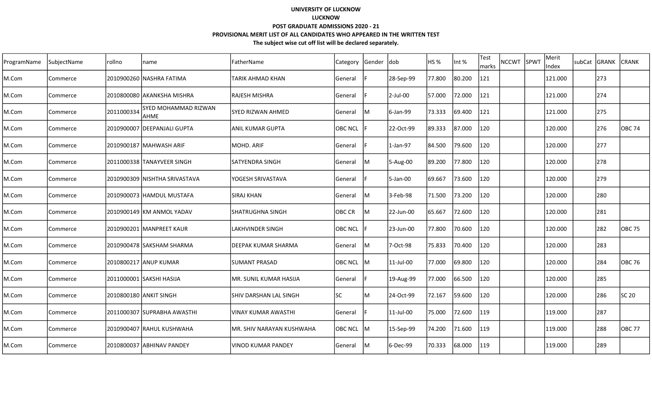| ProgramName | SubjectName | rollno     | name                                | FatherName                  | Category       | Gender  dob |             | HS %   | Int %  | Test<br>marks | <b>NCCWT</b> | SPWT | Merit<br>Index | subCat GRANK | <b>CRANK</b> |
|-------------|-------------|------------|-------------------------------------|-----------------------------|----------------|-------------|-------------|--------|--------|---------------|--------------|------|----------------|--------------|--------------|
| M.Com       | Commerce    |            | 2010900260 NASHRA FATIMA            | TARIK AHMAD KHAN            | General        |             | 28-Sep-99   | 77.800 | 80.200 | 121           |              |      | 121.000        | 273          |              |
| M.Com       | Commerce    |            | 2010800080 AKANKSHA MISHRA          | lrajesh mishra              | General        |             | $2$ -Jul-00 | 57.000 | 72.000 | 121           |              |      | 121.000        | 274          |              |
| M.Com       | Commerce    | 2011000334 | <b>SYED MOHAMMAD RIZWAN</b><br>AHME | ISYED RIZWAN AHMED          | General        | lΜ          | 6-Jan-99    | 73.333 | 69.400 | 121           |              |      | 121.000        | 275          |              |
| M.Com       | Commerce    |            | 2010900007 DEEPANJALI GUPTA         | lanıl kumar Gupta           | <b>OBC NCL</b> |             | 22-Oct-99   | 89.333 | 87.000 | 120           |              |      | 120.000        | 276          | OBC 74       |
| M.Com       | Commerce    |            | 2010900187 MAHWASH ARIF             | MOHD. ARIF                  | General        |             | $1-Jan-97$  | 84.500 | 79.600 | 120           |              |      | 120.000        | 277          |              |
| M.Com       | Commerce    |            | 2011000338 TANAYVEER SINGH          | ISATYENDRA SINGH            | General        | lM          | 5-Aug-00    | 89.200 | 77.800 | 120           |              |      | 120.000        | 278          |              |
| M.Com       | Commerce    |            | 2010900309  NISHTHA SRIVASTAVA      | YOGESH SRIVASTAVA           | General        |             | 5-Jan-00    | 69.667 | 73.600 | 120           |              |      | 120.000        | 279          |              |
| M.Com       | Commerce    |            |                                     | <b>SIRAJ KHAN</b>           | General        | ΙM          | 3-Feb-98    | 71.500 | 73.200 | 120           |              |      | 120.000        | 280          |              |
| M.Com       | Commerce    |            | 2010900149 KM ANMOL YADAV           | ISHATRUGHNA SINGH           | OBC CR         | ΙM          | 22-Jun-00   | 65.667 | 72.600 | 120           |              |      | 120.000        | 281          |              |
| M.Com       | Commerce    |            | 2010900201 MANPREET KAUR            | LAKHVINDER SINGH            | <b>OBC NCL</b> |             | 23-Jun-00   | 77.800 | 70.600 | 120           |              |      | 120.000        | 282          | OBC 75       |
| M.Com       | Commerce    |            | 2010900478 SAKSHAM SHARMA           | <b>IDEEPAK KUMAR SHARMA</b> | General        | IM          | 7-Oct-98    | 75.833 | 70.400 | 120           |              |      | 120.000        | 283          |              |
| M.Com       | Commerce    |            | 2010800217 ANUP KUMAR               | <b>SUMANT PRASAD</b>        | OBC NCL        | lМ          | 11-Jul-00   | 77.000 | 69.800 | 120           |              |      | 120.000        | 284          | OBC 76       |
| M.Com       | Commerce    |            | 2011000001 SAKSHI HASIJA            | MR. SUNIL KUMAR HASIJA      | General        |             | 19-Aug-99   | 77.000 | 66.500 | 120           |              |      | 120.000        | 285          |              |
| M.Com       | Commerce    |            | 2010800180 JANKIT SINGH             | ISHIV DARSHAN LAL SINGH     | lsc            | ΙM          | 24-Oct-99   | 72.167 | 59.600 | 120           |              |      | 120.000        | 286          | SC 20        |
| M.Com       | Commerce    |            | 2011000307 SUPRABHA AWASTHI         | lvinay kumar awasthi        | General        |             | 11-Jul-00   | 75.000 | 72.600 | 119           |              |      | 119.000        | 287          |              |
| M.Com       | Commerce    |            | 2010900407 RAHUL KUSHWAHA           | IMR. SHIV NARAYAN KUSHWAHA  | <b>OBC NCL</b> | IM.         | 15-Sep-99   | 74.200 | 71.600 | 119           |              |      | 119.000        | 288          | OBC 77       |
| M.Com       | Commerce    |            | 2010800037 ABHINAV PANDEY           | lvinod kumar pandey         | <b>General</b> | lм          | 6-Dec-99    | 70.333 | 68.000 | 119           |              |      | 119.000        | 289          |              |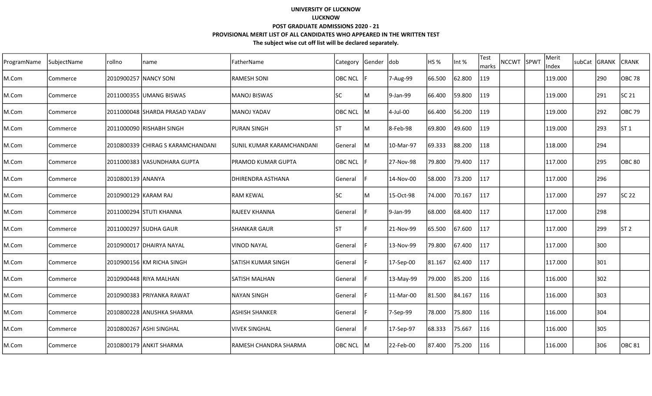| ProgramName | SubjectName | rollno               | name                               | FatherName                | Category       | Gender | ldob      | <b>HS %</b> | Int %  | Test<br>marks | NCCWT SPWT | Merit<br>Index | subCat GRANK |     | <b>CRANK</b>    |
|-------------|-------------|----------------------|------------------------------------|---------------------------|----------------|--------|-----------|-------------|--------|---------------|------------|----------------|--------------|-----|-----------------|
| M.Com       | Commerce    |                      | 2010900257 NANCY SONI              | <b>RAMESH SONI</b>        | <b>OBC NCL</b> |        | 7-Aug-99  | 66.500      | 62.800 | 119           |            | 119.000        |              | 290 | <b>OBC 78</b>   |
| M.Com       | Commerce    |                      |                                    | <b>MANOJ BISWAS</b>       | <b>SC</b>      | lм     | 9-Jan-99  | 66.400      | 59.800 | 119           |            | 119.000        |              | 291 | SC 21           |
| M.Com       | Commerce    |                      | 2011000048 SHARDA PRASAD YADAV     | <b>MANOJ YADAV</b>        | OBC NCL        | IM.    | 4-Jul-00  | 66.400      | 56.200 | 119           |            | 119.000        |              | 292 | <b>OBC 79</b>   |
| M.Com       | Commerce    |                      | 2011000090 RISHABH SINGH           | PURAN SINGH               | <b>ST</b>      | lм     | 8-Feb-98  | 69.800      | 49.600 | 119           |            | 119.000        |              | 293 | IST 1           |
| M.Com       | Commerce    |                      | 2010800339 ICHIRAG S KARAMCHANDANI | SUNIL KUMAR KARAMCHANDANI | General        | IM.    | 10-Mar-97 | 69.333      | 88.200 | 118           |            | 118.000        |              | 294 |                 |
| M.Com       | Commerce    |                      | 2011000383 VASUNDHARA GUPTA        | PRAMOD KUMAR GUPTA        | OBC NCL        |        | 27-Nov-98 | 79.800      | 79.400 | 117           |            | 117.000        |              | 295 | <b>OBC 80</b>   |
| M.Com       | Commerce    | 2010800139 ANANYA    |                                    | DHIRENDRA ASTHANA         | General        |        | 14-Nov-00 | 58.000      | 73.200 | 117           |            | 117.000        |              | 296 |                 |
| M.Com       | Commerce    | 2010900129 KARAM RAJ |                                    | <b>RAM KEWAL</b>          | <b>SC</b>      | lМ     | 15-Oct-98 | 74.000      | 70.167 | 117           |            | 117.000        |              | 297 | <b>SC 22</b>    |
| M.Com       | Commerce    |                      | 2011000294 STUTI KHANNA            | RAJEEV KHANNA             | General        |        | 9-Jan-99  | 68.000      | 68.400 | 117           |            | 117.000        |              | 298 |                 |
| M.Com       | Commerce    |                      | 2011000297 SUDHA GAUR              | SHANKAR GAUR              | <b>ST</b>      |        | 21-Nov-99 | 65.500      | 67.600 | 117           |            | 117.000        |              | 299 | ST <sub>2</sub> |
| M.Com       | Commerce    |                      | 2010900017 DHAIRYA NAYAL           | <b>VINOD NAYAL</b>        | General        |        | 13-Nov-99 | 79.800      | 67.400 | 117           |            | 117.000        |              | 300 |                 |
| M.Com       | Commerce    |                      | 2010900156 KM RICHA SINGH          | SATISH KUMAR SINGH        | General        |        | 17-Sep-00 | 81.167      | 62.400 | 117           |            | 117.000        |              | 301 |                 |
| M.Com       | Commerce    |                      | 2010900448 RIYA MALHAN             | <b>SATISH MALHAN</b>      | General        |        | 13-May-99 | 79.000      | 85.200 | 116           |            | 116.000        |              | 302 |                 |
| M.Com       | Commerce    |                      | 2010900383 IPRIYANKA RAWAT         | NAYAN SINGH               | General        |        | 11-Mar-00 | 81.500      | 84.167 | 116           |            | 116.000        |              | 303 |                 |
| M.Com       | Commerce    |                      | 2010800228 ANUSHKA SHARMA          | ASHISH SHANKER            | General        |        | 7-Sep-99  | 78.000      | 75.800 | 116           |            | 116.000        |              | 304 |                 |
| M.Com       | Commerce    |                      | 2010800267 ASHI SINGHAL            | VIVEK SINGHAL             | General        |        | 17-Sep-97 | 68.333      | 75.667 | 116           |            | 116.000        |              | 305 |                 |
| M.Com       | Commerce    |                      | 2010800179 ANKIT SHARMA            | RAMESH CHANDRA SHARMA     | OBC NCL M      |        | 22-Feb-00 | 87.400      | 75.200 | 116           |            | 116.000        |              | 306 | OBC 81          |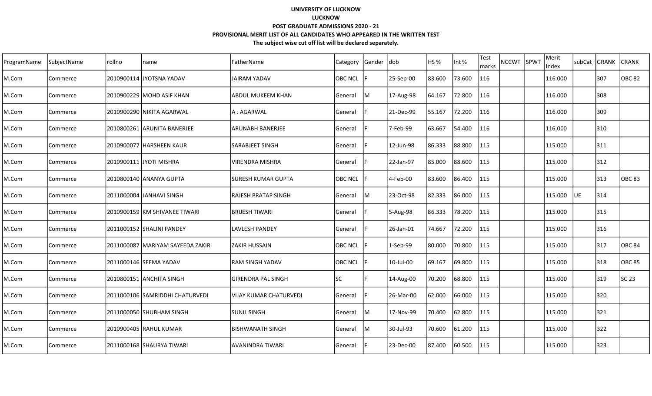| ProgramName | SubjectName | rollno | name                               | FatherName                | Category | Gender | dob       | HS <sub>%</sub> | Int %  | Test<br>NCCWT SPWT<br>marks | Merit<br>Index | subCat GRANK |     | <b>CRANK</b>  |
|-------------|-------------|--------|------------------------------------|---------------------------|----------|--------|-----------|-----------------|--------|-----------------------------|----------------|--------------|-----|---------------|
| M.Com       | Commerce    |        | 2010900114 JJYOTSNA YADAV          | JAIRAM YADAV              | OBC NCL  |        | 25-Sep-00 | 83.600          | 73.600 | 116                         | 116.000        |              | 307 | IOBC 82       |
| M.Com       | Commerce    |        | 2010900229 MOHD ASIF KHAN          | <b>ABDUL MUKEEM KHAN</b>  | General  | lМ     | 17-Aug-98 | 64.167          | 72.800 | 116                         | 116.000        |              | 308 |               |
| M.Com       | Commerce    |        | 2010900290 NIKITA AGARWAL          | A . AGARWAL               | General  |        | 21-Dec-99 | 55.167          | 72.200 | 116                         | 116.000        |              | 309 |               |
| M.Com       | Commerce    |        | 2010800261 ARUNITA BANERJEE        | ARUNABH BANERJEE          | General  |        | 7-Feb-99  | 63.667          | 54.400 | 116                         | 116.000        |              | 310 |               |
| M.Com       | Commerce    |        | 2010900077 HARSHEEN KAUR           | <b>SARABJEET SINGH</b>    | General  |        | 12-Jun-98 | 86.333          | 88.800 | 115                         | 115.000        |              | 311 |               |
| M.Com       | Commerce    |        | 2010900111 JYOTI MISHRA            | VIRENDRA MISHRA           | General  |        | 22-Jan-97 | 85.000          | 88.600 | 115                         | 115.000        |              | 312 |               |
| M.Com       | Commerce    |        | 2010800140 ANANYA GUPTA            | SURESH KUMAR GUPTA        | OBC NCL  |        | 4-Feb-00  | 83.600          | 86.400 | 115                         | 115.000        |              | 313 | IOBC 83       |
| M.Com       | Commerce    |        | 2011000004 JANHAVI SINGH           | RAJESH PRATAP SINGH       | General  | M      | 23-Oct-98 | 82.333          | 86.000 | 115                         | 115.000        | <b>JUE</b>   | 314 |               |
| M.Com       | Commerce    |        | 2010900159 KM SHIVANEE TIWARI      | IBRIJESH TIWARI           | General  |        | 5-Aug-98  | 86.333          | 78.200 | 115                         | 115.000        |              | 315 |               |
| M.Com       | Commerce    |        | 2011000152 SHALINI PANDEY          | <b>LAVLESH PANDEY</b>     | General  |        | 26-Jan-01 | 74.667          | 72.200 | 115                         | 115.000        |              | 316 |               |
| M.Com       | Commerce    |        | 2011000087   MARIYAM SAYEEDA ZAKIR | <b>ZAKIR HUSSAIN</b>      | OBC NCL  |        | 1-Sep-99  | 80.000          | 70.800 | 115                         | 115.000        |              | 317 | <b>OBC 84</b> |
| M.Com       | Commerce    |        | 2011000146 SEEMA YADAV             | <b>RAM SINGH YADAV</b>    | OBC NCL  |        | 10-Jul-00 | 69.167          | 69.800 | 115                         | 115.000        |              | 318 | OBC 85        |
| M.Com       | Commerce    |        | 2010800151 ANCHITA SINGH           | <b>GIRENDRA PAL SINGH</b> | SC       |        | 14-Aug-00 | 70.200          | 68.800 | 115                         | 115.000        |              | 319 | SC 23         |
| M.Com       | Commerce    |        | 2011000106 SAMRIDDHI CHATURVEDI    | VIJAY KUMAR CHATURVEDI    | General  |        | 26-Mar-00 | 62.000          | 66.000 | 115                         | 115.000        |              | 320 |               |
| M.Com       | Commerce    |        | 2011000050 SHUBHAM SINGH           | <b>SUNIL SINGH</b>        | General  | lМ     | 17-Nov-99 | 70.400          | 62.800 | 115                         | 115.000        |              | 321 |               |
| M.Com       | Commerce    |        | 2010900405 RAHUL KUMAR             | <b>BISHWANATH SINGH</b>   | General  | lМ     | 30-Jul-93 | 70.600          | 61.200 | 115                         | 115.000        |              | 322 |               |
| M.Com       | Commerce    |        | 2011000168 SHAURYA TIWARI          | AVANINDRA TIWARI          | General  |        | 23-Dec-00 | 87.400          | 60.500 | 115                         | 115.000        |              | 323 |               |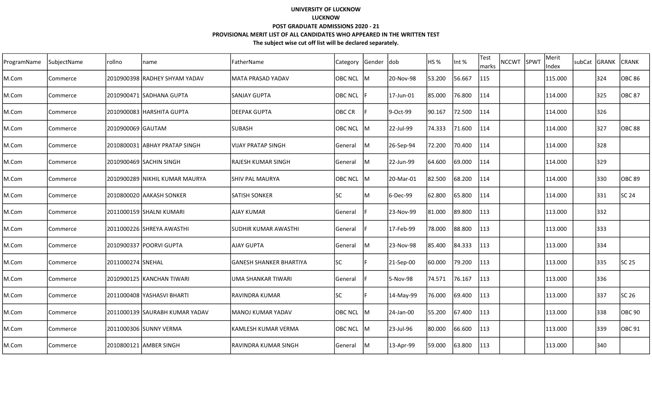| ProgramName | SubjectName | rollno            | name                            | lFatherName             | Category       | Gender | <b>dob</b> | HS %   | Int %  | Test<br>marks | NCCWT SPWT | Merit<br>Index | subCat | <b>GRANK</b> | <b>CRANK</b>  |
|-------------|-------------|-------------------|---------------------------------|-------------------------|----------------|--------|------------|--------|--------|---------------|------------|----------------|--------|--------------|---------------|
| M.Com       | Commerce    |                   | 2010900398 RADHEY SHYAM YADAV   | lMATA PRASAD YADAV      | <b>OBC NCL</b> | lм     | 20-Nov-98  | 53.200 | 56.667 | 115           |            | 115.000        |        | 324          | <b>OBC 86</b> |
| M.Com       | Commerce    |                   | 2010900471 SADHANA GUPTA        | lSANJAY GUPTA           | <b>OBC NCL</b> |        | 17-Jun-01  | 85.000 | 76.800 | 114           |            | 114.000        |        | 325          | <b>OBC 87</b> |
| M.Com       | Commerce    |                   | 2010900083 HARSHITA GUPTA       | IDEEPAK GUPTA           | <b>OBC CR</b>  |        | 9-Oct-99   | 90.167 | 72.500 | 114           |            | 114.000        |        | 326          |               |
| M.Com       | Commerce    | 2010900069 GAUTAM |                                 | <b>SUBASH</b>           | <b>OBC NCL</b> | IМ     | 22-Jul-99  | 74.333 | 71.600 | 114           |            | 114.000        |        | 327          | <b>OBC 88</b> |
| M.Com       | Commerce    |                   | 2010800031 ABHAY PRATAP SINGH   | VIJAY PRATAP SINGH      | General        | lM.    | 26-Sep-94  | 72.200 | 70.400 | 114           |            | 114.000        |        | 328          |               |
| M.Com       | Commerce    |                   | 2010900469 SACHIN SINGH         | RAJESH KUMAR SINGH      | General        | lM.    | 22-Jun-99  | 64.600 | 69.000 | 114           |            | 114.000        |        | 329          |               |
| M.Com       | Commerce    |                   | 2010900289  NIKHIL KUMAR MAURYA | SHIV PAL MAURYA         | <b>OBC NCL</b> | lM.    | 20-Mar-01  | 82.500 | 68.200 | 114           |            | 114.000        |        | 330          | OBC 89        |
| M.Com       | Commerce    |                   | 2010800020 AAKASH SONKER        | <b>SATISH SONKER</b>    | lsc            | M      | 6-Dec-99   | 62.800 | 65.800 | 114           |            | 114.000        |        | 331          | SC 24         |
| M.Com       | Commerce    |                   | 2011000159 SHALNI KUMARI        | <b>AJAY KUMAR</b>       | General        |        | 23-Nov-99  | 81.000 | 89.800 | 113           |            | 113.000        |        | 332          |               |
| M.Com       | Commerce    |                   | 2011000226 SHREYA AWASTHI       | İSUDHIR KUMAR AWASTHI   | General        |        | 17-Feb-99  | 78.000 | 88.800 | 113           |            | 113.000        |        | 333          |               |
| M.Com       | Commerce    |                   | 2010900337 POORVI GUPTA         | <b>AJAY GUPTA</b>       | General        | M      | 23-Nov-98  | 85.400 | 84.333 | 113           |            | 113.000        |        | 334          |               |
| M.Com       | Commerce    | 2011000274 SNEHAL |                                 | GANESH SHANKER BHARTIYA | <b>SC</b>      |        | 21-Sep-00  | 60.000 | 79.200 | 113           |            | 113.000        |        | 335          | SC 25         |
| M.Com       | Commerce    |                   | 2010900125 KANCHAN TIWARI       | UMA SHANKAR TIWARI      | General        |        | 5-Nov-98   | 74.571 | 76.167 | 113           |            | 113.000        |        | 336          |               |
| M.Com       | Commerce    |                   | 2011000408 YASHASVI BHARTI      | IRAVINDRA KUMAR         | lsc            |        | 14-May-99  | 76.000 | 69.400 | 113           |            | 113.000        |        | 337          | SC 26         |
| M.Com       | Commerce    |                   | 2011000139 SAURABH KUMAR YADAV  | lMANOJ KUMAR YADAV      | <b>OBC NCL</b> | lM     | 24-Jan-00  | 55.200 | 67.400 | 113           |            | 113.000        |        | 338          | OBC 90        |
| M.Com       | Commerce    |                   | 2011000306 SUNNY VERMA          | lKAMLESH KUMAR VERMA    | OBC NCL        | lм     | 23-Jul-96  | 80.000 | 66.600 | 113           |            | 113.000        |        | 339          | OBC 91        |
| M.Com       | Commerce    |                   | 2010800121 AMBER SINGH          | RAVINDRA KUMAR SINGH    | General        | lM.    | 13-Apr-99  | 59.000 | 63.800 | 113           |            | 113.000        |        | 340          |               |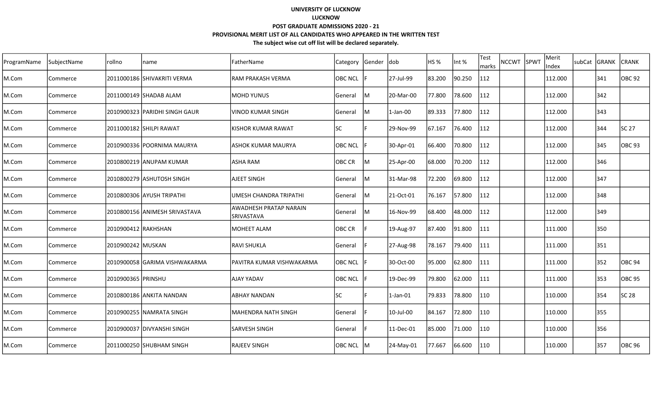| ProgramName | SubjectName | rollno              | name                          | lFatherName                                 | Category       | Gender | <b>dob</b>  | HS %   | Int %  | <b>Test</b><br>marks | NCCWT SPWT | Merit<br>Index | subCat | <b>GRANK</b> | <b>CRANK</b>  |
|-------------|-------------|---------------------|-------------------------------|---------------------------------------------|----------------|--------|-------------|--------|--------|----------------------|------------|----------------|--------|--------------|---------------|
| M.Com       | Commerce    |                     | 2011000186 SHIVAKRITI VERMA   | RAM PRAKASH VERMA                           | <b>OBC NCL</b> |        | 27-Jul-99   | 83.200 | 90.250 | 112                  |            | 112.000        |        | 341          | OBC 92        |
| M.Com       | Commerce    |                     | 2011000149 SHADAB ALAM        | IMOHD YUNUS                                 | General        | M      | 20-Mar-00   | 77.800 | 78.600 | 112                  |            | 112.000        |        | 342          |               |
| M.Com       | Commerce    |                     | 2010900323 PARIDHI SINGH GAUR | VINOD KUMAR SINGH                           | General        | M      | 1-Jan-00    | 89.333 | 77.800 | 112                  |            | 112.000        |        | 343          |               |
| M.Com       | Commerce    |                     | 2011000182 SHILPI RAWAT       | KISHOR KUMAR RAWAT                          | <b>SC</b>      |        | 29-Nov-99   | 67.167 | 76.400 | 112                  |            | 112.000        |        | 344          | SC 27         |
| M.Com       | Commerce    |                     | 2010900336 POORNIMA MAURYA    | ASHOK KUMAR MAURYA                          | <b>OBC NCL</b> |        | 30-Apr-01   | 66.400 | 70.800 | 112                  |            | 112.000        |        | 345          | <b>OBC</b> 93 |
| M.Com       | Commerce    |                     | 2010800219 ANUPAM KUMAR       | ASHA RAM                                    | OBC CR         | lM.    | 25-Apr-00   | 68.000 | 70.200 | 112                  |            | 112.000        |        | 346          |               |
| M.Com       | Commerce    |                     | 2010800279 ASHUTOSH SINGH     | AJEET SINGH                                 | General        | lM.    | 31-Mar-98   | 72.200 | 69.800 | 112                  |            | 112.000        |        | 347          |               |
| M.Com       | Commerce    |                     | 2010800306 AYUSH TRIPATHI     | UMESH CHANDRA TRIPATHI                      | General        | М      | 21-Oct-01   | 76.167 | 57.800 | 112                  |            | 112.000        |        | 348          |               |
| M.Com       | Commerce    |                     | 2010800156 ANIMESH SRIVASTAVA | AWADHESH PRATAP NARAIN<br><b>SRIVASTAVA</b> | General        | M      | 16-Nov-99   | 68.400 | 48.000 | 112                  |            | 112.000        |        | 349          |               |
| M.Com       | Commerce    | 2010900412 RAKHSHAN |                               | MOHEET ALAM                                 | OBC CR         |        | 19-Aug-97   | 87.400 | 91.800 | 111                  |            | 111.000        |        | 350          |               |
| M.Com       | Commerce    | 2010900242 MUSKAN   |                               | <b>RAVI SHUKLA</b>                          | General        |        | 27-Aug-98   | 78.167 | 79.400 | 111                  |            | 111.000        |        | 351          |               |
| M.Com       | Commerce    |                     | 2010900058 GARIMA VISHWAKARMA | PAVITRA KUMAR VISHWAKARMA                   | <b>OBC NCL</b> |        | 30-Oct-00   | 95.000 | 62.800 | 111                  |            | 111.000        |        | 352          | <b>OBC 94</b> |
| M.Com       | Commerce    | 2010900365 PRINSHU  |                               | AJAY YADAV                                  | <b>OBC NCL</b> |        | 19-Dec-99   | 79.800 | 62.000 | 111                  |            | 111.000        |        | 353          | <b>OBC 95</b> |
| M.Com       | Commerce    |                     | 2010800186  ANKITA NANDAN     | IABHAY NANDAN                               | lsc            |        | $1$ -Jan-01 | 79.833 | 78.800 | 110                  |            | 110.000        |        | 354          | SC 28         |
| M.Com       | Commerce    |                     | 2010900255 NAMRATA SINGH      | MAHENDRA NATH SINGH                         | General        |        | 10-Jul-00   | 84.167 | 72.800 | 110                  |            | 110.000        |        | 355          |               |
| M.Com       | Commerce    |                     | 2010900037 DIVYANSHI SINGH    | ISARVESH SINGH                              | General        |        | 11-Dec-01   | 85.000 | 71.000 | 110                  |            | 110.000        |        | 356          |               |
| M.Com       | Commerce    |                     | 2011000250 SHUBHAM SINGH      | RAJEEV SINGH                                | OBC NCL M      |        | 24-May-01   | 77.667 | 66.600 | 110                  |            | 110.000        |        | 357          | <b>OBC 96</b> |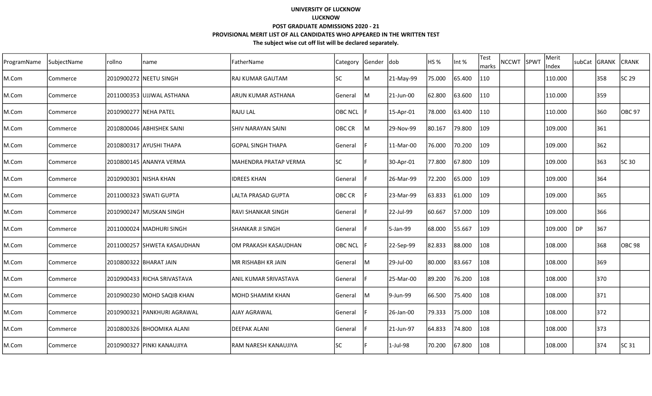| ProgramName | SubjectName | rollno                | name                        | FatherName                   | Category       | Gender  dob |             | HS %   | Int %  | Test<br>marks | <b>NCCWT</b> | SPWT | Merit<br>Index |    | subCat GRANK | <b>CRANK</b> |
|-------------|-------------|-----------------------|-----------------------------|------------------------------|----------------|-------------|-------------|--------|--------|---------------|--------------|------|----------------|----|--------------|--------------|
| M.Com       | Commerce    |                       | 2010900272 NEETU SINGH      | <b>RAJ KUMAR GAUTAM</b>      | lsc            | M           | 21-May-99   | 75.000 | 65.400 | 110           |              |      | 110.000        |    | 358          | SC 29        |
| M.Com       | Commerce    |                       | 2011000353 UJJWAL ASTHANA   | larun kumar asthana          | General        | ΙM          | 21-Jun-00   | 62.800 | 63.600 | 110           |              |      | 110.000        |    | 359          |              |
| M.Com       | Commerce    | 2010900277 NEHA PATEL |                             | <b>RAJULAL</b>               | <b>OBC NCL</b> |             | 15-Apr-01   | 78.000 | 63.400 | 110           |              |      | 110.000        |    | 360          | OBC 97       |
| M.Com       | Commerce    |                       | 2010800046 ABHISHEK SAINI   | ISHIV NARAYAN SAINI          | OBC CR         | lм          | 29-Nov-99   | 80.167 | 79.800 | 109           |              |      | 109.000        |    | 361          |              |
| M.Com       | Commerce    |                       | 2010800317 AYUSHI THAPA     | <b>GOPAL SINGH THAPA</b>     | <b>General</b> |             | 11-Mar-00   | 76.000 | 70.200 | 109           |              |      | 109.000        |    | 362          |              |
| M.Com       | Commerce    |                       | 2010800145 ANANYA VERMA     | IMAHENDRA PRATAP VERMA       | lsc            |             | 30-Apr-01   | 77.800 | 67.800 | 109           |              |      | 109.000        |    | 363          | SC 30        |
| M.Com       | Commerce    |                       | 2010900301   NISHA KHAN     | <b>IDREES KHAN</b>           | General        |             | 26-Mar-99   | 72.200 | 65.000 | 109           |              |      | 109.000        |    | 364          |              |
| M.Com       | Commerce    |                       | 2011000323 SWATI GUPTA      | lLALTA PRASAD GUPTA          | OBC CR         |             | 23-Mar-99   | 63.833 | 61.000 | 109           |              |      | 109.000        |    | 365          |              |
| M.Com       | Commerce    |                       | 2010900247 MUSKAN SINGH     | RAVI SHANKAR SINGH           | General        |             | 22-Jul-99   | 60.667 | 57.000 | 109           |              |      | 109.000        |    | 366          |              |
| M.Com       | Commerce    |                       | 2011000024 MADHURI SINGH    | <b>SHANKAR JI SINGH</b>      | <b>General</b> |             | 5-Jan-99    | 68.000 | 55.667 | 109           |              |      | 109.000        | DP | 367          |              |
| M.Com       | Commerce    |                       | 2011000257 SHWETA KASAUDHAN | lom prakash kasaudhan        | <b>OBC NCL</b> |             | 22-Sep-99   | 82.833 | 88.000 | 108           |              |      | 108.000        |    | 368          | OBC 98       |
| M.Com       | Commerce    |                       | 2010800322 BHARAT JAIN      | MR RISHABH KR JAIN           | <b>General</b> | lΜ          | 29-Jul-00   | 80.000 | 83.667 | 108           |              |      | 108.000        |    | 369          |              |
| M.Com       | Commerce    |                       | 2010900433 RICHA SRIVASTAVA | <b>ANIL KUMAR SRIVASTAVA</b> | General        |             | 25-Mar-00   | 89.200 | 76.200 | 108           |              |      | 108.000        |    | 370          |              |
| M.Com       | Commerce    |                       | 2010900230 MOHD SAQIB KHAN  | IMOHD SHAMIM KHAN            | General        | lΜ          | 9-Jun-99    | 66.500 | 75.400 | 108           |              |      | 108.000        |    | 371          |              |
| M.Com       | Commerce    |                       | 2010900321 PANKHURI AGRAWAL | lAJAY AGRAWAL                | General        |             | 26-Jan-00   | 79.333 | 75.000 | 108           |              |      | 108.000        |    | 372          |              |
| M.Com       | Commerce    |                       | 2010800326 BHOOMIKA ALANI   | IDEEPAK ALANI                | General        |             | 21-Jun-97   | 64.833 | 74.800 | 108           |              |      | 108.000        |    | 373          |              |
| M.Com       | Commerce    |                       | 2010900327 PINKI KANAUJIYA  | lram naresh kanaujiya        | <b>SC</b>      |             | $1$ -Jul-98 | 70.200 | 67.800 | 108           |              |      | 108.000        |    | 374          | SC 31        |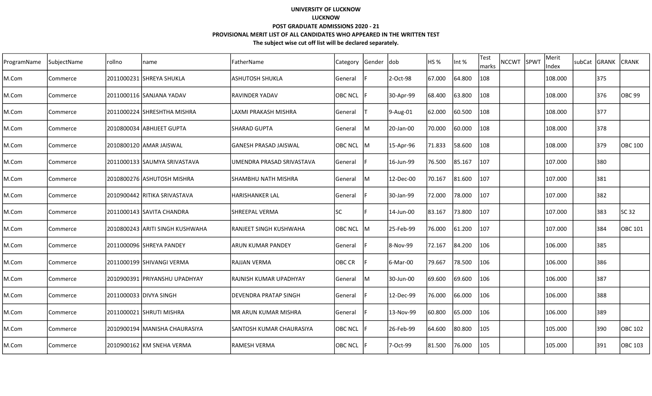| ProgramName | SubjectName | rollno | name                            | FatherName                    | Category       | Gender  dob |           | HS %   | Int %  | Test<br>marks | <b>NCCWT</b> | SPWT | Merit<br>Index | subCat GRANK | <b>CRANK</b>      |
|-------------|-------------|--------|---------------------------------|-------------------------------|----------------|-------------|-----------|--------|--------|---------------|--------------|------|----------------|--------------|-------------------|
| M.Com       | Commerce    |        | 2011000231 SHREYA SHUKLA        | <b>ASHUTOSH SHUKLA</b>        | General        |             | 2-Oct-98  | 67.000 | 64.800 | 108           |              |      | 108.000        | 375          |                   |
| M.Com       | Commerce    |        | 2011000116 SANJANA YADAV        | IRAVINDER YADAV               | <b>OBC NCL</b> |             | 30-Apr-99 | 68.400 | 63.800 | 108           |              |      | 108.000        | 376          | OBC <sub>99</sub> |
| M.Com       | Commerce    |        | 2011000224 SHRESHTHA MISHRA     | LAXMI PRAKASH MISHRA          | General        |             | 9-Aug-01  | 62.000 | 60.500 | 108           |              |      | 108.000        | 377          |                   |
| M.Com       | Commerce    |        | 2010800034 ABHIJEET GUPTA       | ISHARAD GUPTA                 | <b>General</b> | lм          | 20-Jan-00 | 70.000 | 60.000 | 108           |              |      | 108.000        | 378          |                   |
| M.Com       | Commerce    |        | 2010800120 AMAR JAISWAL         | GANESH PRASAD JAISWAL         | OBC NCL M      |             | 15-Apr-96 | 71.833 | 58.600 | 108           |              |      | 108.000        | 379          | OBC 100           |
| M.Com       | Commerce    |        | 2011000133 SAUMYA SRIVASTAVA    | UMENDRA PRASAD SRIVASTAVA     | General        |             | 16-Jun-99 | 76.500 | 85.167 | 107           |              |      | 107.000        | 380          |                   |
| M.Com       | Commerce    |        | 2010800276 ASHUTOSH MISHRA      | SHAMBHU NATH MISHRA           | General        | lм          | 12-Dec-00 | 70.167 | 81.600 | 107           |              |      | 107.000        | 381          |                   |
| M.Com       | Commerce    |        | 2010900442 RITIKA SRIVASTAVA    | lHARISHANKER LAL              | General        |             | 30-Jan-99 | 72.000 | 78.000 | 107           |              |      | 107.000        | 382          |                   |
| M.Com       | Commerce    |        | 2011000143 SAVITA CHANDRA       | <b>SHREEPAL VERMA</b>         | lsc            |             | 14-Jun-00 | 83.167 | 73.800 | 107           |              |      | 107.000        | 383          | SC 32             |
| M.Com       | Commerce    |        | 2010800243 ARITI SINGH KUSHWAHA | <b>RANJEET SINGH KUSHWAHA</b> | <b>OBC NCL</b> | IM.         | 25-Feb-99 | 76.000 | 61.200 | 107           |              |      | 107.000        | 384          | OBC 101           |
| M.Com       | Commerce    |        | 2011000096 SHREYA PANDEY        | <b>JARUN KUMAR PANDEY</b>     | General        |             | 8-Nov-99  | 72.167 | 84.200 | 106           |              |      | 106.000        | 385          |                   |
| M.Com       | Commerce    |        | 2011000199 SHIVANGI VERMA       | <b>RAJJAN VERMA</b>           | OBC CR         |             | 6-Mar-00  | 79.667 | 78.500 | 106           |              |      | 106.000        | 386          |                   |
| M.Com       | Commerce    |        | 2010900391 PRIYANSHU UPADHYAY   | <b>RAJNISH KUMAR UPADHYAY</b> | General        | lM          | 30-Jun-00 | 69.600 | 69.600 | 106           |              |      | 106.000        | 387          |                   |
| M.Com       | Commerce    |        | 2011000033 DIVYA SINGH          | <b>IDEVENDRA PRATAP SINGH</b> | General        |             | 12-Dec-99 | 76.000 | 66.000 | 106           |              |      | 106.000        | 388          |                   |
| M.Com       | Commerce    |        | 2011000021 SHRUTI MISHRA        | <b>MR ARUN KUMAR MISHRA</b>   | General        |             | 13-Nov-99 | 60.800 | 65.000 | 106           |              |      | 106.000        | 389          |                   |
| M.Com       | Commerce    |        | 2010900194 MANISHA CHAURASIYA   | ISANTOSH KUMAR CHAURASIYA     | <b>OBC NCL</b> |             | 26-Feb-99 | 64.600 | 80.800 | 105           |              |      | 105.000        | 390          | OBC 102           |
| M.Com       | Commerce    |        | 2010900162 KM SNEHA VERMA       | lramesh verma                 | OBC NCL        |             | 7-Oct-99  | 81.500 | 76.000 | 105           |              |      | 105.000        | 391          | OBC 103           |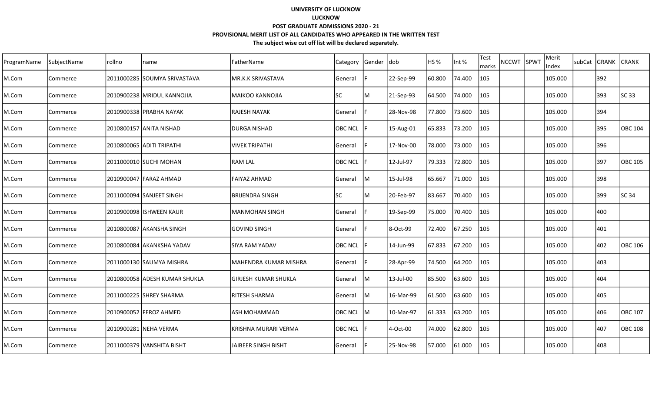| ProgramName | SubjectName | rollno | name                          | FatherName                  | Category       | Gender | dob       | HS <sub>%</sub> | Int %  | <b>Test</b><br>marks | <b>NCCWT</b> | <b>SPWT</b> | Merit<br>Index | subCat GRANK |     | <b>CRANK</b>   |
|-------------|-------------|--------|-------------------------------|-----------------------------|----------------|--------|-----------|-----------------|--------|----------------------|--------------|-------------|----------------|--------------|-----|----------------|
| M.Com       | Commerce    |        | 2011000285 SOUMYA SRIVASTAVA  | MR.K.K SRIVASTAVA           | General        |        | 22-Sep-99 | 60.800          | 74.400 | 105                  |              |             | 105.000        |              | 392 |                |
| M.Com       | Commerce    |        | 2010900238 MRIDUL KANNOJIA    | lmaikoo kannojia            | <b>SC</b>      | M      | 21-Sep-93 | 64.500          | 74.000 | 105                  |              |             | 105.000        |              | 393 | SC 33          |
| M.Com       | Commerce    |        | 2010900338 PRABHA NAYAK       | lrajesh nayak               | General        |        | 28-Nov-98 | 77.800          | 73.600 | 105                  |              |             | 105.000        |              | 394 |                |
| M.Com       | Commerce    |        | 2010800157 ANITA NISHAD       | <b>DURGA NISHAD</b>         | OBC NCL        |        | 15-Aug-01 | 65.833          | 73.200 | 105                  |              |             | 105.000        |              | 395 | OBC 104        |
| M.Com       | Commerce    |        | 2010800065 ADITI TRIPATHI     | <b>VIVEK TRIPATHI</b>       | General        | Ė      | 17-Nov-00 | 78.000          | 73.000 | 105                  |              |             | 105.000        |              | 396 |                |
| M.Com       | Commerce    |        | 2011000010 SUCHI MOHAN        | RAM LAL                     | OBC NCL        |        | 12-Jul-97 | 79.333          | 72.800 | 105                  |              |             | 105.000        |              | 397 | <b>OBC 105</b> |
| M.Com       | Commerce    |        | 2010900047  FARAZ AHMAD       | <b>FAIYAZ AHMAD</b>         | General        | Iм     | 15-Jul-98 | 65.667          | 71.000 | 105                  |              |             | 105.000        |              | 398 |                |
| M.Com       | Commerce    |        | 2011000094 SANJEET SINGH      | <b>BRIJENDRA SINGH</b>      | lsc            | M      | 20-Feb-97 | 83.667          | 70.400 | 105                  |              |             | 105.000        |              | 399 | SC 34          |
| M.Com       | Commerce    |        | 2010900098 ISHWEEN KAUR       | MANMOHAN SINGH              | General        |        | 19-Sep-99 | 75.000          | 70.400 | 105                  |              |             | 105.000        |              | 400 |                |
| M.Com       | Commerce    |        | 2010800087 AKANSHA SINGH      | GOVIND SINGH                | General        |        | 8-Oct-99  | 72.400          | 67.250 | 105                  |              |             | 105.000        |              | 401 |                |
| M.Com       | Commerce    |        | 2010800084 AKANKSHA YADAV     | ISIYA RAM YADAV             | OBC NCL        |        | 14-Jun-99 | 67.833          | 67.200 | 105                  |              |             | 105.000        |              | 402 | OBC 106        |
| M.Com       | Commerce    |        | 2011000130 SAUMYA MISHRA      | MAHENDRA KUMAR MISHRA       | General        |        | 28-Apr-99 | 74.500          | 64.200 | 105                  |              |             | 105.000        |              | 403 |                |
| M.Com       | Commerce    |        | 2010800058 ADESH KUMAR SHUKLA | <b>GIRJESH KUMAR SHUKLA</b> | General        | M      | 13-Jul-00 | 85.500          | 63.600 | 105                  |              |             | 105.000        |              | 404 |                |
| M.Com       | Commerce    |        | 2011000225 SHREY SHARMA       | <b>RITESH SHARMA</b>        | General        | M      | 16-Mar-99 | 61.500          | 63.600 | 105                  |              |             | 105.000        |              | 405 |                |
| M.Com       | Commerce    |        | 2010900052 FEROZ AHMED        | <b>ASH MOHAMMAD</b>         | OBC NCL        | lM     | 10-Mar-97 | 61.333          | 63.200 | 105                  |              |             | 105.000        |              | 406 | <b>OBC 107</b> |
| M.Com       | Commerce    |        | 2010900281 NEHA VERMA         | KRISHNA MURARI VERMA        | <b>OBC NCL</b> | F      | 4-Oct-00  | 74.000          | 62.800 | 105                  |              |             | 105.000        |              | 407 | <b>OBC 108</b> |
| M.Com       | Commerce    |        | 2011000379 VANSHITA BISHT     | JAIBEER SINGH BISHT         | <b>General</b> | F      | 25-Nov-98 | 57.000          | 61.000 | 105                  |              |             | 105.000        |              | 408 |                |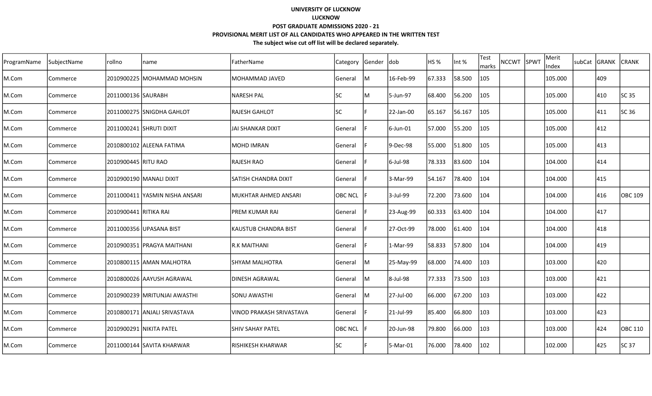| ProgramName | SubjectName | rollno                | name                            | FatherName                  | <b>Category</b> | Gender dob |           | HS <sub>%</sub> | Int %  | <b>Test</b><br>marks | <b>NCCWT</b> | SPWT | Merit<br>Index | subCat | GRANK | <b>CRANK</b> |
|-------------|-------------|-----------------------|---------------------------------|-----------------------------|-----------------|------------|-----------|-----------------|--------|----------------------|--------------|------|----------------|--------|-------|--------------|
| M.Com       | Commerce    |                       | 2010900225 MOHAMMAD MOHSIN      | MOHAMMAD JAVED              | General         | M          | 16-Feb-99 | 67.333          | 58.500 | 105                  |              |      | 105.000        |        | 409   |              |
| M.Com       | Commerce    | 2011000136 SAURABH    |                                 | NARESH PAL                  | lsc             | ΙM         | 5-Jun-97  | 68.400          | 56.200 | 105                  |              |      | 105.000        |        | 410   | SC 35        |
| M.Com       | Commerce    |                       | 2011000275 SNIGDHA GAHLOT       | <b>IRAJESH GAHLOT</b>       | lsc             |            | 22-Jan-00 | 65.167          | 56.167 | 105                  |              |      | 105.000        |        | 411   | SC 36        |
| M.Com       | Commerce    |                       | 2011000241 SHRUTI DIXIT         | IJAI SHANKAR DIXIT          | General         |            | 6-Jun-01  | 57.000          | 55.200 | 105                  |              |      | 105.000        |        | 412   |              |
| M.Com       | Commerce    |                       | 2010800102 ALEENA FATIMA        | IMOHD IMRAN                 | <b>General</b>  |            | 9-Dec-98  | 55.000          | 51.800 | 105                  |              |      | 105.000        |        | 413   |              |
| M.Com       | Commerce    | 2010900445 RITU RAO   |                                 | <b>RAJESH RAO</b>           | General         |            | 6-Jul-98  | 78.333          | 83.600 | 104                  |              |      | 104.000        |        | 414   |              |
| M.Com       | Commerce    |                       | 2010900190 MANALI DIXIT         | <b>SATISH CHANDRA DIXIT</b> | <b>General</b>  |            | 3-Mar-99  | 54.167          | 78.400 | 104                  |              |      | 104.000        |        | 415   |              |
| M.Com       | Commerce    |                       | 2011000411  YASMIN NISHA ANSARI | lMUKHTAR AHMED ANSARI       | <b>OBC NCL</b>  |            | 3-Jul-99  | 72.200          | 73.600 | 104                  |              |      | 104.000        |        | 416   | OBC 109      |
| M.Com       | Commerce    | 2010900441 RITIKA RAI |                                 | <b>PREM KUMAR RAI</b>       | General         |            | 23-Aug-99 | 60.333          | 63.400 | 104                  |              |      | 104.000        |        | 417   |              |
| M.Com       | Commerce    |                       | 2011000356 UPASANA BIST         | <b>KAUSTUB CHANDRA BIST</b> | <b>General</b>  |            | 27-Oct-99 | 78.000          | 61.400 | 104                  |              |      | 104.000        |        | 418   |              |
| M.Com       | Commerce    |                       | 2010900351 PRAGYA MAITHANI      | <b>R.K MAITHANI</b>         | General         |            | 1-Mar-99  | 58.833          | 57.800 | 104                  |              |      | 104.000        |        | 419   |              |
| M.Com       | Commerce    |                       | 2010800115 AMAN MALHOTRA        | SHYAM MALHOTRA              | General         | lм         | 25-May-99 | 68.000          | 74.400 | 103                  |              |      | 103.000        |        | 420   |              |
| M.Com       | Commerce    |                       | 2010800026 AAYUSH AGRAWAL       | DINESH AGRAWAL              | General         | ΙM         | 8-Jul-98  | 77.333          | 73.500 | 103                  |              |      | 103.000        |        | 421   |              |
| M.Com       | Commerce    |                       | 2010900239   MRITUNJAI AWASTHI  | ISONU AWASTHI               | General         | ΙM         | 27-Jul-00 | 66.000          | 67.200 | 103                  |              |      | 103.000        |        | 422   |              |
| M.Com       | Commerce    |                       | 2010800171 ANJALI SRIVASTAVA    | VINOD PRAKASH SRIVASTAVA    | General         |            | 21-Jul-99 | 85.400          | 66.800 | 103                  |              |      | 103.000        |        | 423   |              |
| M.Com       | Commerce    |                       | 2010900291 NIKITA PATEL         | ISHIV SAHAY PATEL           | <b>OBC NCL</b>  |            | 20-Jun-98 | 79.800          | 66.000 | 103                  |              |      | 103.000        |        | 424   | OBC 110      |
| M.Com       | Commerce    |                       | 2011000144 SAVITA KHARWAR       | İRISHIKESH KHARWAR          | <b>SC</b>       |            | 5-Mar-01  | 76.000          | 78.400 | 102                  |              |      | 102.000        |        | 425   | SC 37        |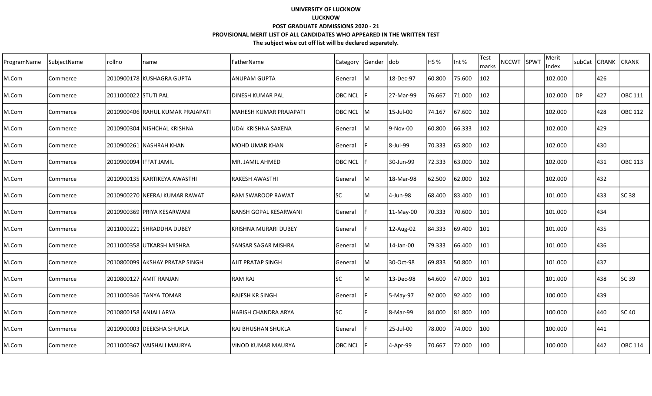| ProgramName | SubjectName | rollno                  | name                              | FatherName                   | Category       | Gender | Idob      | IHS %  | Int %  | Test<br>marks | <b>NCCWT</b> | <b>SPWT</b> | Merit<br>Index | <b>SubCat</b> | IGRANK | CRANK   |
|-------------|-------------|-------------------------|-----------------------------------|------------------------------|----------------|--------|-----------|--------|--------|---------------|--------------|-------------|----------------|---------------|--------|---------|
| M.Com       | Commerce    |                         | 2010900178 KUSHAGRA GUPTA         | ANUPAM GUPTA                 | General        | ΙM     | 18-Dec-97 | 60.800 | 75.600 | 102           |              |             | 102.000        |               | 426    |         |
| M.Com       | Commerce    | 2011000022 STUTI PAL    |                                   | <b>DINESH KUMAR PAL</b>      | <b>OBC NCL</b> |        | 27-Mar-99 | 76.667 | 71.000 | 102           |              |             | 102.000        | <b>DP</b>     | 427    | OBC 111 |
| M.Com       | Commerce    |                         | 2010900406  RAHUL KUMAR PRAJAPATI | MAHESH KUMAR PRAJAPATI       | OBC NCL M      |        | 15-Jul-00 | 74.167 | 67.600 | 102           |              |             | 102.000        |               | 428    | OBC 112 |
| M.Com       | Commerce    |                         | 2010900304 NISHCHAL KRISHNA       | UDAI KRISHNA SAXENA          | General        | lм     | 9-Nov-00  | 60.800 | 66.333 | $ 102\rangle$ |              |             | 102.000        |               | 429    |         |
| M.Com       | Commerce    |                         | 2010900261 NASHRAH KHAN           | <b>MOHD UMAR KHAN</b>        | General        |        | 8-Jul-99  | 70.333 | 65.800 | $ 102\rangle$ |              |             | 102.000        |               | 430    |         |
| M.Com       | Commerce    | 2010900094  IFFAT JAMIL |                                   | MR. JAMIL AHMED              | <b>OBC NCL</b> |        | 30-Jun-99 | 72.333 | 63.000 | 102           |              |             | 102.000        |               | 431    | OBC 113 |
| M.Com       | Commerce    |                         | 2010900135  KARTIKEYA AWASTHI     | <b>RAKESH AWASTHI</b>        | General        | M      | 18-Mar-98 | 62.500 | 62.000 | 102           |              |             | 102.000        |               | 432    |         |
| M.Com       | Commerce    |                         | 2010900270 NEERAJ KUMAR RAWAT     | <b>RAM SWAROOP RAWAT</b>     | <b>SC</b>      | ΙM     | 4-Jun-98  | 68.400 | 83.400 | 101           |              |             | 101.000        |               | 433    | SC 38   |
| M.Com       | Commerce    |                         | 2010900369 PRIYA KESARWANI        | <b>BANSH GOPAL KESARWANI</b> | General        |        | 11-May-00 | 70.333 | 70.600 | 101           |              |             | 101.000        |               | 434    |         |
| M.Com       | Commerce    |                         | 2011000221 SHRADDHA DUBEY         | KRISHNA MURARI DUBEY         | General        |        | 12-Aug-02 | 84.333 | 69.400 | 101           |              |             | 101.000        |               | 435    |         |
| M.Com       | Commerce    |                         | 2011000358 UTKARSH MISHRA         | <b>SANSAR SAGAR MISHRA</b>   | General        | IМ     | 14-Jan-00 | 79.333 | 66.400 | 101           |              |             | 101.000        |               | 436    |         |
| M.Com       | Commerce    |                         | 2010800099 AKSHAY PRATAP SINGH    | <b>AJIT PRATAP SINGH</b>     | General        | lм     | 30-Oct-98 | 69.833 | 50.800 | 101           |              |             | 101.000        |               | 437    |         |
| M.Com       | Commerce    |                         | 2010800127 IAMIT RANJAN           | RAM RAJ                      | lsc            | M      | 13-Dec-98 | 64.600 | 47.000 | 101           |              |             | 101.000        |               | 438    | SC 39   |
| M.Com       | Commerce    |                         | 2011000346 TANYA TOMAR            | <b>RAJESH KR SINGH</b>       | General        |        | 5-May-97  | 92.000 | 92.400 | 100           |              |             | 100.000        |               | 439    |         |
| M.Com       | Commerce    | 2010800158 ANJALI ARYA  |                                   | <b>HARISH CHANDRA ARYA</b>   | <b>SC</b>      |        | 8-Mar-99  | 84.000 | 81.800 | 100           |              |             | 100.000        |               | 440    | SC 40   |
| M.Com       | Commerce    |                         | 2010900003 DEEKSHA SHUKLA         | RAJ BHUSHAN SHUKLA           | General        |        | 25-Jul-00 | 78.000 | 74.000 | 100           |              |             | 100.000        |               | 441    |         |
| M.Com       | Commerce    |                         | 2011000367 VAISHALI MAURYA        | VINOD KUMAR MAURYA           | <b>OBC NCL</b> |        | 4-Apr-99  | 70.667 | 72.000 | 100           |              |             | 100.000        |               | 442    | OBC 114 |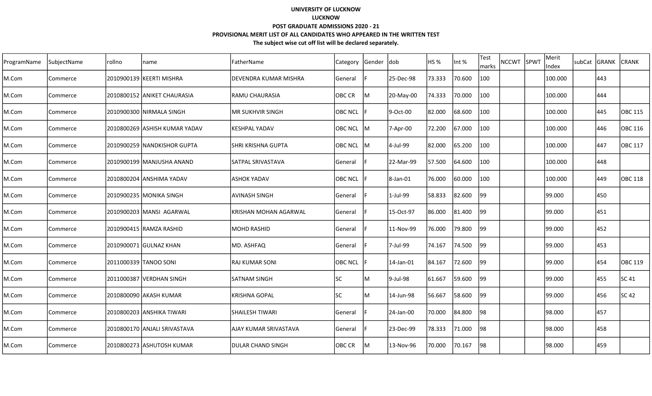| ProgramName | SubjectName | rollno | name                          | FatherName                   | Category       | Gender dob |           | HS <sub>%</sub> | Int %  | <b>Test</b><br>marks | <b>NCCWT</b> | SPWT | Merit<br>Index | subCat | GRANK | <b>CRANK</b>   |
|-------------|-------------|--------|-------------------------------|------------------------------|----------------|------------|-----------|-----------------|--------|----------------------|--------------|------|----------------|--------|-------|----------------|
| M.Com       | Commerce    |        | 2010900139 KEERTI MISHRA      | <b>DEVENDRA KUMAR MISHRA</b> | General        |            | 25-Dec-98 | 73.333          | 70.600 | 100                  |              |      | 100.000        |        | 443   |                |
| M.Com       | Commerce    |        | 2010800152 JANIKET CHAURASIA  | IRAMU CHAURASIA              | OBC CR         | lM         | 20-May-00 | 74.333          | 70.000 | 100                  |              |      | 100.000        |        | 444   |                |
| M.Com       | Commerce    |        | 2010900300 NIRMALA SINGH      | IMR SUKHVIR SINGH            | <b>OBC NCL</b> |            | 9-Oct-00  | 82.000          | 68.600 | 100                  |              |      | 100.000        |        | 445   | <b>OBC 115</b> |
| M.Com       | Commerce    |        | 2010800269 ASHISH KUMAR YADAV | <b>KESHPAL YADAV</b>         | OBC NCL M      |            | 7-Apr-00  | 72.200          | 67.000 | 100                  |              |      | 100.000        |        | 446   | OBC 116        |
| M.Com       | Commerce    |        | 2010900259 NANDKISHOR GUPTA   | ISHRI KRISHNA GUPTA          | OBC NCL M      |            | 4-Jul-99  | 82.000          | 65.200 | 100                  |              |      | 100.000        |        | 447   | OBC 117        |
| M.Com       | Commerce    |        | 2010900199   MANJUSHA ANAND   | SATPAL SRIVASTAVA            | General        |            | 22-Mar-99 | 57.500          | 64.600 | 100                  |              |      | 100.000        |        | 448   |                |
| M.Com       | Commerce    |        | 2010800204 ANSHIMA YADAV      | lashok yadav                 | <b>OBC NCL</b> |            | 8-Jan-01  | 76.000          | 60.000 | 100                  |              |      | 100.000        |        | 449   | <b>OBC 118</b> |
| M.Com       | Commerce    |        | 2010900235 MONIKA SINGH       | <b>AVINASH SINGH</b>         | General        |            | 1-Jul-99  | 58.833          | 82.600 | 99                   |              |      | 99.000         |        | 450   |                |
| M.Com       | Commerce    |        | 2010900203   MANSI AGARWAL    | KRISHAN MOHAN AGARWAL        | General        |            | 15-Oct-97 | 86.000          | 81.400 | 99                   |              |      | 99.000         |        | 451   |                |
| M.Com       | Commerce    |        | 2010900415 RAMZA RASHID       | MOHD RASHID                  | <b>General</b> |            | 11-Nov-99 | 76.000          | 79.800 | 99                   |              |      | 99.000         |        | 452   |                |
| M.Com       | Commerce    |        | 2010900071 GULNAZ KHAN        | MD. ASHFAQ                   | General        |            | 7-Jul-99  | 74.167          | 74.500 | 199                  |              |      | 99.000         |        | 453   |                |
| M.Com       | Commerce    |        | 2011000339 TANOO SONI         | <b>RAJ KUMAR SONI</b>        | <b>OBC NCL</b> |            | 14-Jan-01 | 84.167          | 72.600 | 99                   |              |      | 99.000         |        | 454   | OBC 119        |
| M.Com       | Commerce    |        | 2011000387 VERDHAN SINGH      | SATNAM SINGH                 | <b>SC</b>      | M          | 9-Jul-98  | 61.667          | 59.600 | 99                   |              |      | 99.000         |        | 455   | SC 41          |
| M.Com       | Commerce    |        | 2010800090 AKASH KUMAR        | lKRISHNA GOPAL               | lsc            | м          | 14-Jun-98 | 56.667          | 58.600 | 99                   |              |      | 99.000         |        | 456   | SC 42          |
| M.Com       | Commerce    |        | 2010800203 ANSHIKA TIWARI     | <b>SHAILESH TIWARI</b>       | General        |            | 24-Jan-00 | 70.000          | 84.800 | 98                   |              |      | 98.000         |        | 457   |                |
| M.Com       | Commerce    |        | 2010800170 ANJALI SRIVASTAVA  | <b>AJAY KUMAR SRIVASTAVA</b> | General        |            | 23-Dec-99 | 78.333          | 71.000 | 98                   |              |      | 198.000        |        | 458   |                |
| M.Com       | Commerce    |        | 2010800273 ASHUTOSH KUMAR     | <b>DULAR CHAND SINGH</b>     | <b>OBC CR</b>  | lм         | 13-Nov-96 | 70.000          | 70.167 | 98                   |              |      | 98.000         |        | 459   |                |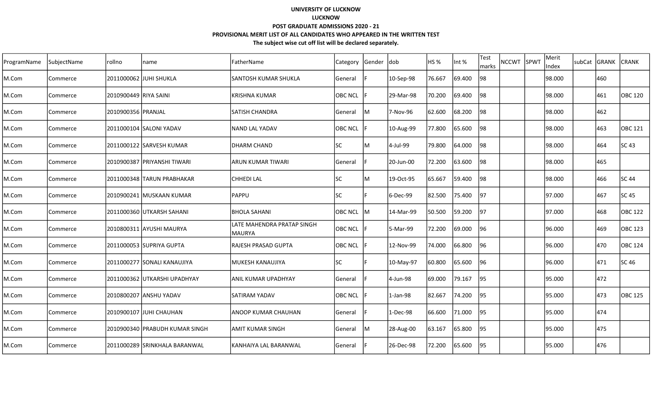| ProgramName | SubjectName | rollno                | name                           | FatherName                            | Category       | Gender | <b>dob</b> | HS <sub>%</sub> | Int %  | <b>Test</b><br>marks | <b>NCCWT</b> | SPWT | Merit<br>Index | subCat | GRANK | <b>CRANK</b>   |
|-------------|-------------|-----------------------|--------------------------------|---------------------------------------|----------------|--------|------------|-----------------|--------|----------------------|--------------|------|----------------|--------|-------|----------------|
| M.Com       | Commerce    |                       | 2011000062 JJUHI SHUKLA        | <b>SANTOSH KUMAR SHUKLA</b>           | General        |        | 10-Sep-98  | 76.667          | 69.400 | 98                   |              |      | 98.000         |        | 460   |                |
| M.Com       | Commerce    | 2010900449 RIYA SAINI |                                | lkrishna kumar                        | <b>OBC NCL</b> |        | 29-Mar-98  | 70.200          | 69.400 | 98                   |              |      | 98.000         |        | 461   | <b>OBC 120</b> |
| M.Com       | Commerce    | 2010900356 PRANJAL    |                                | ISATISH CHANDRA                       | General        | lM     | 7-Nov-96   | 62.600          | 68.200 | 98                   |              |      | 98.000         |        | 462   |                |
| M.Com       | Commerce    |                       | 2011000104 SALONI YADAV        | lNAND LAL YADAV                       | <b>OBC NCL</b> |        | 10-Aug-99  | 77.800          | 65.600 | 98                   |              |      | 98.000         |        | 463   | OBC 121        |
| M.Com       | Commerce    |                       | 2011000122 SARVESH KUMAR       | IDHARM CHAND                          | <b>SC</b>      | M      | 4-Jul-99   | 79.800          | 64.000 | 98                   |              |      | 98.000         |        | 464   | SC 43          |
| M.Com       | Commerce    |                       | 2010900387 PRIYANSHI TIWARI    | ARUN KUMAR TIWARI                     | General        | E      | 20-Jun-00  | 72.200          | 63.600 | 98                   |              |      | 98.000         |        | 465   |                |
| M.Com       | Commerce    |                       | 2011000348 TARUN PRABHAKAR     | CHHEDI LAL                            | <b>SC</b>      | M      | 19-Oct-95  | 65.667          | 59.400 | 98                   |              |      | 98.000         |        | 466   | SC 44          |
| M.Com       | Commerce    |                       | 2010900241 MUSKAAN KUMAR       | PAPPU                                 | lsc            |        | 6-Dec-99   | 82.500          | 75.400 | 97                   |              |      | 97.000         |        | 467   | SC 45          |
| M.Com       | Commerce    |                       | 2011000360 UTKARSH SAHANI      | <b>BHOLA SAHANI</b>                   | <b>OBC NCL</b> | ΙM     | 14-Mar-99  | 50.500          | 59.200 | 97                   |              |      | 97.000         |        | 468   | <b>OBC 122</b> |
| M.Com       | Commerce    |                       | 2010800311 AYUSHI MAURYA       | llate Mahendra Pratap Singh<br>MAURYA | <b>OBC NCL</b> |        | 5-Mar-99   | 72.200          | 69.000 | 96                   |              |      | 96.000         |        | 469   | <b>OBC 123</b> |
| M.Com       | Commerce    |                       | 2011000053 SUPRIYA GUPTA       | <b>RAJESH PRASAD GUPTA</b>            | <b>OBC NCL</b> |        | 12-Nov-99  | 74.000          | 66.800 | 96                   |              |      | 96.000         |        | 470   | OBC 124        |
| M.Com       | Commerce    |                       | 2011000277 SONALI KANAUJIYA    | MUKESH KANAUJIYA                      | lsc            |        | 10-May-97  | 60.800          | 65.600 | 96                   |              |      | 96.000         |        | 471   | SC 46          |
| M.Com       | Commerce    |                       | 2011000362 UTKARSHI UPADHYAY   | ANIL KUMAR UPADHYAY                   | General        |        | 4-Jun-98   | 69.000          | 79.167 | 95                   |              |      | 95.000         |        | 472   |                |
| M.Com       | Commerce    |                       | 2010800207 ANSHU YADAV         | ISATIRAM YADAV                        | <b>OBC NCL</b> |        | $1-Jan-98$ | 82.667          | 74.200 | 95                   |              |      | 95.000         |        | 473   | <b>OBC 125</b> |
| M.Com       | Commerce    |                       | 2010900107 JJUHI CHAUHAN       | <b>ANOOP KUMAR CHAUHAN</b>            | General        |        | 1-Dec-98   | 66.600          | 71.000 | 95                   |              |      | 95.000         |        | 474   |                |
| M.Com       | Commerce    |                       | 2010900340 PRABUDH KUMAR SINGH | IAMIT KUMAR SINGH                     | General        | lM     | 28-Aug-00  | 63.167          | 65.800 | 95                   |              |      | 195.000        |        | 475   |                |
| M.Com       | Commerce    |                       | 2011000289 SRINKHALA BARANWAL  | lKANHAIYA LAL BARANWAL                | <b>General</b> |        | 26-Dec-98  | 72.200          | 65.600 | 95                   |              |      | 95.000         |        | 476   |                |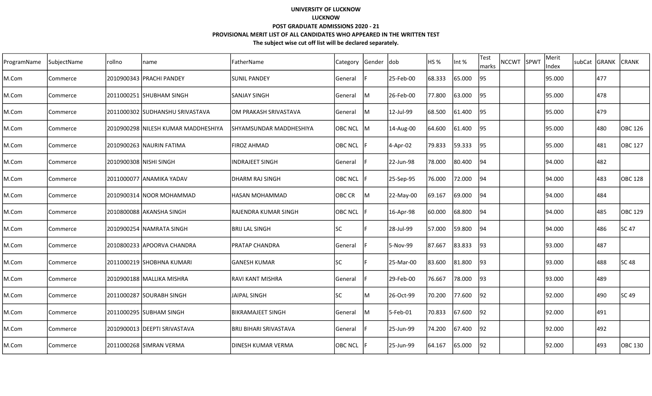| ProgramName | SubjectName | rollno                 | name                                 | FatherName               | Category       | Gender | Idob        | IHS %  | Int %  | Test<br>marks   | <b>NCCWT</b> | <b>SPWT</b> | Merit<br>Index | <b>SubCat</b> | IGRANK | ICRANK   |
|-------------|-------------|------------------------|--------------------------------------|--------------------------|----------------|--------|-------------|--------|--------|-----------------|--------------|-------------|----------------|---------------|--------|----------|
| M.Com       | Commerce    |                        | 2010900343   PRACHI PANDEY           | <b>SUNIL PANDEY</b>      | General        |        | 25-Feb-00   | 68.333 | 65.000 | 95              |              |             | 95.000         |               | 477    |          |
| M.Com       | Commerce    |                        | 2011000251 SHUBHAM SINGH             | SANJAY SINGH             | General        | lм     | 26-Feb-00   | 77.800 | 63.000 | 195             |              |             | 95.000         |               | 478    |          |
| M.Com       | Commerce    |                        | 2011000302 SUDHANSHU SRIVASTAVA      | OM PRAKASH SRIVASTAVA    | General        | ļМ     | 12-Jul-99   | 68.500 | 61.400 | 95              |              |             | 95.000         |               | 479    |          |
| M.Com       | Commerce    |                        | 2010900298  NILESH KUMAR MADDHESHIYA | SHYAMSUNDAR MADDHESHIYA  | OBC NCL M      |        | 14-Aug-00   | 64.600 | 61.400 | 95              |              |             | 95.000         |               | 480    | OBC 126  |
| M.Com       | Commerce    |                        | 2010900263 NAURIN FATIMA             | FIROZ AHMAD              | OBC NCL        |        | 4-Apr-02    | 79.833 | 59.333 | $\overline{95}$ |              |             | l95.000        |               | 481    | lOBC 127 |
| M.Com       | Commerce    | 2010900308 NISHI SINGH |                                      | INDRAJEET SINGH          | General        |        | 22-Jun-98   | 78.000 | 80.400 | 94              |              |             | 94.000         |               | 482    |          |
| M.Com       | Commerce    |                        | 2011000077  ANAMIKA YADAV            | DHARM RAJ SINGH          | <b>OBC NCL</b> |        | 25-Sep-95   | 76.000 | 72.000 | 94              |              |             | 194.000        |               | 483    | lOBC 128 |
| M.Com       | Commerce    |                        | 2010900314 NOOR MOHAMMAD             | <b>HASAN MOHAMMAD</b>    | OBC CR         | ΙM     | 22-May-00   | 69.167 | 69.000 | 194             |              |             | 94.000         |               | 484    |          |
| M.Com       | Commerce    |                        | 2010800088 AKANSHA SINGH             | RAJENDRA KUMAR SINGH     | <b>OBC NCL</b> |        | 16-Apr-98   | 60.000 | 68.800 | 94              |              |             | 94.000         |               | 485    | OBC 129  |
| M.Com       | Commerce    |                        | 2010900254 NAMRATA SINGH             | <b>BRIJ LAL SINGH</b>    | <b>SC</b>      |        | 28-Jul-99   | 57.000 | 59.800 | 94              |              |             | 94.000         |               | 486    | SC 47    |
| M.Com       | Commerce    |                        | 2010800233 APOORVA CHANDRA           | <b>PRATAP CHANDRA</b>    | General        |        | 5-Nov-99    | 87.667 | 83.833 | 93              |              |             | 93.000         |               | 487    |          |
| M.Com       | Commerce    |                        | 2011000219 SHOBHNA KUMARI            | lGANESH KUMAR            | lsc            |        | 25-Mar-00   | 83.600 | 81.800 | 93              |              |             | 93.000         |               | 488    | SC 48    |
| M.Com       | Commerce    |                        | 2010900188 MALLIKA MISHRA            | <b>RAVI KANT MISHRA</b>  | General        |        | 29-Feb-00   | 76.667 | 78.000 | 93              |              |             | 93.000         |               | 489    |          |
| M.Com       | Commerce    |                        | 2011000287 SOURABH SINGH             | <b>JAIPAL SINGH</b>      | lsc.           | м      | 26-Oct-99   | 70.200 | 77.600 | 92              |              |             | 92.000         |               | 490    | SC 49    |
| M.Com       | Commerce    |                        | 2011000295 SUBHAM SINGH              | <b>BIKRAMAJEET SINGH</b> | General        | IМ     | $5$ -Feb-01 | 70.833 | 67.600 | 92              |              |             | 92.000         |               | 491    |          |
| M.Com       | Commerce    |                        | 2010900013   DEEPTI SRIVASTAVA       | BRIJ BIHARI SRIVASTAVA   | General        |        | 25-Jun-99   | 74.200 | 67.400 | 92              |              |             | 92.000         |               | 492    |          |
| M.Com       | Commerce    |                        | 2011000268 SIMRAN VERMA              | DINESH KUMAR VERMA       | <b>OBC NCL</b> |        | 25-Jun-99   | 64.167 | 65.000 | 92              |              |             | 92.000         |               | 493    | OBC 130  |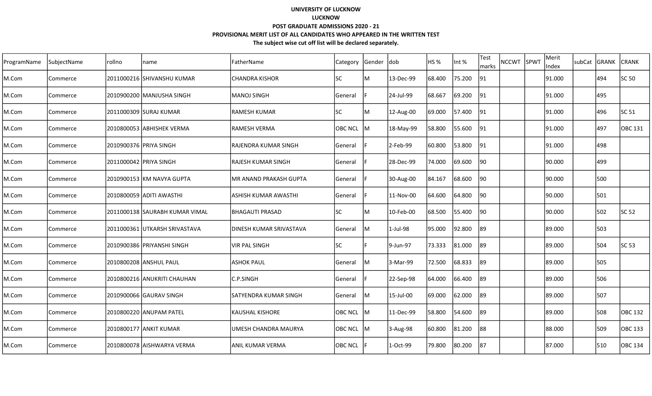| ProgramName | SubjectName | rollno | name                           | FatherName              | Category  | <b>Sender</b> | <b>dob</b> | <b>HS %</b> | Int %  | Test<br>marks | NCCWT SPWT | Merit<br>Index | subCat GRANK |     | <b>CRANK</b>   |
|-------------|-------------|--------|--------------------------------|-------------------------|-----------|---------------|------------|-------------|--------|---------------|------------|----------------|--------------|-----|----------------|
| M.Com       | Commerce    |        | 2011000216 SHIVANSHU KUMAR     | <b>CHANDRA KISHOR</b>   | SC        | ΙM            | 13-Dec-99  | 68.400      | 75.200 | 91            |            | 91.000         |              | 494 | SC 50          |
| M.Com       | Commerce    |        | 2010900200   MANJUSHA SINGH    | <b>MANOJ SINGH</b>      | General   |               | 24-Jul-99  | 68.667      | 69.200 | 91            |            | 91.000         |              | 495 |                |
| M.Com       | Commerce    |        | 2011000309 SURAJ KUMAR         | <b>RAMESH KUMAR</b>     | <b>SC</b> | ļМ            | 12-Aug-00  | 69.000      | 57.400 | 91            |            | 91.000         |              | 496 | SC 51          |
| M.Com       | Commerce    |        | 2010800053 ABHISHEK VERMA      | RAMESH VERMA            | OBC NCL M |               | 18-May-99  | 58.800      | 55.600 | 91            |            | 91.000         |              | 497 | OBC 131        |
| M.Com       | Commerce    |        | 2010900376 PRIYA SINGH         | RAJENDRA KUMAR SINGH    | General   |               | 2-Feb-99   | 60.800      | 53.800 | 91            |            | 91.000         |              | 498 |                |
| M.Com       | Commerce    |        | 2011000042 PRIYA SINGH         | RAJESH KUMAR SINGH      | General   |               | 28-Dec-99  | 74.000      | 69.600 | 90            |            | 90.000         |              | 499 |                |
| M.Com       | Commerce    |        | 2010900153 lKM NAVYA GUPTA     | MR ANAND PRAKASH GUPTA  | General   |               | 30-Aug-00  | 84.167      | 68.600 | 90            |            | 190.000        |              | 500 |                |
| M.Com       | Commerce    |        | 2010800059 ADITI AWASTHI       | ASHISH KUMAR AWASTHI    | General   |               | 11-Nov-00  | 64.600      | 64.800 | 90            |            | 90.000         |              | 501 |                |
| M.Com       | Commerce    |        | 2011000138 SAURABH KUMAR VIMAL | <b>BHAGAUTI PRASAD</b>  | <b>SC</b> | lм            | 10-Feb-00  | 68.500      | 55.400 | 90            |            | 90.000         |              | 502 | SC 52          |
| M.Com       | Commerce    |        | 2011000361 UTKARSH SRIVASTAVA  | DINESH KUMAR SRIVASTAVA | General   | IM.           | 1-Jul-98   | 95.000      | 92.800 | 89            |            | 89.000         |              | 503 |                |
| M.Com       | Commerce    |        | 2010900386 PRIYANSHI SINGH     | <b>VIR PAL SINGH</b>    | <b>SC</b> |               | 9-Jun-97   | 73.333      | 81.000 | 89            |            | 89.000         |              | 504 | SC 53          |
| M.Com       | Commerce    |        | 2010800208 ANSHUL PAUL         | <b>ASHOK PAUL</b>       | General   | IM.           | 3-Mar-99   | 72.500      | 68.833 | 89            |            | 89.000         |              | 505 |                |
| M.Com       | Commerce    |        | 2010800216 ANUKRITI CHAUHAN    | C.P.SINGH               | General   |               | 22-Sep-98  | 64.000      | 66.400 | 89            |            | 89.000         |              | 506 |                |
| M.Com       | Commerce    |        |                                | lsatyendra kumar singh  | General   | 1M            | 15-Jul-00  | 69.000      | 62.000 | 89            |            | 89.000         |              | 507 |                |
| M.Com       | Commerce    |        | 2010800220 ANUPAM PATEL        | <b>KAUSHAL KISHORE</b>  | OBC NCL   | IM.           | 11-Dec-99  | 58.800      | 54.600 | 89            |            | 89.000         |              | 508 | <b>OBC 132</b> |
| M.Com       | Commerce    |        | 2010800177 ANKIT KUMAR         | UMESH CHANDRA MAURYA    | OBC NCL M |               | 3-Aug-98   | 60.800      | 81.200 | 88            |            | 88.000         |              | 509 | <b>OBC 133</b> |
| M.Com       | Commerce    |        | 2010800078 AISHWARYA VERMA     | ANIL KUMAR VERMA        | OBC NCL   |               | 1-Oct-99   | 79.800      | 80.200 | 87            |            | 87.000         |              | 510 | OBC 134        |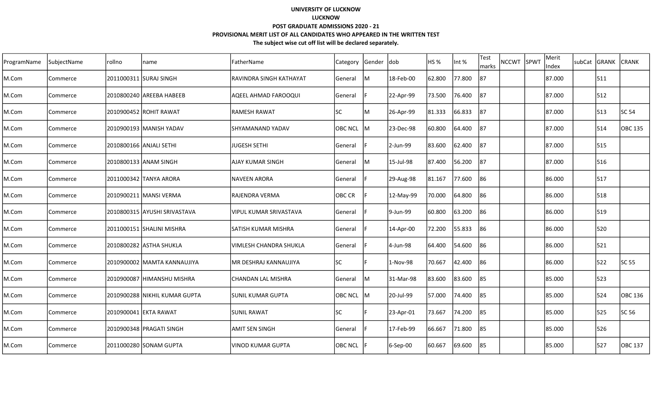| ProgramName | SubjectName | rollno | name                           | FatherName                     | Category       | Gender dob |           | HS <sub>%</sub> | Int %  | <b>Test</b><br>marks | <b>NCCWT</b> | SPWT | Merit<br>Index | subCat GRANK | <b>CRANK</b>   |
|-------------|-------------|--------|--------------------------------|--------------------------------|----------------|------------|-----------|-----------------|--------|----------------------|--------------|------|----------------|--------------|----------------|
| M.Com       | Commerce    |        | 2011000311 SURAJ SINGH         | <b>RAVINDRA SINGH KATHAYAT</b> | General        | M          | 18-Feb-00 | 62.800          | 77.800 | 87                   |              |      | 87.000         | 511          |                |
| M.Com       | Commerce    |        | 2010800240   AREEBA HABEEB     | AQEEL AHMAD FAROOQUI           | General        |            | 22-Apr-99 | 73.500          | 76.400 | 87                   |              |      | 87.000         | 512          |                |
| M.Com       | Commerce    |        | 2010900452 ROHIT RAWAT         | <b>IRAMESH RAWAT</b>           | <b>SC</b>      | lM         | 26-Apr-99 | 81.333          | 66.833 | 187                  |              |      | 87.000         | 513          | SC 54          |
| M.Com       | Commerce    |        | 2010900193 MANISH YADAV        | ISHYAMANAND YADAV              | OBC NCL M      |            | 23-Dec-98 | 60.800          | 64.400 | 187                  |              |      | 87.000         | 514          | <b>OBC 135</b> |
| M.Com       | Commerce    |        | 2010800166 ANJALI SETHI        | <b>JJUGESH SETHI</b>           | General        |            | 2-Jun-99  | 83.600          | 62.400 | 187                  |              |      | 87.000         | 515          |                |
| M.Com       | Commerce    |        | 2010800133 ANAM SINGH          | AJAY KUMAR SINGH               | General        | lм         | 15-Jul-98 | 87.400          | 56.200 | 187                  |              |      | 87.000         | 516          |                |
| M.Com       | Commerce    |        | 2011000342 TANYA ARORA         | INAVEEN ARORA                  | General        |            | 29-Aug-98 | 81.167          | 77.600 | 86                   |              |      | 86.000         | 517          |                |
| M.Com       | Commerce    |        | 2010900211   MANSI VERMA       | RAJENDRA VERMA                 | OBC CR         |            | 12-May-99 | 70.000          | 64.800 | 86                   |              |      | 86.000         | 518          |                |
| M.Com       | Commerce    |        | 2010800315 AYUSHI SRIVASTAVA   | lvipul kumar srivastava        | General        |            | 9-Jun-99  | 60.800          | 63.200 | 86                   |              |      | 86.000         | 519          |                |
| M.Com       | Commerce    |        | 2011000151 SHALINI MISHRA      | <b>SATISH KUMAR MISHRA</b>     | General        |            | 14-Apr-00 | 72.200          | 55.833 | 186                  |              |      | 86.000         | 520          |                |
| M.Com       | Commerce    |        | 2010800282 ASTHA SHUKLA        | VIMLESH CHANDRA SHUKLA         | <b>General</b> |            | 4-Jun-98  | 64.400          | 54.600 | 186                  |              |      | 86.000         | 521          |                |
| M.Com       | Commerce    |        | 2010900002 MAMTA KANNAUJIYA    | IMR DESHRAJ KANNAUJIYA         | lsc            |            | 1-Nov-98  | 70.667          | 42.400 | 86                   |              |      | 86.000         | 522          | SC 55          |
| M.Com       | Commerce    |        | 2010900087 HIMANSHU MISHRA     | CHANDAN LAL MISHRA             | General        | lм         | 31-Mar-98 | 83.600          | 83.600 | 85                   |              |      | 85.000         | 523          |                |
| M.Com       | Commerce    |        | 2010900288 INIKHIL KUMAR GUPTA | ISUNIL KUMAR GUPTA             | OBC NCL        | lм         | 20-Jul-99 | 57.000          | 74.400 | 85                   |              |      | 85.000         | 524          | OBC 136        |
| M.Com       | Commerce    |        | 2010900041 EKTA RAWAT          | <b>SUNIL RAWAT</b>             | <b>SC</b>      |            | 23-Apr-01 | 73.667          | 74.200 | 85                   |              |      | 85.000         | 525          | SC 56          |
| M.Com       | Commerce    |        | 2010900348 PRAGATI SINGH       | IAMIT SEN SINGH                | General        |            | 17-Feb-99 | 66.667          | 71.800 | 85                   |              |      | 85.000         | 526          |                |
| M.Com       | Commerce    |        | 2011000280 SONAM GUPTA         | lvinod kumar Gupta             | <b>OBC NCL</b> |            | 6-Sep-00  | 60.667          | 69.600 | 85                   |              |      | 85.000         | 527          | OBC 137        |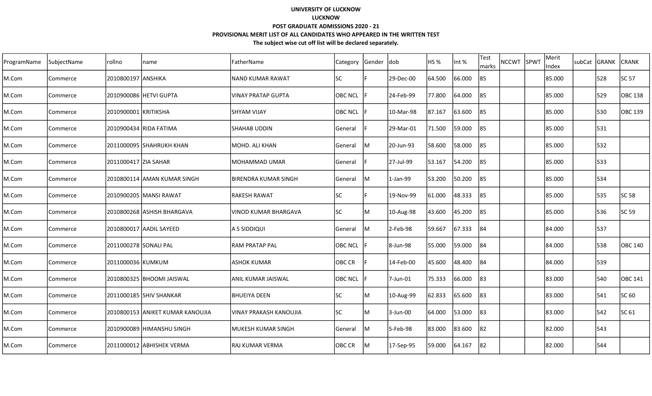| ProgramName | SubjectName | rollno                 | name                             | FatherName                    | Category       | Gender | ldob      | <b>HS %</b> | Int %  | Test<br>marks | <b>NCCWT</b> | SPWT | Merit<br>Index | subCat | GRANK | <b>CRANK</b> |
|-------------|-------------|------------------------|----------------------------------|-------------------------------|----------------|--------|-----------|-------------|--------|---------------|--------------|------|----------------|--------|-------|--------------|
| M.Com       | Commerce    | 2010800197  ANSHIKA    |                                  | <b>NAND KUMAR RAWAT</b>       | <b>SC</b>      |        | 29-Dec-00 | 64.500      | 66.000 | 85            |              |      | 85.000         |        | 528   | SC 57        |
| M.Com       | Commerce    |                        |                                  | <b>VINAY PRATAP GUPTA</b>     | <b>OBC NCL</b> |        | 24-Feb-99 | 77.800      | 64.000 | 85            |              |      | 85.000         |        | 529   | OBC 138      |
| M.Com       | Commerce    | 2010900001 KRITIKSHA   |                                  | SHYAM VIJAY                   | <b>OBC NCL</b> |        | 10-Mar-98 | 87.167      | 63.600 | 85            |              |      | 85.000         |        | 530   | OBC 139      |
| M.Com       | Commerce    |                        | 2010900434 RIDA FATIMA           | SHAHAB UDDIN                  | General        |        | 29-Mar-01 | 71.500      | 59.000 | 185           |              |      | 85.000         |        | 531   |              |
| M.Com       | Commerce    |                        | 2011000095 SHAHRUKH KHAN         | MOHD. ALI KHAN                | General        | IM.    | 20-Jun-93 | 58.600      | 58.000 | 85            |              |      | 85.000         |        | 532   |              |
| M.Com       | Commerce    | 2011000417 ZIIA SAHAR  |                                  | <b>MOHAMMAD UMAR</b>          | General        |        | 27-Jul-99 | 53.167      | 54.200 | 185           |              |      | 85.000         |        | 533   |              |
| M.Com       | Commerce    |                        | 2010800114  AMAN KUMAR SINGH     | BIRENDRA KUMAR SINGH          | General        | lм     | 1-Jan-99  | 53.200      | 50.200 | 85            |              |      | 85.000         |        | 534   |              |
| M.Com       | Commerce    |                        | 2010900205  MANSI RAWAT          | <b>RAKESH RAWAT</b>           | lsc            |        | 19-Nov-99 | 61.000      | 48.333 | 85            |              |      | 85.000         |        | 535   | <b>SC 58</b> |
| M.Com       | Commerce    |                        | 2010800268 ASHISH BHARGAVA       | VINOD KUMAR BHARGAVA          | <b>SC</b>      | ΙM     | 10-Aug-98 | 43.600      | 45.200 | 85            |              |      | 85.000         |        | 536   | SC 59        |
| M.Com       | Commerce    |                        | 2010800017 AADIL SAYEED          | A S SIDDIQUI                  | General        | lм     | 2-Feb-98  | 59.667      | 67.333 | 84            |              |      | 84.000         |        | 537   |              |
| M.Com       | Commerce    | 2011000278  SONALI PAL |                                  | <b>RAM PRATAP PAL</b>         | <b>OBC NCL</b> |        | 8-Jun-98  | 55.000      | 59.000 | 184           |              |      | 84.000         |        | 538   | lOBC 140     |
| M.Com       | Commerce    | 2011000036 KUMKUM      |                                  | <b>ASHOK KUMAR</b>            | OBC CR         |        | 14-Feb-00 | 45.600      | 48.400 | 84            |              |      | 84.000         |        | 539   |              |
| M.Com       | Commerce    |                        | 2010800325 BHOOMI JAISWAL        | ANIL KUMAR JAISWAL            | <b>OBC NCL</b> |        | 7-Jun-01  | 75.333      | 66.000 | 83            |              |      | 83.000         |        | 540   | OBC 141      |
| M.Com       | Commerce    |                        | 2011000185 SHHIV SHANKAR         | <b>BHUEIYA DEEN</b>           | <b>SC</b>      | М      | 10-Aug-99 | 62.833      | 65.600 | 83            |              |      | 83.000         |        | 541   | SC 60        |
| M.Com       | Commerce    |                        | 2010800153 ANIKET KUMAR KANOUJIA | <b>VINAY PRAKASH KANOUJIA</b> | <b>SC</b>      | ΙM     | 3-Jun-00  | 64.000      | 53.000 | 83            |              |      | 83.000         |        | 542   | SC 61        |
| M.Com       | Commerce    |                        | 2010900089  HIMANSHU SINGH       | MUKESH KUMAR SINGH            | General        | lм     | 5-Feb-98  | 83.000      | 83.600 | 82            |              |      | 82.000         |        | 543   |              |
| M.Com       | Commerce    |                        | 2011000012 ABHISHEK VERMA        | <b>RAJ KUMAR VERMA</b>        | OBC CR         | lм     | 17-Sep-95 | 59.000      | 64.167 | 82            |              |      | 82.000         |        | 544   |              |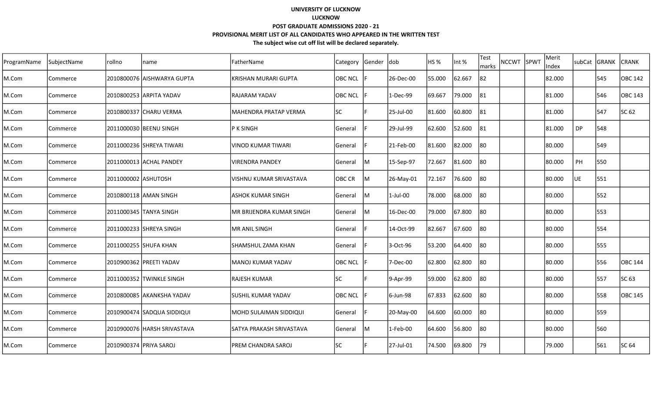| ProgramName | SubjectName | rollno              | name                        | lFatherName              | Category       | Gender | <b>dob</b> | HS %   | Int %  | <b>Test</b><br>marks | NCCWT SPWT | Merit<br>Index | subCat | <b>GRANK</b> | <b>CRANK</b> |
|-------------|-------------|---------------------|-----------------------------|--------------------------|----------------|--------|------------|--------|--------|----------------------|------------|----------------|--------|--------------|--------------|
| M.Com       | Commerce    |                     | 2010800076 AISHWARYA GUPTA  | KRISHAN MURARI GUPTA     | <b>OBC NCL</b> |        | 26-Dec-00  | 55.000 | 62.667 | 82                   |            | 82.000         |        | 545          | OBC 142      |
| M.Com       | Commerce    |                     | 2010800253 ARPITA YADAV     | IRAJARAM YADAV           | <b>OBC NCL</b> |        | 1-Dec-99   | 69.667 | 79.000 | 81                   |            | 81.000         |        | 546          | OBC 143      |
| M.Com       | Commerce    |                     | 2010800337 CHARU VERMA      | IMAHENDRA PRATAP VERMA   | lsc            |        | 25-Jul-00  | 81.600 | 60.800 | 81                   |            | 81.000         |        | 547          | SC 62        |
| M.Com       | Commerce    |                     | 2011000030 BEENU SINGH      | P K SINGH                | General        |        | 29-Jul-99  | 62.600 | 52.600 | 81                   |            | 81.000         | DP     | 548          |              |
| M.Com       | Commerce    |                     | 2011000236 SHREYA TIWARI    | VINOD KUMAR TIWARI       | General        |        | 21-Feb-00  | 81.600 | 82.000 | 80                   |            | 80.000         |        | 549          |              |
| M.Com       | Commerce    |                     | 2011000013 ACHAL PANDEY     | <b>VIRENDRA PANDEY</b>   | General        | lM.    | 15-Sep-97  | 72.667 | 81.600 | 80                   |            | 80.000         | PH     | 550          |              |
| M.Com       | Commerce    | 2011000002 ASHUTOSH |                             | VISHNU KUMAR SRIVASTAVA  | OBC CR         | M      | 26-May-01  | 72.167 | 76.600 | 80                   |            | 80.000         | UE     | 551          |              |
| M.Com       | Commerce    |                     | 2010800118 AMAN SINGH       | IASHOK KUMAR SINGH       | General        | M      | 1-Jul-00   | 78.000 | 68.000 | 80                   |            | 80.000         |        | 552          |              |
| M.Com       | Commerce    |                     | 2011000345 TANYA SINGH      | MR BRIJENDRA KUMAR SINGH | General        | M      | 16-Dec-00  | 79.000 | 67.800 | 80                   |            | 80.000         |        | 553          |              |
| M.Com       | Commerce    |                     | 2011000233 SHREYA SINGH     | MR ANIL SINGH            | General        |        | 14-Oct-99  | 82.667 | 67.600 | 80                   |            | 80.000         |        | 554          |              |
| M.Com       | Commerce    |                     | 2011000255 SHUFA KHAN       | SHAMSHUL ZAMA KHAN       | General        |        | 3-Oct-96   | 53.200 | 64.400 | 80                   |            | 80.000         |        | 555          |              |
| M.Com       | Commerce    |                     | 2010900362 PREETI YADAV     | MANOJ KUMAR YADAV        | <b>OBC NCL</b> |        | 7-Dec-00   | 62.800 | 62.800 | 80                   |            | 80.000         |        | 556          | OBC 144      |
| M.Com       | Commerce    |                     | 2011000352 TWINKLE SINGH    | RAJESH KUMAR             | <b>SC</b>      |        | 9-Apr-99   | 59.000 | 62.800 | 80                   |            | 80.000         |        | 557          | SC 63        |
| M.Com       | Commerce    |                     | 2010800085 AKANKSHA YADAV   | İSUSHIL KUMAR YADAV      | <b>OBC NCL</b> |        | 6-Jun-98   | 67.833 | 62.600 | 80                   |            | 80.000         |        | 558          | OBC 145      |
| M.Com       | Commerce    |                     | 2010900474 SADQUA SIDDIQUI  | IMOHD SULAIMAN SIDDIQUI  | General        |        | 20-May-00  | 64.600 | 60.000 | 80                   |            | 80.000         |        | 559          |              |
| M.Com       | Commerce    |                     | 2010900076 HARSH SRIVASTAVA | SATYA PRAKASH SRIVASTAVA | General        | lM.    | 1-Feb-00   | 64.600 | 56.800 | 80                   |            | 80.000         |        | 560          |              |
| M.Com       | Commerce    |                     | 2010900374 PRIYA SAROJ      | lPREM CHANDRA SAROJ      | <b>SC</b>      |        | 27-Jul-01  | 74.500 | 69.800 | 179                  |            | 79.000         |        | 561          | SC 64        |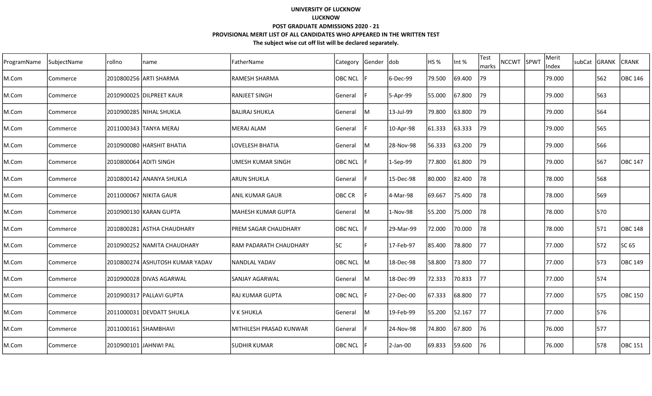| ProgramName | SubjectName | rollno                 | name                            | FatherName                  | Category       | Gender | ldob      | <b>HS %</b> | Int %  | Test<br>marks | NCCWT SPWT | Merit<br>Index | subCat | GRANK | <b>CRANK</b> |
|-------------|-------------|------------------------|---------------------------------|-----------------------------|----------------|--------|-----------|-------------|--------|---------------|------------|----------------|--------|-------|--------------|
| M.Com       | Commerce    |                        | 2010800256  ARTI SHARMA         | <b>RAMESH SHARMA</b>        | <b>OBC NCL</b> |        | 6-Dec-99  | 79.500      | 69.400 | 79            |            | 79.000         |        | 562   | OBC 146      |
| M.Com       | Commerce    |                        | 2010900025  DILPREET KAUR       | <b>RANJEET SINGH</b>        | General        |        | 5-Apr-99  | 55.000      | 67.800 | 79            |            | 79.000         |        | 563   |              |
| M.Com       | Commerce    |                        | 2010900285 NIHAL SHUKLA         | IBALIRAJ SHUKLA             | General        | IM.    | 13-Jul-99 | 79.800      | 63.800 | 79            |            | 79.000         |        | 564   |              |
| M.Com       | Commerce    |                        | 2011000343 TANYA MERAJ          | <b>MERAJ ALAM</b>           | General        |        | 10-Apr-98 | 61.333      | 63.333 | 79            |            | 79.000         |        | 565   |              |
| M.Com       | Commerce    |                        | 2010900080 HARSHIT BHATIA       | LOVELESH BHATIA             | General        | IM.    | 28-Nov-98 | 56.333      | 63.200 | 79            |            | 79.000         |        | 566   |              |
| M.Com       | Commerce    | 2010800064 ADITI SINGH |                                 | UMESH KUMAR SINGH           | <b>OBC NCL</b> |        | 1-Sep-99  | 77.800      | 61.800 | 79            |            | 79.000         |        | 567   | lOBC 147     |
| M.Com       | Commerce    |                        | 2010800142 JANANYA SHUKLA       | <b>ARUN SHUKLA</b>          | General        |        | 15-Dec-98 | 80.000      | 82.400 | 78            |            | 78.000         |        | 568   |              |
| M.Com       | Commerce    |                        | 2011000067 NIKITA GAUR          | ANIL KUMAR GAUR             | OBC CR         |        | 4-Mar-98  | 69.667      | 75.400 | 78            |            | 78.000         |        | 569   |              |
| M.Com       | Commerce    |                        | 2010900130 KARAN GUPTA          | <b>MAHESH KUMAR GUPTA</b>   | General        | IМ     | 1-Nov-98  | 55.200      | 75.000 | 78            |            | 78.000         |        | 570   |              |
| M.Com       | Commerce    |                        | 2010800281 ASTHA CHAUDHARY      | <b>PREM SAGAR CHAUDHARY</b> | <b>OBC NCL</b> |        | 29-Mar-99 | 72.000      | 70.000 | 78            |            | 78.000         |        | 571   | OBC 148      |
| M.Com       | Commerce    |                        | l2010900252  NAMITA CHAUDHARY   | RAM PADARATH CHAUDHARY      | <b>SC</b>      |        | 17-Feb-97 | 85.400      | 78.800 | 177           |            | 77.000         |        | 572   | SC 65        |
| M.Com       | Commerce    |                        | 2010800274 ASHUTOSH KUMAR YADAV | NANDLAL YADAV               | OBC NCL M      |        | 18-Dec-98 | 58.800      | 73.800 | 177           |            | 77.000         |        | 573   | OBC 149      |
| M.Com       | Commerce    |                        | 2010900028 DIVAS AGARWAL        | <b>SANJAY AGARWAL</b>       | General        | IM.    | 18-Dec-99 | 72.333      | 70.833 | 77            |            | 77.000         |        | 574   |              |
| M.Com       | Commerce    |                        | 2010900317  PALLAVI GUPTA       | RAJ KUMAR GUPTA             | <b>OBC NCL</b> |        | 27-Dec-00 | 67.333      | 68.800 | <b>77</b>     |            | 77.000         |        | 575   | OBC 150      |
| M.Com       | Commerce    |                        | 2011000031 DEVDATT SHUKLA       | V K SHUKLA                  | General        | IМ     | 19-Feb-99 | 55.200      | 52.167 | 77            |            | 77.000         |        | 576   |              |
| M.Com       | Commerce    | 2011000161 SHAMBHAVI   |                                 | MITHILESH PRASAD KUNWAR     | General        |        | 24-Nov-98 | 74.800      | 67.800 | 76            |            | 76.000         |        | 577   |              |
| M.Com       | Commerce    | 2010900101  JAHNWI PAL |                                 | ISUDHIR KUMAR               | <b>OBC NCL</b> |        | 2-Jan-00  | 69.833      | 59.600 | 76            |            | 76.000         |        | 578   | OBC 151      |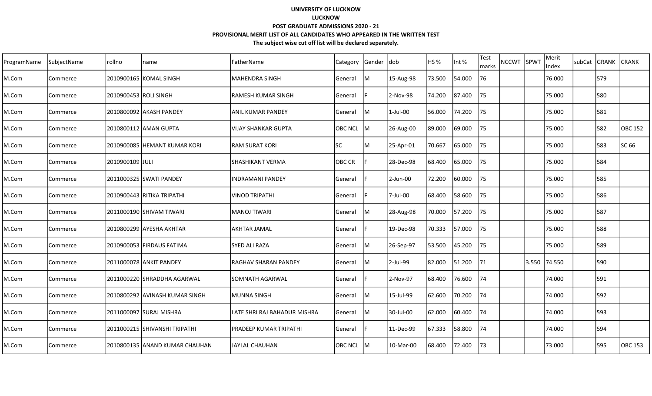| ProgramName | SubjectName | rollno                | name                            | FatherName                   | Category      | Gender | ldob        | <b>HS %</b> | Int %  | Test<br>marks | <b>NCCWT</b> | <b>SPWT</b> | Merit<br>Index | subCat | <b>GRANK</b> | <b>ICRANK</b> |
|-------------|-------------|-----------------------|---------------------------------|------------------------------|---------------|--------|-------------|-------------|--------|---------------|--------------|-------------|----------------|--------|--------------|---------------|
| M.Com       | Commerce    |                       | 2010900165  KOMAL SINGH         | MAHENDRA SINGH               | General       | lМ     | 15-Aug-98   | 73.500      | 54.000 | 76            |              |             | 76.000         |        | 579          |               |
| M.Com       | Commerce    | 2010900453 ROLI SINGH |                                 | <b>RAMESH KUMAR SINGH</b>    | General       |        | 2-Nov-98    | 74.200      | 87.400 | 75            |              |             | 75.000         |        | 580          |               |
| M.Com       | Commerce    |                       | 2010800092 AKASH PANDEY         | <b>ANIL KUMAR PANDEY</b>     | General       | ļМ     | $1$ -Jul-00 | 56.000      | 74.200 | 75            |              |             | 75.000         |        | 581          |               |
| M.Com       | Commerce    |                       | 2010800112 AMAN GUPTA           | <b>VIJAY SHANKAR GUPTA</b>   | OBC NCL M     |        | 26-Aug-00   | 89.000      | 69.000 | 75            |              |             | 75.000         |        | 582          | OBC 152       |
| M.Com       | Commerce    |                       | 2010900085 HEMANT KUMAR KORI    | <b>RAM SURAT KORI</b>        | <b>SC</b>     | ΙM     | 25-Apr-01   | 70.667      | 65.000 | 75            |              |             | 75.000         |        | 583          | SC 66         |
| M.Com       | Commerce    | 2010900109 JJULI      |                                 | SHASHIKANT VERMA             | <b>OBC CR</b> |        | 28-Dec-98   | 68.400      | 65.000 | 75            |              |             | 75.000         |        | 584          |               |
| M.Com       | Commerce    |                       | 2011000325  SWATI PANDEY        | INDRAMANI PANDEY             | General       |        | 2-Jun-00    | 72.200      | 60.000 | 75            |              |             | 75.000         |        | 585          |               |
| M.Com       | Commerce    |                       | 2010900443  RITIKA TRIPATHI     | <b>VINOD TRIPATHI</b>        | General       |        | 7-Jul-00    | 68.400      | 58.600 | 75            |              |             | 75.000         |        | 586          |               |
| M.Com       | Commerce    |                       | 2011000190 SHIVAM TIWARI        | <b>MANOJ TIWARI</b>          | General       | lм     | 28-Aug-98   | 70.000      | 57.200 | 75            |              |             | 75.000         |        | 587          |               |
| M.Com       | Commerce    |                       | 2010800299 AYESHA AKHTAR        | <b>AKHTAR JAMAL</b>          | General       |        | 19-Dec-98   | 70.333      | 57.000 | 75            |              |             | 75.000         |        | 588          |               |
| M.Com       | Commerce    |                       | 2010900053 FIRDAUS FATIMA       | SYED ALI RAZA                | General       | Iм     | 26-Sep-97   | 53.500      | 45.200 | 75            |              |             | 75.000         |        | 589          |               |
| M.Com       | Commerce    |                       | 2011000078 ANKIT PANDEY         | RAGHAV SHARAN PANDEY         | General       | IM.    | 2-Jul-99    | 82.000      | 51.200 | 71            |              |             | 3.550 74.550   |        | 590          |               |
| M.Com       | Commerce    |                       | 2011000220 SHRADDHA AGARWAL     | <b>SOMNATH AGARWAL</b>       | General       |        | 2-Nov-97    | 68.400      | 76.600 | 74            |              |             | 74.000         |        | 591          |               |
| M.Com       | Commerce    |                       | 2010800292 JAVINASH KUMAR SINGH | MUNNA SINGH                  | General       | ΙM     | 15-Jul-99   | 62.600      | 70.200 | 74            |              |             | 74.000         |        | 592          |               |
| M.Com       | Commerce    |                       | 2011000097 SURAJ MISHRA         | LATE SHRI RAJ BAHADUR MISHRA | General       | IМ     | 30-Jul-00   | 62.000      | 60.400 | 74            |              |             | 74.000         |        | 593          |               |
| M.Com       | Commerce    |                       | 2011000215 SHIVANSHI TRIPATHI   | PRADEEP KUMAR TRIPATHI       | General       |        | 11-Dec-99   | 67.333      | 58.800 | 74            |              |             | 74.000         |        | 594          |               |
| M.Com       | Commerce    |                       | 2010800135  ANAND KUMAR CHAUHAN | IJAYLAL CHAUHAN              | OBC NCL M     |        | 10-Mar-00   | 68.400      | 72.400 | 73            |              |             | 73.000         |        | 595          | OBC 153       |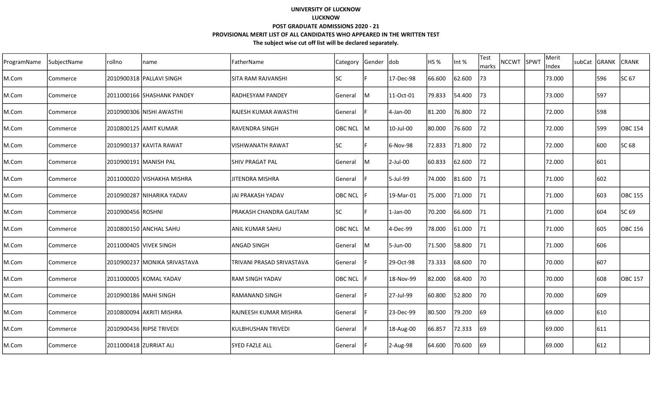| ProgramName | SubjectName | rollno                 | name                         | FatherName                | Category       | Gender dob |             | HS <sub>%</sub> | Int %  | <b>Test</b><br>marks | <b>NCCWT</b> | SPWT | Merit<br>Index | subCat | GRANK | <b>CRANK</b>   |
|-------------|-------------|------------------------|------------------------------|---------------------------|----------------|------------|-------------|-----------------|--------|----------------------|--------------|------|----------------|--------|-------|----------------|
| M.Com       | Commerce    |                        | 2010900318 PALLAVI SINGH     | <b>SITA RAM RAJVANSHI</b> | lsc            |            | 17-Dec-98   | 66.600          | 62.600 | 73                   |              |      | 73.000         |        | 596   | SC 67          |
| M.Com       | Commerce    |                        | 2011000166 SHASHANK PANDEY   | lRADHESYAM PANDEY         | <b>General</b> | ΙM         | 11-Oct-01   | 79.833          | 54.400 | 73                   |              |      | 73.000         |        | 597   |                |
| M.Com       | Commerce    |                        | 2010900306 NISHI AWASTHI     | lRAJESH KUMAR AWASTHI     | General        |            | 4-Jan-00    | 81.200          | 76.800 | 72                   |              |      | 72.000         |        | 598   |                |
| M.Com       | Commerce    |                        | 2010800125 AMIT KUMAR        | lravendra singh           | OBC NCL M      |            | 10-Jul-00   | 80.000          | 76.600 | 72                   |              |      | 72.000         |        | 599   | OBC 154        |
| M.Com       | Commerce    |                        | 2010900137 KAVITA RAWAT      | VISHWANATH RAWAT          | <b>SC</b>      |            | 6-Nov-98    | 72.833          | 71.800 | 72                   |              |      | 72.000         |        | 600   | SC 68          |
| M.Com       | Commerce    |                        | 2010900191 MANISH PAL        | ISHIV PRAGAT PAL          | General        | lм         | 2-Jul-00    | 60.833          | 62.600 | 72                   |              |      | 72.000         |        | 601   |                |
| M.Com       | Commerce    |                        | 2011000020 VISHAKHA MISHRA   | <b>JITENDRA MISHRA</b>    | <b>General</b> |            | 5-Jul-99    | 74.000          | 81.600 | 71                   |              |      | 71.000         |        | 602   |                |
| M.Com       | Commerce    |                        | 2010900287 NIHARIKA YADAV    | lJAI PRAKASH YADAV        | <b>OBC NCL</b> |            | 19-Mar-01   | 75.000          | 71.000 | 71                   |              |      | 71.000         |        | 603   | <b>OBC 155</b> |
| M.Com       | Commerce    | 2010900456 ROSHNI      |                              | PRAKASH CHANDRA GAUTAM    | <b>SC</b>      |            | $1$ -Jan-00 | 70.200          | 66.600 | 71                   |              |      | 71.000         |        | 604   | SC 69          |
| M.Com       | Commerce    |                        | 2010800150 ANCHAL SAHU       | <b>ANIL KUMAR SAHU</b>    | <b>OBC NCL</b> | IM.        | 4-Dec-99    | 78.000          | 61.000 | 171                  |              |      | 71.000         |        | 605   | OBC 156        |
| M.Com       | Commerce    |                        | 2011000405 VIVEK SINGH       | <b>ANGAD SINGH</b>        | General        | ΙM         | 5-Jun-00    | 71.500          | 58.800 | 71                   |              |      | 71.000         |        | 606   |                |
| M.Com       | Commerce    |                        | 2010900237 MONIKA SRIVASTAVA | TRIVANI PRASAD SRIVASTAVA | General        |            | 29-Oct-98   | 73.333          | 68.600 | 70                   |              |      | 70.000         |        | 607   |                |
| M.Com       | Commerce    |                        | 2011000005 KOMAL YADAV       | <b>RAM SINGH YADAV</b>    | <b>OBC NCL</b> |            | 18-Nov-99   | 82.000          | 68.400 | 70                   |              |      | 70.000         |        | 608   | <b>OBC 157</b> |
| M.Com       | Commerce    | 2010900186 MAHI SINGH  |                              | IRAMANAND SINGH           | General        |            | 27-Jul-99   | 60.800          | 52.800 | 70                   |              |      | 70.000         |        | 609   |                |
| M.Com       | Commerce    |                        | 2010800094 AKRITI MISHRA     | lrajneesh kumar Mishra    | General        |            | 23-Dec-99   | 80.500          | 79.200 | 69                   |              |      | 69.000         |        | 610   |                |
| M.Com       | Commerce    |                        | 2010900436 RIPSE TRIVEDI     | <b>KULBHUSHAN TRIVEDI</b> | General        |            | 18-Aug-00   | 66.857          | 72.333 | 169                  |              |      | 169.000        |        | 611   |                |
| M.Com       | Commerce    | 2011000418 ZURRIAT ALI |                              | lSYED FAZLE ALL           | General        |            | 2-Aug-98    | 64.600          | 70.600 | 169                  |              |      | 69.000         |        | 612   |                |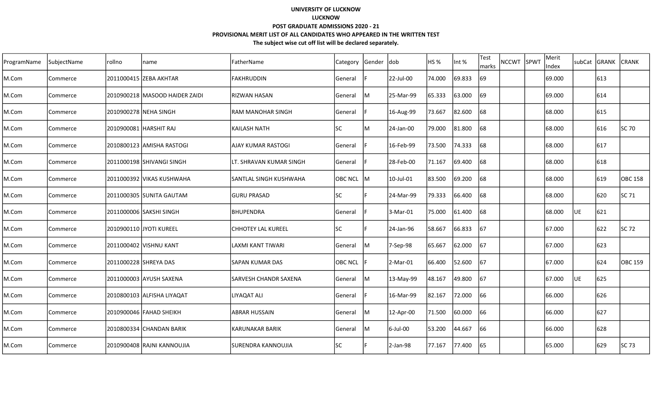| ProgramName | SubjectName | rollno                | name                            | FatherName                   | Category       | Gender | ldob      | <b>HS %</b> | Int %  | Test<br>marks | NCCWT SPWT | Merit<br>Index | subCat GRANK |     | <b>CRANK</b>   |
|-------------|-------------|-----------------------|---------------------------------|------------------------------|----------------|--------|-----------|-------------|--------|---------------|------------|----------------|--------------|-----|----------------|
| M.Com       | Commerce    |                       |                                 | <b>FAKHRUDDIN</b>            | General        |        | 22-Jul-00 | 74.000      | 69.833 | 69            |            | 69.000         |              | 613 |                |
| M.Com       | Commerce    |                       | 2010900218  MASOOD HAIDER ZAIDI | <b>RIZWAN HASAN</b>          | General        | Iм     | 25-Mar-99 | 65.333      | 63.000 | 69            |            | 69.000         |              | 614 |                |
| M.Com       | Commerce    |                       | 2010900278 NEHA SINGH           | <b>RAM MANOHAR SINGH</b>     | General        |        | 16-Aug-99 | 73.667      | 82.600 | 68            |            | 68.000         |              | 615 |                |
| M.Com       | Commerce    |                       | 2010900081 HARSHIT RAJ          | <b>KAILASH NATH</b>          | <b>SC</b>      | M      | 24-Jan-00 | 79.000      | 81.800 | 68            |            | 68.000         |              | 616 | <b>SC 70</b>   |
| M.Com       | Commerce    |                       | 2010800123  AMISHA RASTOGI      | AJAY KUMAR RASTOGI           | General        |        | 16-Feb-99 | 73.500      | 74.333 | 68            |            | 68.000         |              | 617 |                |
| M.Com       | Commerce    |                       | 2011000198 SHIVANGI SINGH       | LT. SHRAVAN KUMAR SINGH      | General        |        | 28-Feb-00 | 71.167      | 69.400 | 68            |            | 68.000         |              | 618 |                |
| M.Com       | Commerce    |                       | 12011000392 IVIKAS KUSHWAHA     | lSANTLAL SINGH KUSHWAHA      | OBC NCL IM     |        | 10-Jul-01 | 83.500      | 69.200 | 68            |            | 68.000         |              | 619 | lOBC 158       |
| M.Com       | Commerce    |                       | 2011000305 SUNITA GAUTAM        | <b>GURU PRASAD</b>           | <b>SC</b>      |        | 24-Mar-99 | 79.333      | 66.400 | 68            |            | 68.000         |              | 620 | SC 71          |
| M.Com       | Commerce    |                       | 2011000006 SAKSHI SINGH         | BHUPENDRA                    | General        |        | 3-Mar-01  | 75.000      | 61.400 | 68            |            | 68.000         | UE.          | 621 |                |
| M.Com       | Commerce    |                       | 2010900110 JYOTI KUREEL         | <b>CHHOTEY LAL KUREEL</b>    | <b>SC</b>      |        | 24-Jan-96 | 58.667      | 66.833 | 67            |            | 67.000         |              | 622 | SC 72          |
| M.Com       | Commerce    |                       | 2011000402 VISHNU KANT          | LAXMI KANT TIWARI            | General        | Iм     | 7-Sep-98  | 65.667      | 62.000 | 67            |            | 67.000         |              | 623 |                |
| M.Com       | Commerce    | 2011000228 SHREYA DAS |                                 | ISAPAN KUMAR DAS             | <b>OBC NCL</b> |        | 2-Mar-01  | 66.400      | 52.600 | 167           |            | 67.000         |              | 624 | <b>OBC 159</b> |
| M.Com       | Commerce    |                       | 2011000003 AYUSH SAXENA         | <b>SARVESH CHANDR SAXENA</b> | General        | IM.    | 13-May-99 | 48.167      | 49.800 | 67            |            | 67.000         | UE           | 625 |                |
| M.Com       | Commerce    |                       | 2010800103   ALFISHA LIYAQAT    | LIYAQAT ALI                  | General        |        | 16-Mar-99 | 82.167      | 72.000 | 66            |            | 166.000        |              | 626 |                |
| M.Com       | Commerce    |                       | 2010900046 FAHAD SHEIKH         | <b>ABRAR HUSSAIN</b>         | General        | lМ     | 12-Apr-00 | 71.500      | 60.000 | 66            |            | 66.000         |              | 627 |                |
| M.Com       | Commerce    |                       | 2010800334 CHANDAN BARIK        | KARUNAKAR BARIK              | General        | ļМ     | 6-Jul-00  | 53.200      | 44.667 | 66            |            | 66.000         |              | 628 |                |
| M.Com       | Commerce    |                       | 2010900408 RAJNI KANNOUJIA      | lsurendra kannoujia          | <b>SC</b>      |        | 2-Jan-98  | 77.167      | 77.400 | 65            |            | 65.000         |              | 629 | SC 73          |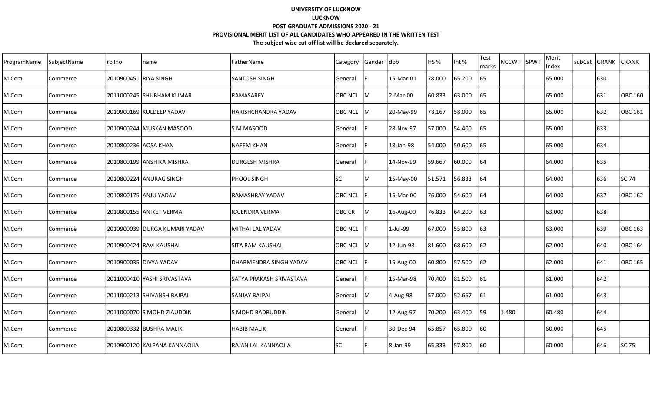| ProgramName | SubjectName | rollno                | name                          | FatherName               | Category       | Gender dob |           | HS %   | Int %  | Test<br>marks | NCCWT SPWT | Merit<br>Index | subCat GRANK |      | <b>CRANK</b> |
|-------------|-------------|-----------------------|-------------------------------|--------------------------|----------------|------------|-----------|--------|--------|---------------|------------|----------------|--------------|------|--------------|
| M.Com       | Commerce    | 2010900451 RIYA SINGH |                               | SANTOSH SINGH            | General        |            | 15-Mar-01 | 78.000 | 65.200 | 65            |            | 65.000         |              | 630  |              |
| M.Com       | Commerce    |                       | 2011000245  SHUBHAM KUMAR     | <b>RAMASAREY</b>         | <b>OBC NCL</b> | IM.        | 2-Mar-00  | 60.833 | 63.000 | 65            |            | 65.000         |              | 631  | OBC 160      |
| M.Com       | Commerce    |                       | 2010900169 KULDEEP YADAV      | HARISHCHANDRA YADAV      | OBC NCL M      |            | 20-May-99 | 78.167 | 58.000 | 65            |            | 65.000         |              | 632  | OBC 161      |
| M.Com       | Commerce    |                       | 2010900244 MUSKAN MASOOD      | S.M MASOOD               | General        |            | 28-Nov-97 | 57.000 | 54.400 | 65            |            | 65.000         |              | 633  |              |
| M.Com       | Commerce    | 2010800236 AQSA KHAN  |                               | NAEEM KHAN               | General        |            | 18-Jan-98 | 54.000 | 50.600 | 65            |            | 65.000         |              | 634  |              |
| M.Com       | Commerce    |                       | 2010800199 ANSHIKA MISHRA     | DURGESH MISHRA           | General        |            | 14-Nov-99 | 59.667 | 60.000 | 64            |            | 64.000         |              | 635  |              |
| M.Com       | Commerce    |                       | 2010800224  ANURAG SINGH      | PHOOL SINGH              | <b>SC</b>      | ΙM         | 15-May-00 | 51.571 | 56.833 | 64            |            | 64.000         |              | 636  | SC 74        |
| M.Com       | Commerce    | 2010800175 ANJU YADAV |                               | RAMASHRAY YADAV          | <b>OBC NCL</b> |            | 15-Mar-00 | 76.000 | 54.600 | 64            |            | 64.000         |              | 637  | OBC 162      |
| M.Com       | Commerce    |                       | 2010800155 ANIKET VERMA       | RAJENDRA VERMA           | OBC CR         | IМ         | 16-Aug-00 | 76.833 | 64.200 | 63            |            | 63.000         |              | 638  |              |
| M.Com       | Commerce    |                       | 2010900039 DURGA KUMARI YADAV | MITHAI LAL YADAV         | <b>OBC NCL</b> |            | 1-Jul-99  | 67.000 | 55.800 | 63            |            | 63.000         |              | 639  | OBC 163      |
| M.Com       | Commerce    |                       | 2010900424 RAVI KAUSHAL       | ISITA RAM KAUSHAL        | OBC NCL IM     |            | 12-Jun-98 | 81.600 | 68.600 | 62            |            | 62.000         |              | 1640 | OBC 164      |
| M.Com       | Commerce    |                       | 2010900035 DIVYA YADAV        | DHARMENDRA SINGH YADAV   | <b>OBC NCL</b> |            | 15-Aug-00 | 60.800 | 57.500 | 62            |            | 62.000         |              | 641  | OBC 165      |
| M.Com       | Commerce    |                       | 2011000410 YASHI SRIVASTAVA   | SATYA PRAKASH SRIVASTAVA | General        |            | 15-Mar-98 | 70.400 | 81.500 | 61            |            | 61.000         |              | 642  |              |
| M.Com       | Commerce    |                       | 2011000213 SHIVANSH BAJPAI    | SANJAY BAJPAI            | General        | IM.        | 4-Aug-98  | 57.000 | 52.667 | 61            |            | 61.000         |              | 643  |              |
| M.Com       | Commerce    |                       | 2011000070 S MOHD ZIAUDDIN    | S MOHD BADRUDDIN         | General        | IМ         | 12-Aug-97 | 70.200 | 63.400 | 59            | 1.480      | 60.480         |              | 644  |              |
| M.Com       | Commerce    |                       | 2010800332 BUSHRA MALIK       | <b>HABIB MALIK</b>       | General        |            | 30-Dec-94 | 65.857 | 65.800 | 60            |            | 60.000         |              | 645  |              |
| M.Com       | Commerce    |                       | 2010900120 KALPANA KANNAOJIA  | RAJAN LAL KANNAOJIA      | <b>SC</b>      |            | 8-Jan-99  | 65.333 | 57.800 | 60            |            | 60.000         |              | 646  | SC 75        |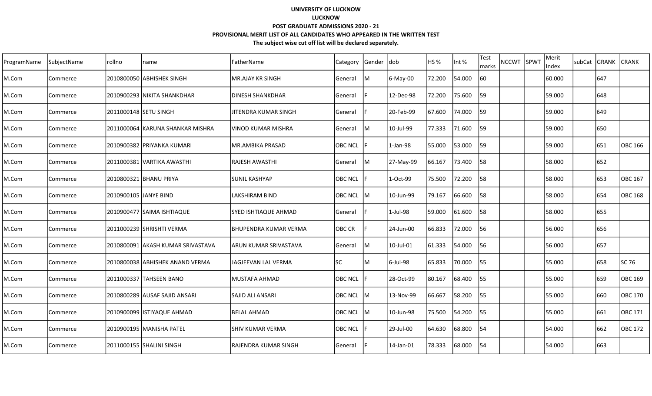| ProgramName | SubjectName | rollno                | name                              | FatherName                   | Category       | Gender dob |             | HS <sub>%</sub> | Int %  | <b>Test</b><br>marks | <b>NCCWT</b> | SPWT | Merit<br>Index | subCat GRANK | <b>CRANK</b>   |
|-------------|-------------|-----------------------|-----------------------------------|------------------------------|----------------|------------|-------------|-----------------|--------|----------------------|--------------|------|----------------|--------------|----------------|
| M.Com       | Commerce    |                       | 2010800050 ABHISHEK SINGH         | MR.AJAY KR SINGH             | General        | M          | 6-May-00    | 72.200          | 54.000 | 60                   |              |      | 60.000         | 647          |                |
| M.Com       | Commerce    |                       | 2010900293   NIKITA SHANKDHAR     | IDINESH SHANKDHAR            | General        |            | 12-Dec-98   | 72.200          | 75.600 | 59                   |              |      | 59.000         | 648          |                |
| M.Com       | Commerce    | 2011000148 SETU SINGH |                                   | IJITENDRA KUMAR SINGH        | General        |            | 20-Feb-99   | 67.600          | 74.000 | 59                   |              |      | 59.000         | 649          |                |
| M.Com       | Commerce    |                       | 2011000064  KARUNA SHANKAR MISHRA | lvinod kumar mishra          | General        | lм         | 10-Jul-99   | 77.333          | 71.600 | 59                   |              |      | 59.000         | 650          |                |
| M.Com       | Commerce    |                       | 2010900382 PRIYANKA KUMARI        | IMR.AMBIKA PRASAD            | <b>OBC NCL</b> |            | $1-Jan-98$  | 55.000          | 53.000 | 159                  |              |      | 59.000         | 651          | <b>OBC 166</b> |
| M.Com       | Commerce    |                       | 2011000381 VARTIKA AWASTHI        | RAJESH AWASTHI               | General        | lм         | 27-May-99   | 66.167          | 73.400 | 58                   |              |      | 58.000         | 652          |                |
| M.Com       | Commerce    |                       | 2010800321 BHANU PRIYA            | ISUNIL KASHYAP               | <b>OBC NCL</b> |            | 1-Oct-99    | 75.500          | 72.200 | 58                   |              |      | 58.000         | 653          | <b>OBC 167</b> |
| M.Com       | Commerce    | 2010900105 JANYE BIND |                                   | LAKSHIRAM BIND               | <b>OBC NCL</b> | ΙM         | 10-Jun-99   | 79.167          | 66.600 | 58                   |              |      | 58.000         | 654          | <b>OBC 168</b> |
| M.Com       | Commerce    |                       | 2010900477 SAIMA ISHTIAQUE        | <b>SYED ISHTIAQUE AHMAD</b>  | General        |            | $1$ -Jul-98 | 59.000          | 61.600 | 58                   |              |      | 58.000         | 655          |                |
| M.Com       | Commerce    |                       | 2011000239 SHRISHTI VERMA         | <b>BHUPENDRA KUMAR VERMA</b> | OBC CR         |            | 24-Jun-00   | 66.833          | 72.000 | 56                   |              |      | 56.000         | 656          |                |
| M.Com       | Commerce    |                       | 2010800091 AKASH KUMAR SRIVASTAVA | <b>ARUN KUMAR SRIVASTAVA</b> | <b>General</b> | ΙM         | 10-Jul-01   | 61.333          | 54.000 | 56                   |              |      | 56.000         | 657          |                |
| M.Com       | Commerce    |                       | 2010800038 ABHISHEK ANAND VERMA   | JAGJEEVAN LAL VERMA          | lsc            | ΙM         | 6-Jul-98    | 65.833          | 70.000 | 55                   |              |      | 55.000         | 658          | <b>SC 76</b>   |
| M.Com       | Commerce    |                       | 2011000337 TAHSEEN BANO           | MUSTAFA AHMAD                | <b>OBC NCL</b> |            | 28-Oct-99   | 80.167          | 68.400 | 55                   |              |      | 55.000         | 659          | OBC 169        |
| M.Com       | Commerce    |                       | 2010800289 AUSAF SAJID ANSARI     | ISAJID ALI ANSARI            | OBC NCL        | IM.        | 13-Nov-99   | 66.667          | 58.200 | 55                   |              |      | 55.000         | 660          | OBC 170        |
| M.Com       | Commerce    |                       | 2010900099 ISTIYAQUE AHMAD        | BELAL AHMAD                  | <b>OBC NCL</b> | lM         | 10-Jun-98   | 75.500          | 54.200 | 55                   |              |      | 55.000         | 661          | OBC 171        |
| M.Com       | Commerce    |                       | 2010900195 MANISHA PATEL          | ISHIV KUMAR VERMA            | <b>OBC NCL</b> |            | 29-Jul-00   | 64.630          | 68.800 | 54                   |              |      | 54.000         | 662          | OBC 172        |
| M.Com       | Commerce    |                       | 2011000155 SHALINI SINGH          | lrajendra kumar singh        | <b>General</b> |            | 14-Jan-01   | 78.333          | 68.000 | 54                   |              |      | 54.000         | 663          |                |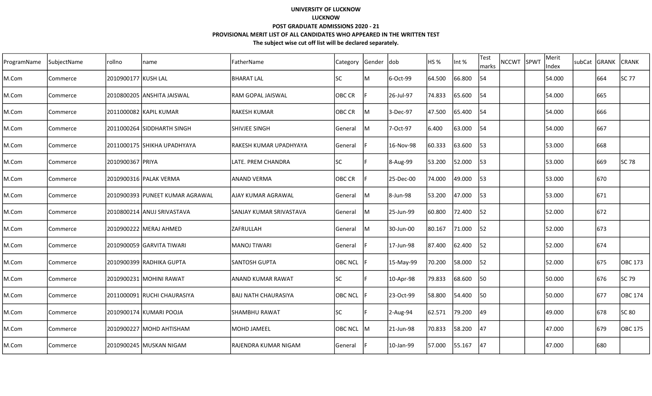| ProgramName | SubjectName | Irollno             | name                             | FatherName                  | Category       | Gender  dob |           | HS %   | Int %  | Test<br>marks | <b>NCCWT</b> | SPWT | Merit<br>Index | subCat GRANK |     | <b>CRANK</b>   |
|-------------|-------------|---------------------|----------------------------------|-----------------------------|----------------|-------------|-----------|--------|--------|---------------|--------------|------|----------------|--------------|-----|----------------|
| M.Com       | Commerce    | 2010900177 KUSH LAL |                                  | <b>BHARAT LAL</b>           | lsc            | м           | 6-Oct-99  | 64.500 | 66.800 | 54            |              |      | 54.000         |              | 664 | SC 77          |
| M.Com       | Commerce    |                     | 2010800205 ANSHITA JAISWAL       | RAM GOPAL JAISWAL           | OBC CR         |             | 26-Jul-97 | 74.833 | 65.600 | 54            |              |      | 54.000         |              | 665 |                |
| M.Com       | Commerce    |                     | 2011000082 KAPIL KUMAR           | <b>RAKESH KUMAR</b>         | OBC CR         | lм          | 3-Dec-97  | 47.500 | 65.400 | 54            |              |      | 54.000         |              | 666 |                |
| M.Com       | Commerce    |                     | 2011000264 SIDDHARTH SINGH       | SHIVJEE SINGH               | General        | lм          | 7-Oct-97  | 6.400  | 63.000 | 54            |              |      | 54.000         |              | 667 |                |
| M.Com       | Commerce    |                     | 2011000175 SHIKHA UPADHYAYA      | RAKESH KUMAR UPADHYAYA      | General        |             | 16-Nov-98 | 60.333 | 63.600 | 53            |              |      | 53.000         |              | 668 |                |
| M.Com       | Commerce    | 2010900367 PRIYA    |                                  | LATE. PREM CHANDRA          | lsc            |             | 8-Aug-99  | 53.200 | 52.000 | l53           |              |      | 53.000         |              | 669 | <b>SC 78</b>   |
| M.Com       | Commerce    |                     | 2010900316 PALAK VERMA           | <b>ANAND VERMA</b>          | OBC CR         |             | 25-Dec-00 | 74.000 | 49.000 | l53           |              |      | 53.000         |              | 670 |                |
| M.Com       | Commerce    |                     | 2010900393 IPUNEET KUMAR AGRAWAL | AJAY KUMAR AGRAWAL          | General        | ΙM          | 8-Jun-98  | 53.200 | 47.000 | 53            |              |      | 53.000         |              | 671 |                |
| M.Com       | Commerce    |                     | 2010800214 ANUJ SRIVASTAVA       | SANJAY KUMAR SRIVASTAVA     | General        | M           | 25-Jun-99 | 60.800 | 72.400 | 52            |              |      | 52.000         |              | 672 |                |
| M.Com       | Commerce    |                     | 2010900222 MERAJ AHMED           | <b>ZAFRULLAH</b>            | General        | lм          | 30-Jun-00 | 80.167 | 71.000 | 52            |              |      | 52.000         |              | 673 |                |
| M.Com       | Commerce    |                     | 2010900059 GARVITA TIWARI        | İMANOJ TIWARI               | General        |             | 17-Jun-98 | 87.400 | 62.400 | 52            |              |      | 52.000         |              | 674 |                |
| M.Com       | Commerce    |                     | 2010900399 RADHIKA GUPTA         | SANTOSH GUPTA               | <b>OBC NCL</b> |             | 15-May-99 | 70.200 | 58.000 | 52            |              |      | 52.000         |              | 675 | OBC 173        |
| M.Com       | Commerce    |                     | 2010900231 MOHINI RAWAT          | ANAND KUMAR RAWAT           | <b>SC</b>      |             | 10-Apr-98 | 79.833 | 68.600 | 50            |              |      | 50.000         |              | 676 | SC 79          |
| M.Com       | Commerce    |                     | 2011000091 RUCHI CHAURASIYA      | <b>BAIJ NATH CHAURASIYA</b> | <b>OBC NCL</b> |             | 23-Oct-99 | 58.800 | 54.400 | l50           |              |      | 50.000         |              | 677 | <b>OBC 174</b> |
| M.Com       | Commerce    |                     | 2010900174 KUMARI POOJA          | SHAMBHU RAWAT               | lsc            |             | 2-Aug-94  | 62.571 | 79.200 | 49            |              |      | 49.000         |              | 678 | SC 80          |
| M.Com       | Commerce    |                     | 2010900227   MOHD AHTISHAM       | <b>MOHD JAMEEL</b>          | <b>OBC NCL</b> | lм          | 21-Jun-98 | 70.833 | 58.200 | 47            |              |      | 47.000         |              | 679 | OBC 175        |
| M.Com       | Commerce    |                     | 2010900245 MUSKAN NIGAM          | RAJENDRA KUMAR NIGAM        | General        |             | 10-Jan-99 | 57.000 | 55.167 | 47            |              |      | 47.000         |              | 680 |                |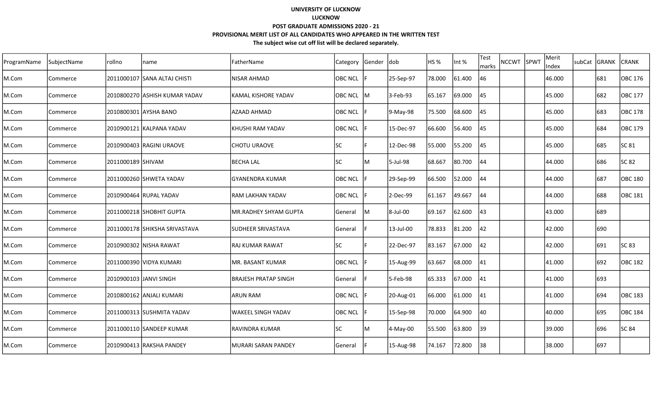| ProgramName | SubjectName | rollno            | name                           | FatherName                  | Category       | Gender | <b>dob</b> | HS %   | Int %  | <b>Test</b><br>marks | NCCWT SPWT | Merit<br>Index | subCat | GRANK | <b>CRANK</b>   |
|-------------|-------------|-------------------|--------------------------------|-----------------------------|----------------|--------|------------|--------|--------|----------------------|------------|----------------|--------|-------|----------------|
| M.Com       | Commerce    |                   | 2011000107  SANA ALTAJ CHISTI  | NISAR AHMAD                 | <b>OBC NCL</b> |        | 25-Sep-97  | 78.000 | 61.400 | 46                   |            | 46.000         |        | 681   | OBC 176        |
| M.Com       | Commerce    |                   | 2010800270 JASHISH KUMAR YADAV | lKAMAL KISHORE YADAV        | <b>OBC NCL</b> | IM.    | 3-Feb-93   | 65.167 | 69.000 | 45                   |            | 45.000         |        | 682   | OBC 177        |
| M.Com       | Commerce    |                   | 2010800301 AYSHA BANO          | AZAAD AHMAD                 | <b>OBC NCL</b> |        | 9-May-98   | 75.500 | 68.600 | 45                   |            | 45.000         |        | 683   | OBC 178        |
| M.Com       | Commerce    |                   | 2010900121 KALPANA YADAV       | KHUSHI RAM YADAV            | <b>OBC NCL</b> |        | 15-Dec-97  | 66.600 | 56.400 | 45                   |            | 45.000         |        | 684   | OBC 179        |
| M.Com       | Commerce    |                   | 2010900403 RAGINI URAOVE       | <b>CHOTU URAOVE</b>         | <b>SC</b>      |        | 12-Dec-98  | 55.000 | 55.200 | 45                   |            | 45.000         |        | 685   | SC 81          |
| M.Com       | Commerce    | 2011000189 SHIVAM |                                | BECHA LAL                   | lsc            | M      | 5-Jul-98   | 68.667 | 80.700 | 44                   |            | 44.000         |        | 686   | SC 82          |
| M.Com       | Commerce    |                   | 2011000260 SHWETA YADAV        | GYANENDRA KUMAR             | <b>OBC NCL</b> |        | 29-Sep-99  | 66.500 | 52.000 | 44                   |            | 44.000         |        | 687   | OBC 180        |
| M.Com       | Commerce    |                   | 2010900464  RUPAL YADAV        | IRAM LAKHAN YADAV           | <b>OBC NCL</b> |        | 2-Dec-99   | 61.167 | 49.667 | 44                   |            | 44.000         |        | 688   | <b>OBC 181</b> |
| M.Com       | Commerce    |                   | 2011000218  SHOBHIT GUPTA      | MR.RADHEY SHYAM GUPTA       | General        | ΙM     | 8-Jul-00   | 69.167 | 62.600 | 43                   |            | 43.000         |        | 689   |                |
| M.Com       | Commerce    |                   | 2011000178 SHIKSHA SRIVASTAVA  | <b>SUDHEER SRIVASTAVA</b>   | General        |        | 13-Jul-00  | 78.833 | 81.200 | 42                   |            | 42.000         |        | 690   |                |
| M.Com       | Commerce    |                   | 2010900302  NISHA RAWAT        | lraj kumar rawat            | lsc            |        | 22-Dec-97  | 83.167 | 67.000 | 42                   |            | 42.000         |        | 691   | SC 83          |
| M.Com       | Commerce    |                   | 2011000390 VIDYA KUMARI        | MR. BASANT KUMAR            | <b>OBC NCL</b> |        | 15-Aug-99  | 63.667 | 68.000 | 141                  |            | 41.000         |        | 692   | OBC 182        |
| M.Com       | Commerce    |                   | 2010900103 JANVI SINGH         | <b>BRAJESH PRATAP SINGH</b> | General        |        | 5-Feb-98   | 65.333 | 67.000 | 41                   |            | 41.000         |        | 693   |                |
| M.Com       | Commerce    |                   | 2010800162 ANJALI KUMARI       | IARUN RAM                   | <b>OBC NCL</b> |        | 20-Aug-01  | 66.000 | 61.000 | 41                   |            | 41.000         |        | 694   | OBC 183        |
| M.Com       | Commerce    |                   | 2011000313  SUSHMITA YADAV     | <b>WAKEEL SINGH YADAV</b>   | <b>OBC NCL</b> |        | 15-Sep-98  | 70.000 | 64.900 | 40                   |            | 40.000         |        | 695   | OBC 184        |
| M.Com       | Commerce    |                   | 2011000110 SANDEEP KUMAR       | IRAVINDRA KUMAR             | <b>SC</b>      | lM.    | 4-May-00   | 55.500 | 63.800 | 139                  |            | 39.000         |        | 696   | <b>SC 84</b>   |
| M.Com       | Commerce    |                   | 2010900413  RAKSHA PANDEY      | lMURARI SARAN PANDEY        | General        |        | 15-Aug-98  | 74.167 | 72.800 | 38                   |            | 38.000         |        | 697   |                |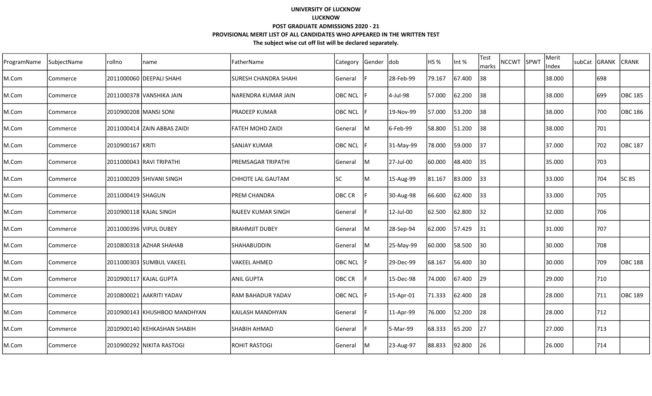| ProgramName | SubjectName | rollno                | name                         | FatherName                  | Category  Gender  dob |     |             | HS %   | Int %  | <b>Test</b><br>marks | <b>NCCWT</b> | SPWT | Merit<br>Index | subCat GRANK | <b>CRANK</b>   |
|-------------|-------------|-----------------------|------------------------------|-----------------------------|-----------------------|-----|-------------|--------|--------|----------------------|--------------|------|----------------|--------------|----------------|
| M.Com       | Commerce    |                       | 2011000060 DEEPALI SHAHI     | <b>SURESH CHANDRA SHAHI</b> | General               |     | 28-Feb-99   | 79.167 | 67.400 | 38                   |              |      | 38.000         | 698          |                |
| M.Com       | Commerce    |                       | 2011000378 VANSHIKA JAIN     | NARENDRA KUMAR JAIN         | <b>OBC NCL</b>        |     | 4-Jul-98    | 57.000 | 62.200 | 38                   |              |      | 38.000         | 699          | <b>OBC 185</b> |
| M.Com       | Commerce    | 2010900208 MANSI SONI |                              | IPRADEEP KUMAR              | <b>OBC NCL</b>        |     | 19-Nov-99   | 57.000 | 53.200 | 38                   |              |      | 38.000         | 700          | <b>OBC 186</b> |
| M.Com       | Commerce    |                       | 2011000414 ZAIN ABBAS ZAIDI  | <b>FATEH MOHD ZAIDI</b>     | General               | ļМ  | $6$ -Feb-99 | 58.800 | 51.200 | 38                   |              |      | 38.000         | 701          |                |
| M.Com       | Commerce    | 2010900167 KRITI      |                              | <b>SANJAY KUMAR</b>         | OBC NCL               | F   | 31-May-99   | 78.000 | 59.000 | 37                   |              |      | 37.000         | 702          | <b>OBC 187</b> |
| M.Com       | Commerce    |                       | 2011000043 RAVI TRIPATHI     | PREMSAGAR TRIPATHI          | General               | lM. | 27-Jul-00   | 60.000 | 48.400 | 135                  |              |      | 35.000         | 703          |                |
| M.Com       | Commerce    |                       | 2011000209 SHIVANI SINGH     | CHHOTE LAL GAUTAM           | <b>SC</b>             | М   | 15-Aug-99   | 81.167 | 83.000 | 33                   |              |      | 33.000         | 704          | SC 85          |
| M.Com       | Commerce    | 2011000419 SHAGUN     |                              | IPREM CHANDRA               | OBC CR                | F.  | 30-Aug-98   | 66.600 | 62.400 | 133                  |              |      | 33.000         | 705          |                |
| M.Com       | Commerce    |                       | 2010900118 KAJAL SINGH       | <b>RAJEEV KUMAR SINGH</b>   | General               |     | 12-Jul-00   | 62.500 | 62.800 | 32                   |              |      | 32.000         | 706          |                |
| M.Com       | Commerce    |                       | 2011000396 VIPUL DUBEY       | <b>BRAHMJIT DUBEY</b>       | General               | lM  | 28-Sep-94   | 62.000 | 57.429 | 131                  |              |      | 31.000         | 707          |                |
| M.Com       | Commerce    |                       | 2010800318 AZHAR SHAHAB      | SHAHABUDDIN                 | General               | lM. | 25-May-99   | 60.000 | 58.500 | $ 30\rangle$         |              |      | 30.000         | 708          |                |
| M.Com       | Commerce    |                       | 2011000303 SUMBUL VAKEEL     | VAKEEL AHMED                | OBC NCL               |     | 29-Dec-99   | 68.167 | 56.400 | $ 30\rangle$         |              |      | 30.000         | 709          | OBC 188        |
| M.Com       | Commerce    |                       | 2010900117 KAJAL GUPTA       | <b>ANIL GUPTA</b>           | OBC CR                |     | 15-Dec-98   | 74.000 | 67.400 | $ 29\rangle$         |              |      | 29.000         | 710          |                |
| M.Com       | Commerce    |                       | 2010800021 AAKRITI YADAV     | RAM BAHADUR YADAV           | OBC NCL               |     | 15-Apr-01   | 71.333 | 62.400 | 28                   |              |      | 28.000         | 711          | <b>OBC 189</b> |
| M.Com       | Commerce    |                       | 2010900143 KHUSHBOO MANDHYAN | KAILASH MANDHYAN            | General               |     | 11-Apr-99   | 76.000 | 52.200 | 28                   |              |      | 28.000         | 712          |                |
| M.Com       | Commerce    |                       | 2010900140 KEHKASHAN SHABIH  | ISHABIH AHMAD               | General               |     | 5-Mar-99    | 68.333 | 65.200 | 127                  |              |      | 27.000         | 713          |                |
| M.Com       | Commerce    |                       | 2010900292 NIKITA RASTOGI    | <b>ROHIT RASTOGI</b>        | <b>General</b>        | ļМ  | 23-Aug-97   | 88.833 | 92.800 | 26                   |              |      | 26.000         | 714          |                |